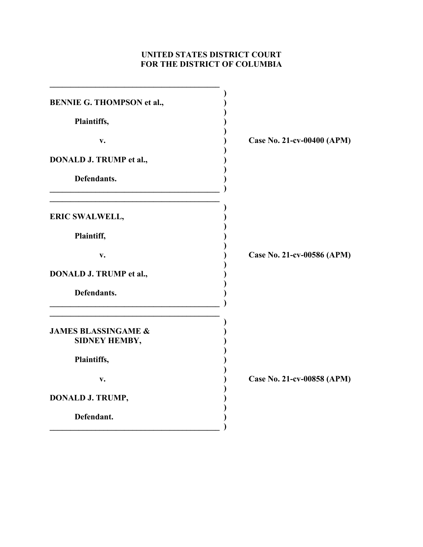# **UNITED STATES DISTRICT COURT FOR THE DISTRICT OF COLUMBIA**

| <b>BENNIE G. THOMPSON et al.,</b>               |                            |
|-------------------------------------------------|----------------------------|
| Plaintiffs,                                     |                            |
| v.                                              | Case No. 21-cv-00400 (APM) |
| <b>DONALD J. TRUMP et al.,</b>                  |                            |
| Defendants.                                     |                            |
| ERIC SWALWELL,                                  |                            |
| Plaintiff,                                      |                            |
| v.                                              | Case No. 21-cv-00586 (APM) |
| DONALD J. TRUMP et al.,                         |                            |
| Defendants.                                     |                            |
| <b>JAMES BLASSINGAME &amp;</b><br>SIDNEY HEMBY, |                            |
| Plaintiffs,                                     |                            |
| v.                                              | Case No. 21-cv-00858 (APM) |
| DONALD J. TRUMP,                                |                            |
| Defendant.                                      |                            |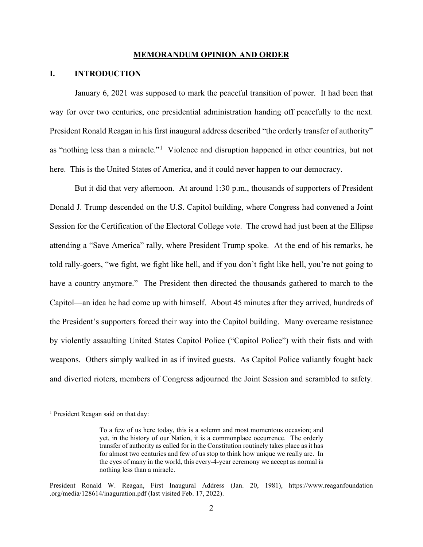#### **MEMORANDUM OPINION AND ORDER**

#### **I. INTRODUCTION**

January 6, 2021 was supposed to mark the peaceful transition of power. It had been that way for over two centuries, one presidential administration handing off peacefully to the next. President Ronald Reagan in his first inaugural address described "the orderly transfer of authority" as "nothing less than a miracle."<sup>1</sup> Violence and disruption happened in other countries, but not here. This is the United States of America, and it could never happen to our democracy.

But it did that very afternoon. At around 1:30 p.m., thousands of supporters of President Donald J. Trump descended on the U.S. Capitol building, where Congress had convened a Joint Session for the Certification of the Electoral College vote. The crowd had just been at the Ellipse attending a "Save America" rally, where President Trump spoke. At the end of his remarks, he told rally-goers, "we fight, we fight like hell, and if you don't fight like hell, you're not going to have a country anymore." The President then directed the thousands gathered to march to the Capitol—an idea he had come up with himself. About 45 minutes after they arrived, hundreds of the President's supporters forced their way into the Capitol building. Many overcame resistance by violently assaulting United States Capitol Police ("Capitol Police") with their fists and with weapons. Others simply walked in as if invited guests. As Capitol Police valiantly fought back and diverted rioters, members of Congress adjourned the Joint Session and scrambled to safety.

<sup>&</sup>lt;sup>1</sup> President Reagan said on that day:

To a few of us here today, this is a solemn and most momentous occasion; and yet, in the history of our Nation, it is a commonplace occurrence. The orderly transfer of authority as called for in the Constitution routinely takes place as it has for almost two centuries and few of us stop to think how unique we really are. In the eyes of many in the world, this every-4-year ceremony we accept as normal is nothing less than a miracle.

President Ronald W. Reagan, First Inaugural Address (Jan. 20, 1981), https://www.reaganfoundation .org/media/128614/inaguration.pdf (last visited Feb. 17, 2022).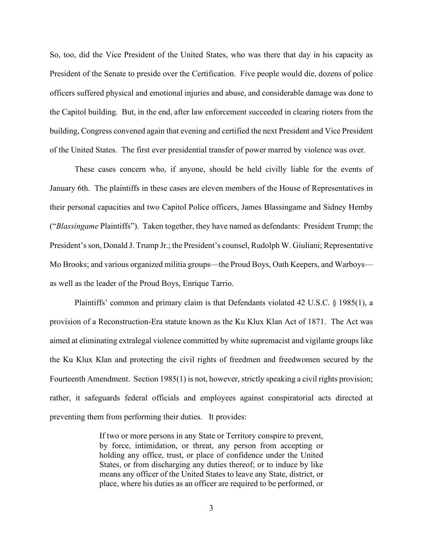So, too, did the Vice President of the United States, who was there that day in his capacity as President of the Senate to preside over the Certification. Five people would die, dozens of police officers suffered physical and emotional injuries and abuse, and considerable damage was done to the Capitol building. But, in the end, after law enforcement succeeded in clearing rioters from the building, Congress convened again that evening and certified the next President and Vice President of the United States. The first ever presidential transfer of power marred by violence was over.

These cases concern who, if anyone, should be held civilly liable for the events of January 6th. The plaintiffs in these cases are eleven members of the House of Representatives in their personal capacities and two Capitol Police officers, James Blassingame and Sidney Hemby ("*Blassingame* Plaintiffs"). Taken together, they have named as defendants: President Trump; the President's son, Donald J. Trump Jr.; the President's counsel, Rudolph W. Giuliani; Representative Mo Brooks; and various organized militia groups—the Proud Boys, Oath Keepers, and Warboys as well as the leader of the Proud Boys, Enrique Tarrio.

Plaintiffs' common and primary claim is that Defendants violated 42 U.S.C. § 1985(1), a provision of a Reconstruction-Era statute known as the Ku Klux Klan Act of 1871. The Act was aimed at eliminating extralegal violence committed by white supremacist and vigilante groups like the Ku Klux Klan and protecting the civil rights of freedmen and freedwomen secured by the Fourteenth Amendment. Section 1985(1) is not, however, strictly speaking a civil rights provision; rather, it safeguards federal officials and employees against conspiratorial acts directed at preventing them from performing their duties. It provides:

> If two or more persons in any State or Territory conspire to prevent, by force, intimidation, or threat, any person from accepting or holding any office, trust, or place of confidence under the United States, or from discharging any duties thereof; or to induce by like means any officer of the United States to leave any State, district, or place, where his duties as an officer are required to be performed, or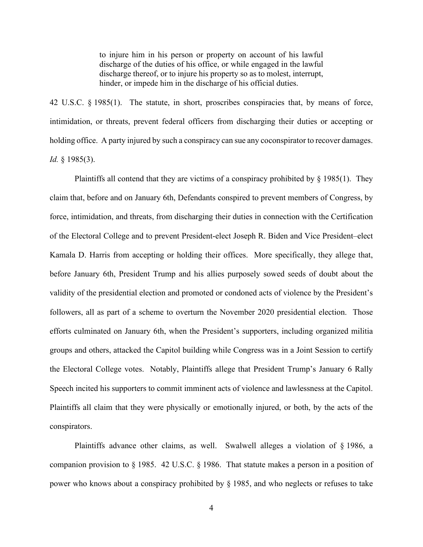to injure him in his person or property on account of his lawful discharge of the duties of his office, or while engaged in the lawful discharge thereof, or to injure his property so as to molest, interrupt, hinder, or impede him in the discharge of his official duties.

42 U.S.C. § 1985(1). The statute, in short, proscribes conspiracies that, by means of force, intimidation, or threats, prevent federal officers from discharging their duties or accepting or holding office. A party injured by such a conspiracy can sue any coconspirator to recover damages. *Id.* § 1985(3).

Plaintiffs all contend that they are victims of a conspiracy prohibited by § 1985(1). They claim that, before and on January 6th, Defendants conspired to prevent members of Congress, by force, intimidation, and threats, from discharging their duties in connection with the Certification of the Electoral College and to prevent President-elect Joseph R. Biden and Vice President–elect Kamala D. Harris from accepting or holding their offices. More specifically, they allege that, before January 6th, President Trump and his allies purposely sowed seeds of doubt about the validity of the presidential election and promoted or condoned acts of violence by the President's followers, all as part of a scheme to overturn the November 2020 presidential election. Those efforts culminated on January 6th, when the President's supporters, including organized militia groups and others, attacked the Capitol building while Congress was in a Joint Session to certify the Electoral College votes. Notably, Plaintiffs allege that President Trump's January 6 Rally Speech incited his supporters to commit imminent acts of violence and lawlessness at the Capitol. Plaintiffs all claim that they were physically or emotionally injured, or both, by the acts of the conspirators.

Plaintiffs advance other claims, as well. Swalwell alleges a violation of § 1986, a companion provision to § 1985. 42 U.S.C. § 1986. That statute makes a person in a position of power who knows about a conspiracy prohibited by  $\S$  1985, and who neglects or refuses to take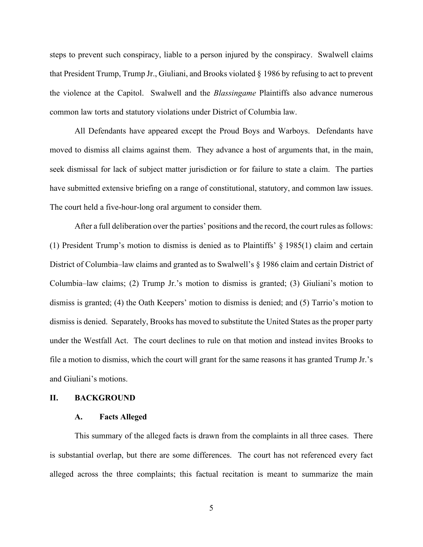steps to prevent such conspiracy, liable to a person injured by the conspiracy. Swalwell claims that President Trump, Trump Jr., Giuliani, and Brooks violated § 1986 by refusing to act to prevent the violence at the Capitol. Swalwell and the *Blassingame* Plaintiffs also advance numerous common law torts and statutory violations under District of Columbia law.

All Defendants have appeared except the Proud Boys and Warboys. Defendants have moved to dismiss all claims against them. They advance a host of arguments that, in the main, seek dismissal for lack of subject matter jurisdiction or for failure to state a claim. The parties have submitted extensive briefing on a range of constitutional, statutory, and common law issues. The court held a five-hour-long oral argument to consider them.

After a full deliberation over the parties' positions and the record, the court rules as follows: (1) President Trump's motion to dismiss is denied as to Plaintiffs' § 1985(1) claim and certain District of Columbia–law claims and granted as to Swalwell's § 1986 claim and certain District of Columbia–law claims; (2) Trump Jr.'s motion to dismiss is granted; (3) Giuliani's motion to dismiss is granted; (4) the Oath Keepers' motion to dismiss is denied; and (5) Tarrio's motion to dismiss is denied. Separately, Brooks has moved to substitute the United States as the proper party under the Westfall Act. The court declines to rule on that motion and instead invites Brooks to file a motion to dismiss, which the court will grant for the same reasons it has granted Trump Jr.'s and Giuliani's motions.

### **II. BACKGROUND**

#### **A. Facts Alleged**

This summary of the alleged facts is drawn from the complaints in all three cases. There is substantial overlap, but there are some differences. The court has not referenced every fact alleged across the three complaints; this factual recitation is meant to summarize the main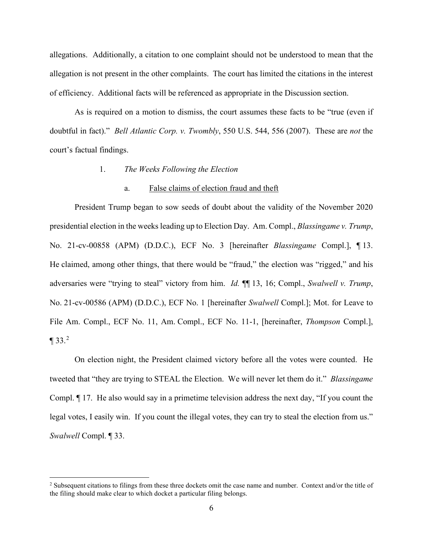allegations. Additionally, a citation to one complaint should not be understood to mean that the allegation is not present in the other complaints. The court has limited the citations in the interest of efficiency. Additional facts will be referenced as appropriate in the Discussion section.

As is required on a motion to dismiss, the court assumes these facts to be "true (even if doubtful in fact)." *Bell Atlantic Corp. v. Twombly*, 550 U.S. 544, 556 (2007). These are *not* the court's factual findings.

### 1. *The Weeks Following the Election*

### a. False claims of election fraud and theft

President Trump began to sow seeds of doubt about the validity of the November 2020 presidential election in the weeks leading up to Election Day. Am. Compl., *Blassingame v. Trump*, No. 21-cv-00858 (APM) (D.D.C.), ECF No. 3 [hereinafter *Blassingame* Compl.], ¶ 13. He claimed, among other things, that there would be "fraud," the election was "rigged," and his adversaries were "trying to steal" victory from him. *Id.* ¶¶ 13, 16; Compl., *Swalwell v. Trump*, No. 21-cv-00586 (APM) (D.D.C.), ECF No. 1 [hereinafter *Swalwell* Compl.]; Mot. for Leave to File Am. Compl., ECF No. 11, Am. Compl., ECF No. 11-1, [hereinafter, *Thompson* Compl.],  $\P$  33.<sup>2</sup>

On election night, the President claimed victory before all the votes were counted. He tweeted that "they are trying to STEAL the Election. We will never let them do it." *Blassingame*  Compl. ¶ 17. He also would say in a primetime television address the next day, "If you count the legal votes, I easily win. If you count the illegal votes, they can try to steal the election from us." *Swalwell* Compl. ¶ 33.

<sup>&</sup>lt;sup>2</sup> Subsequent citations to filings from these three dockets omit the case name and number. Context and/or the title of the filing should make clear to which docket a particular filing belongs.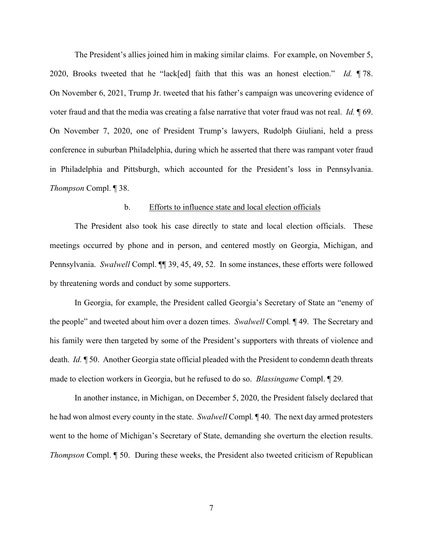The President's allies joined him in making similar claims. For example, on November 5, 2020, Brooks tweeted that he "lack[ed] faith that this was an honest election." *Id.* ¶ 78. On November 6, 2021, Trump Jr. tweeted that his father's campaign was uncovering evidence of voter fraud and that the media was creating a false narrative that voter fraud was not real. *Id.* ¶ 69. On November 7, 2020, one of President Trump's lawyers, Rudolph Giuliani, held a press conference in suburban Philadelphia, during which he asserted that there was rampant voter fraud in Philadelphia and Pittsburgh, which accounted for the President's loss in Pennsylvania. *Thompson* Compl. ¶ 38.

#### b. Efforts to influence state and local election officials

The President also took his case directly to state and local election officials. These meetings occurred by phone and in person, and centered mostly on Georgia, Michigan, and Pennsylvania. *Swalwell* Compl. ¶¶ 39, 45, 49, 52. In some instances, these efforts were followed by threatening words and conduct by some supporters.

In Georgia, for example, the President called Georgia's Secretary of State an "enemy of the people" and tweeted about him over a dozen times. *Swalwell* Compl*.* ¶ 49. The Secretary and his family were then targeted by some of the President's supporters with threats of violence and death. *Id.* ¶ 50. Another Georgia state official pleaded with the President to condemn death threats made to election workers in Georgia, but he refused to do so. *Blassingame* Compl. ¶ 29*.*

In another instance, in Michigan, on December 5, 2020, the President falsely declared that he had won almost every county in the state. *Swalwell* Compl*.* ¶ 40. The next day armed protesters went to the home of Michigan's Secretary of State, demanding she overturn the election results. *Thompson* Compl. *[50. During these weeks, the President also tweeted criticism of Republican*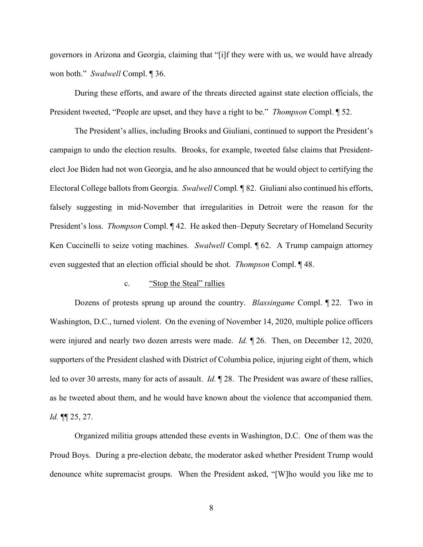governors in Arizona and Georgia, claiming that "[i]f they were with us, we would have already won both." *Swalwell* Compl. ¶ 36.

During these efforts, and aware of the threats directed against state election officials, the President tweeted, "People are upset, and they have a right to be." *Thompson* Compl. ¶ 52.

The President's allies, including Brooks and Giuliani, continued to support the President's campaign to undo the election results. Brooks, for example, tweeted false claims that Presidentelect Joe Biden had not won Georgia, and he also announced that he would object to certifying the Electoral College ballots from Georgia. *Swalwell* Compl*.* ¶ 82. Giuliani also continued his efforts, falsely suggesting in mid-November that irregularities in Detroit were the reason for the President's loss. *Thompson* Compl. ¶ 42. He asked then–Deputy Secretary of Homeland Security Ken Cuccinelli to seize voting machines. *Swalwell* Compl. ¶ 62. A Trump campaign attorney even suggested that an election official should be shot. *Thompson* Compl. ¶ 48.

# c. "Stop the Steal" rallies

Dozens of protests sprung up around the country. *Blassingame* Compl. ¶ 22. Two in Washington, D.C., turned violent. On the evening of November 14, 2020, multiple police officers were injured and nearly two dozen arrests were made. *Id.* ¶ 26. Then, on December 12, 2020, supporters of the President clashed with District of Columbia police, injuring eight of them, which led to over 30 arrests, many for acts of assault. *Id.* ¶ 28. The President was aware of these rallies, as he tweeted about them, and he would have known about the violence that accompanied them. *Id.* ¶¶ 25, 27.

 Organized militia groups attended these events in Washington, D.C. One of them was the Proud Boys. During a pre-election debate, the moderator asked whether President Trump would denounce white supremacist groups. When the President asked, "[W]ho would you like me to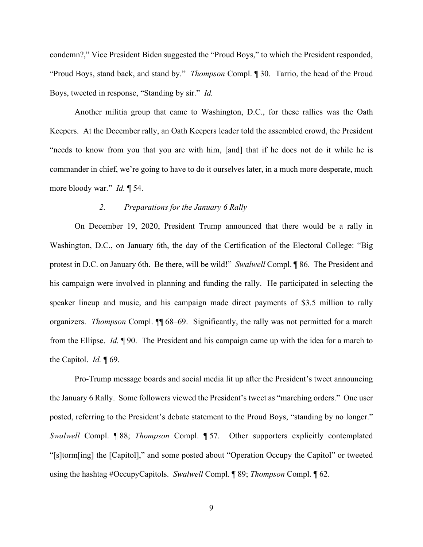condemn?," Vice President Biden suggested the "Proud Boys," to which the President responded, "Proud Boys, stand back, and stand by." *Thompson* Compl. ¶ 30. Tarrio, the head of the Proud Boys, tweeted in response, "Standing by sir." *Id.* 

Another militia group that came to Washington, D.C., for these rallies was the Oath Keepers. At the December rally, an Oath Keepers leader told the assembled crowd, the President "needs to know from you that you are with him, [and] that if he does not do it while he is commander in chief, we're going to have to do it ourselves later, in a much more desperate, much more bloody war." *Id.* ¶ 54.

## *2. Preparations for the January 6 Rally*

On December 19, 2020, President Trump announced that there would be a rally in Washington, D.C., on January 6th, the day of the Certification of the Electoral College: "Big protest in D.C. on January 6th. Be there, will be wild!" *Swalwell* Compl. ¶ 86. The President and his campaign were involved in planning and funding the rally. He participated in selecting the speaker lineup and music, and his campaign made direct payments of \$3.5 million to rally organizers. *Thompson* Compl. ¶¶ 68–69. Significantly, the rally was not permitted for a march from the Ellipse. *Id.* ¶ 90. The President and his campaign came up with the idea for a march to the Capitol. *Id.* ¶ 69.

Pro-Trump message boards and social media lit up after the President's tweet announcing the January 6 Rally. Some followers viewed the President's tweet as "marching orders." One user posted, referring to the President's debate statement to the Proud Boys, "standing by no longer." *Swalwell* Compl. ¶ 88; *Thompson* Compl. ¶ 57. Other supporters explicitly contemplated "[s]torm[ing] the [Capitol]," and some posted about "Operation Occupy the Capitol" or tweeted using the hashtag #OccupyCapitols. *Swalwell* Compl. ¶ 89; *Thompson* Compl. ¶ 62.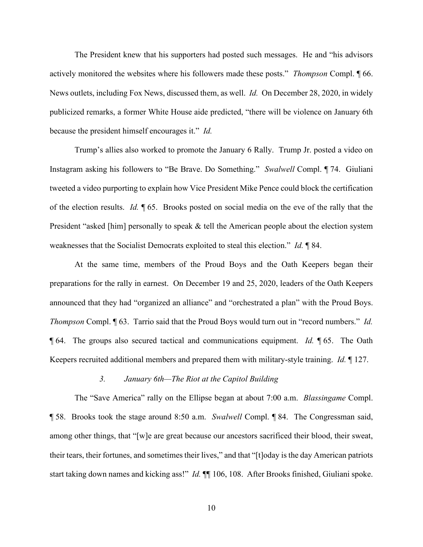The President knew that his supporters had posted such messages. He and "his advisors actively monitored the websites where his followers made these posts." *Thompson* Compl. ¶ 66. News outlets, including Fox News, discussed them, as well. *Id.* On December 28, 2020, in widely publicized remarks, a former White House aide predicted, "there will be violence on January 6th because the president himself encourages it." *Id.*

Trump's allies also worked to promote the January 6 Rally. Trump Jr. posted a video on Instagram asking his followers to "Be Brave. Do Something." *Swalwell* Compl. ¶ 74. Giuliani tweeted a video purporting to explain how Vice President Mike Pence could block the certification of the election results. *Id.* ¶ 65. Brooks posted on social media on the eve of the rally that the President "asked [him] personally to speak & tell the American people about the election system weaknesses that the Socialist Democrats exploited to steal this election." *Id.* ¶ 84.

At the same time, members of the Proud Boys and the Oath Keepers began their preparations for the rally in earnest. On December 19 and 25, 2020, leaders of the Oath Keepers announced that they had "organized an alliance" and "orchestrated a plan" with the Proud Boys. *Thompson* Compl. ¶ 63. Tarrio said that the Proud Boys would turn out in "record numbers." *Id.*  ¶ 64. The groups also secured tactical and communications equipment. *Id.* ¶ 65. The Oath Keepers recruited additional members and prepared them with military-style training. *Id.* ¶ 127.

## *3. January 6th—The Riot at the Capitol Building*

The "Save America" rally on the Ellipse began at about 7:00 a.m. *Blassingame* Compl. ¶ 58. Brooks took the stage around 8:50 a.m. *Swalwell* Compl. ¶ 84. The Congressman said, among other things, that "[w]e are great because our ancestors sacrificed their blood, their sweat, their tears, their fortunes, and sometimes their lives," and that "[t]oday is the day American patriots start taking down names and kicking ass!" *Id.* ¶¶ 106, 108. After Brooks finished, Giuliani spoke.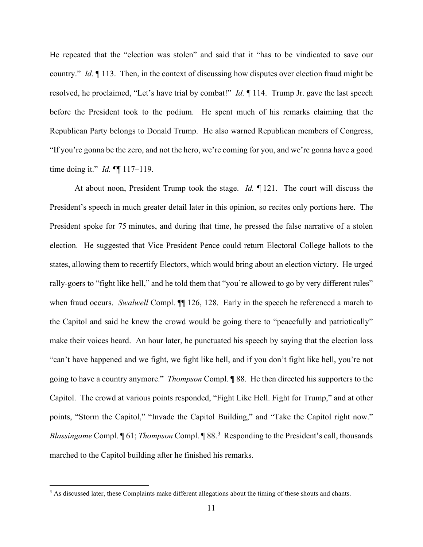He repeated that the "election was stolen" and said that it "has to be vindicated to save our country." *Id.* ¶ 113. Then, in the context of discussing how disputes over election fraud might be resolved, he proclaimed, "Let's have trial by combat!" *Id.* ¶ 114. Trump Jr. gave the last speech before the President took to the podium. He spent much of his remarks claiming that the Republican Party belongs to Donald Trump. He also warned Republican members of Congress, "If you're gonna be the zero, and not the hero, we're coming for you, and we're gonna have a good time doing it." *Id.* ¶¶ 117–119.

At about noon, President Trump took the stage. *Id.* ¶ 121. The court will discuss the President's speech in much greater detail later in this opinion, so recites only portions here. The President spoke for 75 minutes, and during that time, he pressed the false narrative of a stolen election. He suggested that Vice President Pence could return Electoral College ballots to the states, allowing them to recertify Electors, which would bring about an election victory. He urged rally-goers to "fight like hell," and he told them that "you're allowed to go by very different rules" when fraud occurs. *Swalwell* Compl.  $\P$  126, 128. Early in the speech he referenced a march to the Capitol and said he knew the crowd would be going there to "peacefully and patriotically" make their voices heard. An hour later, he punctuated his speech by saying that the election loss "can't have happened and we fight, we fight like hell, and if you don't fight like hell, you're not going to have a country anymore." *Thompson* Compl. ¶ 88. He then directed his supporters to the Capitol. The crowd at various points responded, "Fight Like Hell. Fight for Trump," and at other points, "Storm the Capitol," "Invade the Capitol Building," and "Take the Capitol right now." Blassingame Compl.  $\P$  61; *Thompson* Compl.  $\P$  88.<sup>3</sup> Responding to the President's call, thousands marched to the Capitol building after he finished his remarks.

<sup>&</sup>lt;sup>3</sup> As discussed later, these Complaints make different allegations about the timing of these shouts and chants.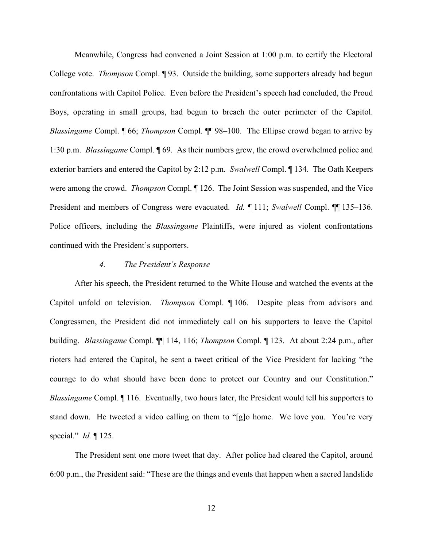Meanwhile, Congress had convened a Joint Session at 1:00 p.m. to certify the Electoral College vote. *Thompson* Compl. ¶ 93. Outside the building, some supporters already had begun confrontations with Capitol Police. Even before the President's speech had concluded, the Proud Boys, operating in small groups, had begun to breach the outer perimeter of the Capitol. *Blassingame* Compl. ¶ 66; *Thompson* Compl. ¶¶ 98–100. The Ellipse crowd began to arrive by 1:30 p.m. *Blassingame* Compl. ¶ 69. As their numbers grew, the crowd overwhelmed police and exterior barriers and entered the Capitol by 2:12 p.m. *Swalwell* Compl. ¶ 134. The Oath Keepers were among the crowd. *Thompson* Compl. ¶ 126. The Joint Session was suspended, and the Vice President and members of Congress were evacuated. *Id.* ¶ 111; *Swalwell* Compl. ¶¶ 135–136. Police officers, including the *Blassingame* Plaintiffs, were injured as violent confrontations continued with the President's supporters.

#### *4. The President's Response*

After his speech, the President returned to the White House and watched the events at the Capitol unfold on television. *Thompson* Compl. ¶ 106. Despite pleas from advisors and Congressmen, the President did not immediately call on his supporters to leave the Capitol building. *Blassingame* Compl. ¶¶ 114, 116; *Thompson* Compl. ¶ 123. At about 2:24 p.m., after rioters had entered the Capitol, he sent a tweet critical of the Vice President for lacking "the courage to do what should have been done to protect our Country and our Constitution." *Blassingame* Compl. ¶ 116. Eventually, two hours later, the President would tell his supporters to stand down. He tweeted a video calling on them to "[g]o home. We love you. You're very special." *Id.* ¶ 125.

The President sent one more tweet that day. After police had cleared the Capitol, around 6:00 p.m., the President said: "These are the things and events that happen when a sacred landslide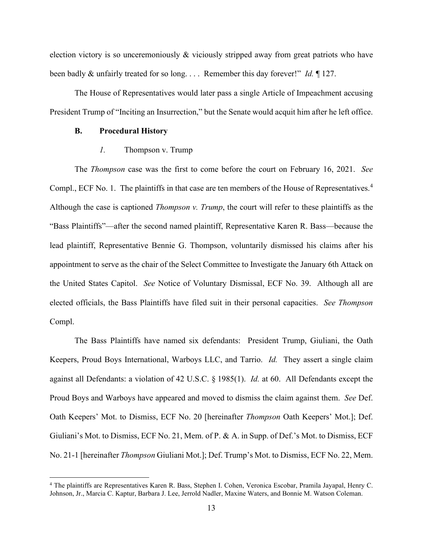election victory is so unceremoniously & viciously stripped away from great patriots who have been badly & unfairly treated for so long. . . . Remember this day forever!" *Id.* ¶ 127.

The House of Representatives would later pass a single Article of Impeachment accusing President Trump of "Inciting an Insurrection," but the Senate would acquit him after he left office.

### **B. Procedural History**

*1.* Thompson v. Trump

The *Thompson* case was the first to come before the court on February 16, 2021. *See* Compl., ECF No. 1. The plaintiffs in that case are ten members of the House of Representatives.<sup>4</sup> Although the case is captioned *Thompson v. Trump*, the court will refer to these plaintiffs as the "Bass Plaintiffs"—after the second named plaintiff, Representative Karen R. Bass—because the lead plaintiff, Representative Bennie G. Thompson, voluntarily dismissed his claims after his appointment to serve as the chair of the Select Committee to Investigate the January 6th Attack on the United States Capitol. *See* Notice of Voluntary Dismissal, ECF No. 39. Although all are elected officials, the Bass Plaintiffs have filed suit in their personal capacities. *See Thompson*  Compl.

The Bass Plaintiffs have named six defendants: President Trump, Giuliani, the Oath Keepers, Proud Boys International, Warboys LLC, and Tarrio. *Id.* They assert a single claim against all Defendants: a violation of 42 U.S.C. § 1985(1). *Id.* at 60. All Defendants except the Proud Boys and Warboys have appeared and moved to dismiss the claim against them. *See* Def. Oath Keepers' Mot. to Dismiss, ECF No. 20 [hereinafter *Thompson* Oath Keepers' Mot.]; Def. Giuliani's Mot. to Dismiss, ECF No. 21, Mem. of P. & A. in Supp. of Def.'s Mot. to Dismiss, ECF No. 21-1 [hereinafter *Thompson* Giuliani Mot.]; Def. Trump's Mot. to Dismiss, ECF No. 22, Mem.

<sup>4</sup> The plaintiffs are Representatives Karen R. Bass, Stephen I. Cohen, Veronica Escobar, Pramila Jayapal, Henry C. Johnson, Jr., Marcia C. Kaptur, Barbara J. Lee, Jerrold Nadler, Maxine Waters, and Bonnie M. Watson Coleman.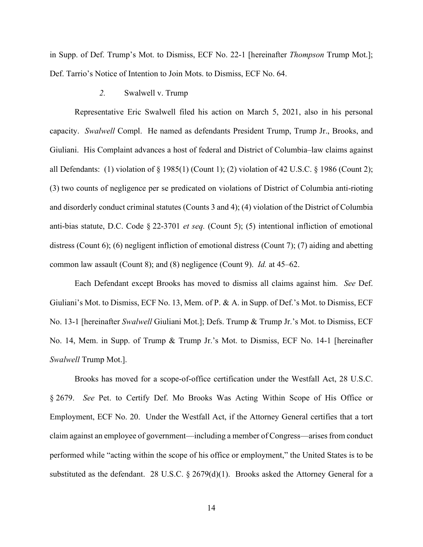in Supp. of Def. Trump's Mot. to Dismiss, ECF No. 22-1 [hereinafter *Thompson* Trump Mot.]; Def. Tarrio's Notice of Intention to Join Mots. to Dismiss, ECF No. 64.

*2.* Swalwell v. Trump

Representative Eric Swalwell filed his action on March 5, 2021, also in his personal capacity. *Swalwell* Compl. He named as defendants President Trump, Trump Jr., Brooks, and Giuliani. His Complaint advances a host of federal and District of Columbia–law claims against all Defendants: (1) violation of  $\S$  1985(1) (Count 1); (2) violation of 42 U.S.C.  $\S$  1986 (Count 2); (3) two counts of negligence per se predicated on violations of District of Columbia anti-rioting and disorderly conduct criminal statutes (Counts 3 and 4); (4) violation of the District of Columbia anti-bias statute, D.C. Code § 22-3701 *et seq.* (Count 5); (5) intentional infliction of emotional distress (Count 6); (6) negligent infliction of emotional distress (Count 7); (7) aiding and abetting common law assault (Count 8); and (8) negligence (Count 9). *Id.* at 45–62.

Each Defendant except Brooks has moved to dismiss all claims against him. *See* Def. Giuliani's Mot. to Dismiss, ECF No. 13, Mem. of P. & A. in Supp. of Def.'s Mot. to Dismiss, ECF No. 13-1 [hereinafter *Swalwell* Giuliani Mot.]; Defs. Trump & Trump Jr.'s Mot. to Dismiss, ECF No. 14, Mem. in Supp. of Trump & Trump Jr.'s Mot. to Dismiss, ECF No. 14-1 [hereinafter *Swalwell* Trump Mot.].

Brooks has moved for a scope-of-office certification under the Westfall Act, 28 U.S.C. § 2679. *See* Pet. to Certify Def. Mo Brooks Was Acting Within Scope of His Office or Employment, ECF No. 20. Under the Westfall Act, if the Attorney General certifies that a tort claim against an employee of government—including a member of Congress—arises from conduct performed while "acting within the scope of his office or employment," the United States is to be substituted as the defendant. 28 U.S.C. § 2679(d)(1). Brooks asked the Attorney General for a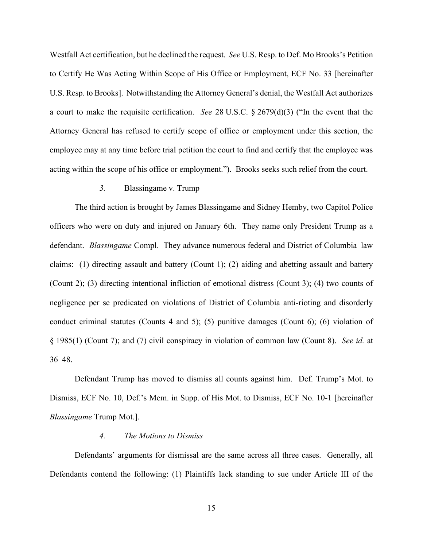Westfall Act certification, but he declined the request. *See* U.S. Resp. to Def. Mo Brooks's Petition to Certify He Was Acting Within Scope of His Office or Employment, ECF No. 33 [hereinafter U.S. Resp. to Brooks]. Notwithstanding the Attorney General's denial, the Westfall Act authorizes a court to make the requisite certification. *See* 28 U.S.C. § 2679(d)(3) ("In the event that the Attorney General has refused to certify scope of office or employment under this section, the employee may at any time before trial petition the court to find and certify that the employee was acting within the scope of his office or employment."). Brooks seeks such relief from the court.

# *3.* Blassingame v. Trump

The third action is brought by James Blassingame and Sidney Hemby, two Capitol Police officers who were on duty and injured on January 6th. They name only President Trump as a defendant. *Blassingame* Compl. They advance numerous federal and District of Columbia–law claims: (1) directing assault and battery (Count 1); (2) aiding and abetting assault and battery (Count 2); (3) directing intentional infliction of emotional distress (Count 3); (4) two counts of negligence per se predicated on violations of District of Columbia anti-rioting and disorderly conduct criminal statutes (Counts 4 and 5); (5) punitive damages (Count 6); (6) violation of § 1985(1) (Count 7); and (7) civil conspiracy in violation of common law (Count 8). *See id.* at 36–48.

Defendant Trump has moved to dismiss all counts against him. Def. Trump's Mot. to Dismiss, ECF No. 10, Def.'s Mem. in Supp. of His Mot. to Dismiss, ECF No. 10-1 [hereinafter *Blassingame* Trump Mot.].

#### *4. The Motions to Dismiss*

Defendants' arguments for dismissal are the same across all three cases. Generally, all Defendants contend the following: (1) Plaintiffs lack standing to sue under Article III of the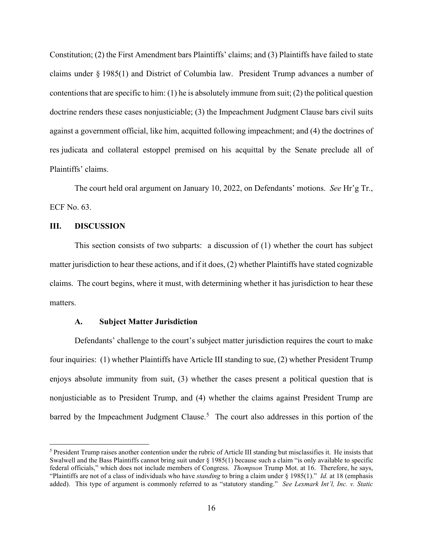Constitution; (2) the First Amendment bars Plaintiffs' claims; and (3) Plaintiffs have failed to state claims under § 1985(1) and District of Columbia law. President Trump advances a number of contentions that are specific to him: (1) he is absolutely immune from suit; (2) the political question doctrine renders these cases nonjusticiable; (3) the Impeachment Judgment Clause bars civil suits against a government official, like him, acquitted following impeachment; and (4) the doctrines of res judicata and collateral estoppel premised on his acquittal by the Senate preclude all of Plaintiffs' claims.

The court held oral argument on January 10, 2022, on Defendants' motions. *See* Hr'g Tr., ECF No. 63.

# **III. DISCUSSION**

This section consists of two subparts: a discussion of (1) whether the court has subject matter jurisdiction to hear these actions, and if it does, (2) whether Plaintiffs have stated cognizable claims. The court begins, where it must, with determining whether it has jurisdiction to hear these matters.

# **A. Subject Matter Jurisdiction**

Defendants' challenge to the court's subject matter jurisdiction requires the court to make four inquiries: (1) whether Plaintiffs have Article III standing to sue, (2) whether President Trump enjoys absolute immunity from suit, (3) whether the cases present a political question that is nonjusticiable as to President Trump, and (4) whether the claims against President Trump are barred by the Impeachment Judgment Clause.<sup>5</sup> The court also addresses in this portion of the

<sup>5</sup> President Trump raises another contention under the rubric of Article III standing but misclassifies it. He insists that Swalwell and the Bass Plaintiffs cannot bring suit under § 1985(1) because such a claim "is only available to specific federal officials," which does not include members of Congress. *Thompson* Trump Mot. at 16. Therefore, he says, "Plaintiffs are not of a class of individuals who have *standing* to bring a claim under § 1985(1)." *Id.* at 18 (emphasis added).This type of argument is commonly referred to as "statutory standing." *See Lexmark Int'l, Inc. v. Static*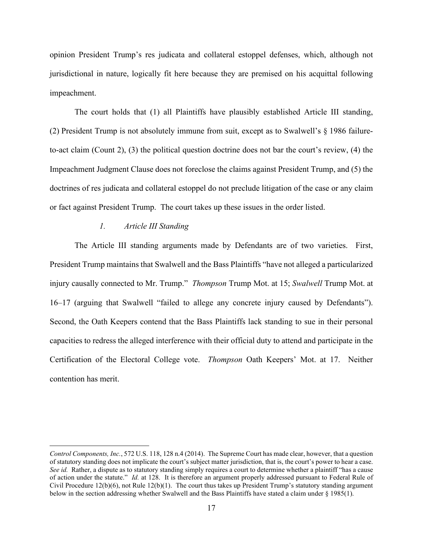opinion President Trump's res judicata and collateral estoppel defenses, which, although not jurisdictional in nature, logically fit here because they are premised on his acquittal following impeachment.

The court holds that (1) all Plaintiffs have plausibly established Article III standing, (2) President Trump is not absolutely immune from suit, except as to Swalwell's § 1986 failureto-act claim (Count 2), (3) the political question doctrine does not bar the court's review, (4) the Impeachment Judgment Clause does not foreclose the claims against President Trump, and (5) the doctrines of res judicata and collateral estoppel do not preclude litigation of the case or any claim or fact against President Trump. The court takes up these issues in the order listed.

### *1. Article III Standing*

The Article III standing arguments made by Defendants are of two varieties. First, President Trump maintains that Swalwell and the Bass Plaintiffs "have not alleged a particularized injury causally connected to Mr. Trump." *Thompson* Trump Mot. at 15; *Swalwell* Trump Mot. at 16–17 (arguing that Swalwell "failed to allege any concrete injury caused by Defendants"). Second, the Oath Keepers contend that the Bass Plaintiffs lack standing to sue in their personal capacities to redress the alleged interference with their official duty to attend and participate in the Certification of the Electoral College vote. *Thompson* Oath Keepers' Mot. at 17. Neither contention has merit.

*Control Components, Inc.*, 572 U.S. 118, 128 n.4 (2014). The Supreme Court has made clear, however, that a question of statutory standing does not implicate the court's subject matter jurisdiction, that is, the court's power to hear a case. *See id.* Rather, a dispute as to statutory standing simply requires a court to determine whether a plaintiff "has a cause of action under the statute." *Id.* at 128. It is therefore an argument properly addressed pursuant to Federal Rule of Civil Procedure  $12(b)(6)$ , not Rule  $12(b)(1)$ . The court thus takes up President Trump's statutory standing argument below in the section addressing whether Swalwell and the Bass Plaintiffs have stated a claim under § 1985(1).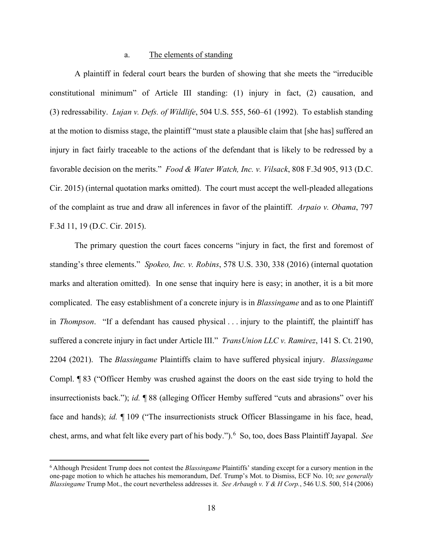## a. The elements of standing

A plaintiff in federal court bears the burden of showing that she meets the "irreducible constitutional minimum" of Article III standing: (1) injury in fact, (2) causation, and (3) redressability. *Lujan v. Defs. of Wildlife*, 504 U.S. 555, 560–61 (1992). To establish standing at the motion to dismiss stage, the plaintiff "must state a plausible claim that [she has] suffered an injury in fact fairly traceable to the actions of the defendant that is likely to be redressed by a favorable decision on the merits." *Food & Water Watch, Inc. v. Vilsack*, 808 F.3d 905, 913 (D.C. Cir. 2015) (internal quotation marks omitted). The court must accept the well-pleaded allegations of the complaint as true and draw all inferences in favor of the plaintiff. *Arpaio v. Obama*, 797 F.3d 11, 19 (D.C. Cir. 2015).

The primary question the court faces concerns "injury in fact, the first and foremost of standing's three elements." *Spokeo, Inc. v. Robins*, 578 U.S. 330, 338 (2016) (internal quotation marks and alteration omitted). In one sense that inquiry here is easy; in another, it is a bit more complicated. The easy establishment of a concrete injury is in *Blassingame* and as to one Plaintiff in *Thompson*. "If a defendant has caused physical . . injury to the plaintiff, the plaintiff has suffered a concrete injury in fact under Article III." *TransUnion LLC v. Ramirez*, 141 S. Ct. 2190, 2204 (2021). The *Blassingame* Plaintiffs claim to have suffered physical injury. *Blassingame* Compl. ¶ 83 ("Officer Hemby was crushed against the doors on the east side trying to hold the insurrectionists back."); *id.* ¶ 88 (alleging Officer Hemby suffered "cuts and abrasions" over his face and hands); *id.* ¶ 109 ("The insurrectionists struck Officer Blassingame in his face, head, chest, arms, and what felt like every part of his body.").<sup>6</sup> So, too, does Bass Plaintiff Jayapal. *See* 

<sup>6</sup> Although President Trump does not contest the *Blassingame* Plaintiffs' standing except for a cursory mention in the one-page motion to which he attaches his memorandum, Def. Trump's Mot. to Dismiss, ECF No. 10; *see generally Blassingame* Trump Mot., the court nevertheless addresses it. *See Arbaugh v. Y & H Corp.*, 546 U.S. 500, 514 (2006)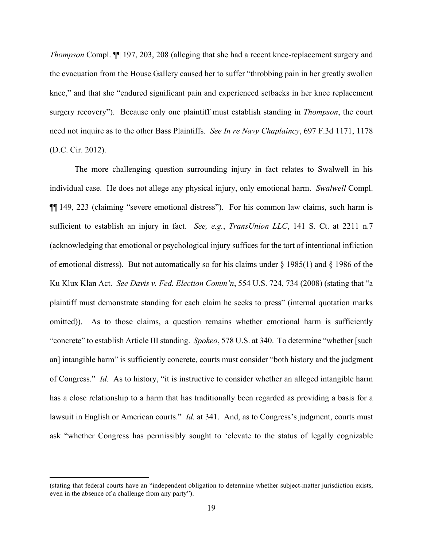*Thompson* Compl. ¶¶ 197, 203, 208 (alleging that she had a recent knee-replacement surgery and the evacuation from the House Gallery caused her to suffer "throbbing pain in her greatly swollen knee," and that she "endured significant pain and experienced setbacks in her knee replacement surgery recovery"). Because only one plaintiff must establish standing in *Thompson*, the court need not inquire as to the other Bass Plaintiffs. *See In re Navy Chaplaincy*, 697 F.3d 1171, 1178 (D.C. Cir. 2012).

The more challenging question surrounding injury in fact relates to Swalwell in his individual case. He does not allege any physical injury, only emotional harm. *Swalwell* Compl. ¶¶ 149, 223 (claiming "severe emotional distress"). For his common law claims, such harm is sufficient to establish an injury in fact. *See, e.g.*, *TransUnion LLC*, 141 S. Ct. at 2211 n.7 (acknowledging that emotional or psychological injury suffices for the tort of intentional infliction of emotional distress). But not automatically so for his claims under  $\S 1985(1)$  and  $\S 1986$  of the Ku Klux Klan Act. *See Davis v. Fed. Election Comm'n*, 554 U.S. 724, 734 (2008) (stating that "a plaintiff must demonstrate standing for each claim he seeks to press" (internal quotation marks omitted)). As to those claims, a question remains whether emotional harm is sufficiently "concrete" to establish Article III standing. *Spokeo*, 578 U.S. at 340. To determine "whether [such an] intangible harm" is sufficiently concrete, courts must consider "both history and the judgment of Congress." *Id.* As to history, "it is instructive to consider whether an alleged intangible harm has a close relationship to a harm that has traditionally been regarded as providing a basis for a lawsuit in English or American courts." *Id.* at 341. And, as to Congress's judgment, courts must ask "whether Congress has permissibly sought to 'elevate to the status of legally cognizable

<sup>(</sup>stating that federal courts have an "independent obligation to determine whether subject-matter jurisdiction exists, even in the absence of a challenge from any party").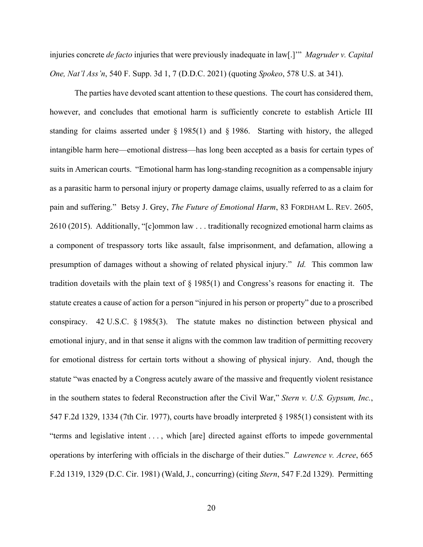injuries concrete *de facto* injuries that were previously inadequate in law[.]'" *Magruder v. Capital One, Nat'l Ass'n*, 540 F. Supp. 3d 1, 7 (D.D.C. 2021) (quoting *Spokeo*, 578 U.S. at 341).

The parties have devoted scant attention to these questions. The court has considered them, however, and concludes that emotional harm is sufficiently concrete to establish Article III standing for claims asserted under § 1985(1) and § 1986. Starting with history, the alleged intangible harm here—emotional distress—has long been accepted as a basis for certain types of suits in American courts. "Emotional harm has long-standing recognition as a compensable injury as a parasitic harm to personal injury or property damage claims, usually referred to as a claim for pain and suffering." Betsy J. Grey, *The Future of Emotional Harm*, 83 FORDHAM L. REV. 2605, 2610 (2015). Additionally, "[c]ommon law . . . traditionally recognized emotional harm claims as a component of trespassory torts like assault, false imprisonment, and defamation, allowing a presumption of damages without a showing of related physical injury." *Id.* This common law tradition dovetails with the plain text of § 1985(1) and Congress's reasons for enacting it. The statute creates a cause of action for a person "injured in his person or property" due to a proscribed conspiracy. 42 U.S.C. § 1985(3). The statute makes no distinction between physical and emotional injury, and in that sense it aligns with the common law tradition of permitting recovery for emotional distress for certain torts without a showing of physical injury. And, though the statute "was enacted by a Congress acutely aware of the massive and frequently violent resistance in the southern states to federal Reconstruction after the Civil War," *Stern v. U.S. Gypsum, Inc.*, 547 F.2d 1329, 1334 (7th Cir. 1977), courts have broadly interpreted § 1985(1) consistent with its "terms and legislative intent . . . , which [are] directed against efforts to impede governmental operations by interfering with officials in the discharge of their duties." *Lawrence v. Acree*, 665 F.2d 1319, 1329 (D.C. Cir. 1981) (Wald, J., concurring) (citing *Stern*, 547 F.2d 1329). Permitting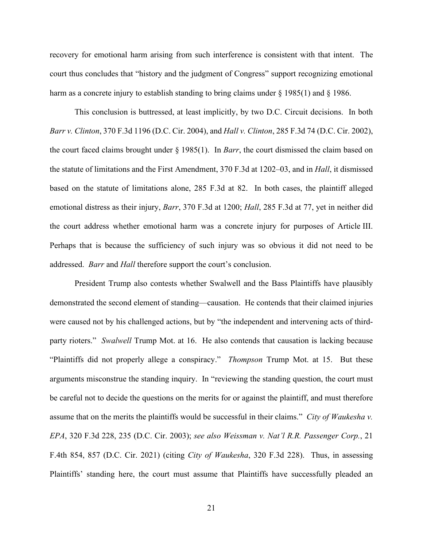recovery for emotional harm arising from such interference is consistent with that intent. The court thus concludes that "history and the judgment of Congress" support recognizing emotional harm as a concrete injury to establish standing to bring claims under § 1985(1) and § 1986.

This conclusion is buttressed, at least implicitly, by two D.C. Circuit decisions. In both *Barr v. Clinton*, 370 F.3d 1196 (D.C. Cir. 2004), and *Hall v. Clinton*, 285 F.3d 74 (D.C. Cir. 2002), the court faced claims brought under § 1985(1). In *Barr*, the court dismissed the claim based on the statute of limitations and the First Amendment, 370 F.3d at 1202–03, and in *Hall*, it dismissed based on the statute of limitations alone, 285 F.3d at 82. In both cases, the plaintiff alleged emotional distress as their injury, *Barr*, 370 F.3d at 1200; *Hall*, 285 F.3d at 77, yet in neither did the court address whether emotional harm was a concrete injury for purposes of Article III. Perhaps that is because the sufficiency of such injury was so obvious it did not need to be addressed. *Barr* and *Hall* therefore support the court's conclusion.

President Trump also contests whether Swalwell and the Bass Plaintiffs have plausibly demonstrated the second element of standing—causation. He contends that their claimed injuries were caused not by his challenged actions, but by "the independent and intervening acts of thirdparty rioters." *Swalwell* Trump Mot. at 16. He also contends that causation is lacking because "Plaintiffs did not properly allege a conspiracy." *Thompson* Trump Mot. at 15. But these arguments misconstrue the standing inquiry. In "reviewing the standing question, the court must be careful not to decide the questions on the merits for or against the plaintiff, and must therefore assume that on the merits the plaintiffs would be successful in their claims." *City of Waukesha v. EPA*, 320 F.3d 228, 235 (D.C. Cir. 2003); *see also Weissman v. Nat'l R.R. Passenger Corp.*, 21 F.4th 854, 857 (D.C. Cir. 2021) (citing *City of Waukesha*, 320 F.3d 228). Thus, in assessing Plaintiffs' standing here, the court must assume that Plaintiffs have successfully pleaded an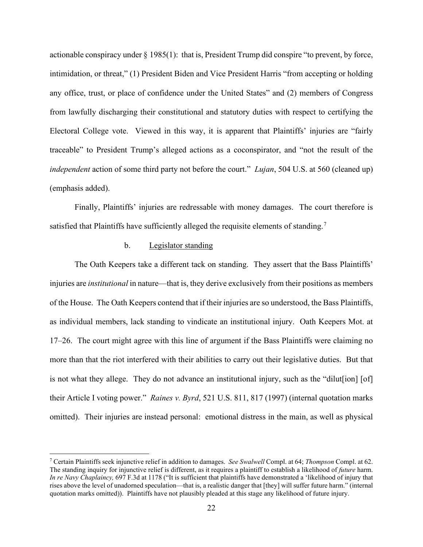actionable conspiracy under  $\S 1985(1)$ : that is, President Trump did conspire "to prevent, by force, intimidation, or threat," (1) President Biden and Vice President Harris "from accepting or holding any office, trust, or place of confidence under the United States" and (2) members of Congress from lawfully discharging their constitutional and statutory duties with respect to certifying the Electoral College vote. Viewed in this way, it is apparent that Plaintiffs' injuries are "fairly traceable" to President Trump's alleged actions as a coconspirator, and "not the result of the *independent* action of some third party not before the court." *Lujan*, 504 U.S. at 560 (cleaned up) (emphasis added).

Finally, Plaintiffs' injuries are redressable with money damages. The court therefore is satisfied that Plaintiffs have sufficiently alleged the requisite elements of standing.<sup>7</sup>

# b. Legislator standing

The Oath Keepers take a different tack on standing. They assert that the Bass Plaintiffs' injuries are *institutional* in nature—that is, they derive exclusively from their positions as members of the House. The Oath Keepers contend that if their injuries are so understood, the Bass Plaintiffs, as individual members, lack standing to vindicate an institutional injury. Oath Keepers Mot. at 17–26. The court might agree with this line of argument if the Bass Plaintiffs were claiming no more than that the riot interfered with their abilities to carry out their legislative duties. But that is not what they allege. They do not advance an institutional injury, such as the "dilut[ion] [of] their Article I voting power." *Raines v. Byrd*, 521 U.S. 811, 817 (1997) (internal quotation marks omitted). Their injuries are instead personal: emotional distress in the main, as well as physical

<sup>7</sup> Certain Plaintiffs seek injunctive relief in addition to damages. *See Swalwell* Compl. at 64; *Thompson* Compl. at 62. The standing inquiry for injunctive relief is different, as it requires a plaintiff to establish a likelihood of *future* harm. *In re Navy Chaplaincy,* 697 F.3d at 1178 ("It is sufficient that plaintiffs have demonstrated a 'likelihood of injury that rises above the level of unadorned speculation—that is, a realistic danger that [they] will suffer future harm." (internal quotation marks omitted)). Plaintiffs have not plausibly pleaded at this stage any likelihood of future injury.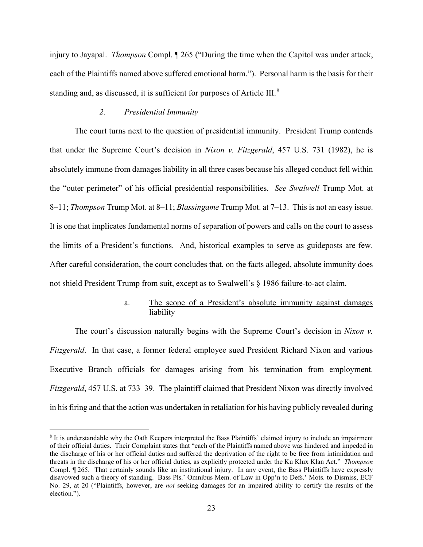injury to Jayapal. *Thompson* Compl. ¶ 265 ("During the time when the Capitol was under attack, each of the Plaintiffs named above suffered emotional harm."). Personal harm is the basis for their standing and, as discussed, it is sufficient for purposes of Article III. $^8$ 

### *2. Presidential Immunity*

The court turns next to the question of presidential immunity. President Trump contends that under the Supreme Court's decision in *Nixon v. Fitzgerald*, 457 U.S. 731 (1982), he is absolutely immune from damages liability in all three cases because his alleged conduct fell within the "outer perimeter" of his official presidential responsibilities. *See Swalwell* Trump Mot. at 8–11; *Thompson* Trump Mot. at 8–11; *Blassingame* Trump Mot. at 7–13. This is not an easy issue. It is one that implicates fundamental norms of separation of powers and calls on the court to assess the limits of a President's functions. And, historical examples to serve as guideposts are few. After careful consideration, the court concludes that, on the facts alleged, absolute immunity does not shield President Trump from suit, except as to Swalwell's § 1986 failure-to-act claim.

# a. The scope of a President's absolute immunity against damages liability

The court's discussion naturally begins with the Supreme Court's decision in *Nixon v. Fitzgerald*. In that case, a former federal employee sued President Richard Nixon and various Executive Branch officials for damages arising from his termination from employment. *Fitzgerald*, 457 U.S. at 733–39. The plaintiff claimed that President Nixon was directly involved in his firing and that the action was undertaken in retaliation for his having publicly revealed during

<sup>8</sup> It is understandable why the Oath Keepers interpreted the Bass Plaintiffs' claimed injury to include an impairment of their official duties. Their Complaint states that "each of the Plaintiffs named above was hindered and impeded in the discharge of his or her official duties and suffered the deprivation of the right to be free from intimidation and threats in the discharge of his or her official duties, as explicitly protected under the Ku Klux Klan Act." *Thompson*  Compl. ¶ 265. That certainly sounds like an institutional injury. In any event, the Bass Plaintiffs have expressly disavowed such a theory of standing. Bass Pls.' Omnibus Mem. of Law in Opp'n to Defs.' Mots. to Dismiss, ECF No. 29, at 20 ("Plaintiffs, however, are *not* seeking damages for an impaired ability to certify the results of the election.").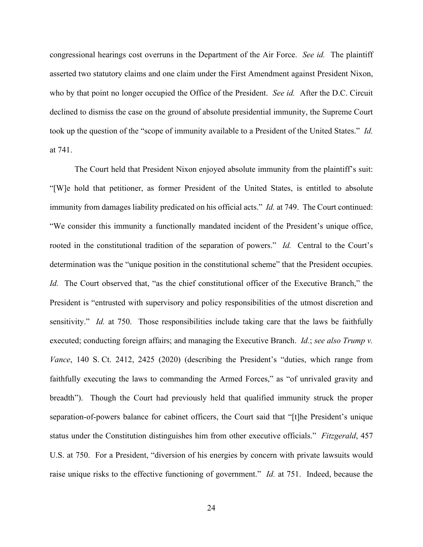congressional hearings cost overruns in the Department of the Air Force. *See id.* The plaintiff asserted two statutory claims and one claim under the First Amendment against President Nixon, who by that point no longer occupied the Office of the President. *See id.* After the D.C. Circuit declined to dismiss the case on the ground of absolute presidential immunity, the Supreme Court took up the question of the "scope of immunity available to a President of the United States." *Id.*  at 741.

The Court held that President Nixon enjoyed absolute immunity from the plaintiff's suit: "[W]e hold that petitioner, as former President of the United States, is entitled to absolute immunity from damages liability predicated on his official acts." *Id.* at 749. The Court continued: "We consider this immunity a functionally mandated incident of the President's unique office, rooted in the constitutional tradition of the separation of powers." *Id.* Central to the Court's determination was the "unique position in the constitutional scheme" that the President occupies. *Id.* The Court observed that, "as the chief constitutional officer of the Executive Branch," the President is "entrusted with supervisory and policy responsibilities of the utmost discretion and sensitivity." *Id.* at 750. Those responsibilities include taking care that the laws be faithfully executed; conducting foreign affairs; and managing the Executive Branch. *Id.*; *see also Trump v. Vance*, 140 S. Ct. 2412, 2425 (2020) (describing the President's "duties, which range from faithfully executing the laws to commanding the Armed Forces," as "of unrivaled gravity and breadth"). Though the Court had previously held that qualified immunity struck the proper separation-of-powers balance for cabinet officers, the Court said that "[t]he President's unique status under the Constitution distinguishes him from other executive officials." *Fitzgerald*, 457 U.S. at 750. For a President, "diversion of his energies by concern with private lawsuits would raise unique risks to the effective functioning of government." *Id.* at 751. Indeed, because the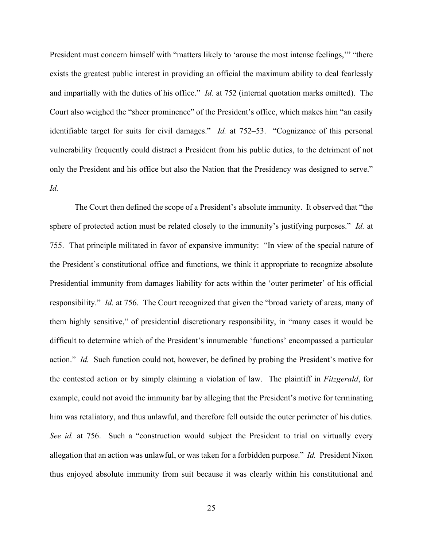President must concern himself with "matters likely to 'arouse the most intense feelings,'" "there exists the greatest public interest in providing an official the maximum ability to deal fearlessly and impartially with the duties of his office." *Id.* at 752 (internal quotation marks omitted). The Court also weighed the "sheer prominence" of the President's office, which makes him "an easily identifiable target for suits for civil damages." *Id.* at 752–53. "Cognizance of this personal vulnerability frequently could distract a President from his public duties, to the detriment of not only the President and his office but also the Nation that the Presidency was designed to serve." *Id.*

The Court then defined the scope of a President's absolute immunity. It observed that "the sphere of protected action must be related closely to the immunity's justifying purposes." *Id.* at 755. That principle militated in favor of expansive immunity: "In view of the special nature of the President's constitutional office and functions, we think it appropriate to recognize absolute Presidential immunity from damages liability for acts within the 'outer perimeter' of his official responsibility." *Id.* at 756. The Court recognized that given the "broad variety of areas, many of them highly sensitive," of presidential discretionary responsibility, in "many cases it would be difficult to determine which of the President's innumerable 'functions' encompassed a particular action." *Id.* Such function could not, however, be defined by probing the President's motive for the contested action or by simply claiming a violation of law. The plaintiff in *Fitzgerald*, for example, could not avoid the immunity bar by alleging that the President's motive for terminating him was retaliatory, and thus unlawful, and therefore fell outside the outer perimeter of his duties. *See id.* at 756. Such a "construction would subject the President to trial on virtually every allegation that an action was unlawful, or was taken for a forbidden purpose." *Id.* President Nixon thus enjoyed absolute immunity from suit because it was clearly within his constitutional and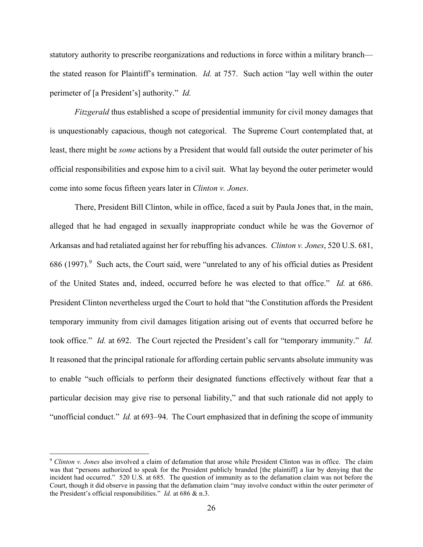statutory authority to prescribe reorganizations and reductions in force within a military branch the stated reason for Plaintiff's termination. *Id.* at 757. Such action "lay well within the outer perimeter of [a President's] authority." *Id.* 

*Fitzgerald* thus established a scope of presidential immunity for civil money damages that is unquestionably capacious, though not categorical. The Supreme Court contemplated that, at least, there might be *some* actions by a President that would fall outside the outer perimeter of his official responsibilities and expose him to a civil suit. What lay beyond the outer perimeter would come into some focus fifteen years later in *Clinton v. Jones*.

There, President Bill Clinton, while in office, faced a suit by Paula Jones that, in the main, alleged that he had engaged in sexually inappropriate conduct while he was the Governor of Arkansas and had retaliated against her for rebuffing his advances. *Clinton v. Jones*, 520 U.S. 681,  $686$  (1997).<sup>9</sup> Such acts, the Court said, were "unrelated to any of his official duties as President of the United States and, indeed, occurred before he was elected to that office." *Id.* at 686. President Clinton nevertheless urged the Court to hold that "the Constitution affords the President temporary immunity from civil damages litigation arising out of events that occurred before he took office." *Id.* at 692. The Court rejected the President's call for "temporary immunity." *Id.* It reasoned that the principal rationale for affording certain public servants absolute immunity was to enable "such officials to perform their designated functions effectively without fear that a particular decision may give rise to personal liability," and that such rationale did not apply to "unofficial conduct." *Id.* at 693–94. The Court emphasized that in defining the scope of immunity

<sup>9</sup> *Clinton v. Jones* also involved a claim of defamation that arose while President Clinton was in office. The claim was that "persons authorized to speak for the President publicly branded [the plaintiff] a liar by denying that the incident had occurred." 520 U.S. at 685. The question of immunity as to the defamation claim was not before the Court, though it did observe in passing that the defamation claim "may involve conduct within the outer perimeter of the President's official responsibilities." *Id.* at 686 & n.3.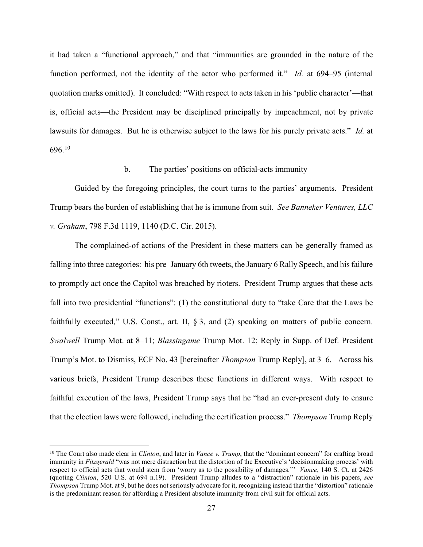it had taken a "functional approach," and that "immunities are grounded in the nature of the function performed, not the identity of the actor who performed it." *Id.* at 694–95 (internal quotation marks omitted). It concluded: "With respect to acts taken in his 'public character'—that is, official acts—the President may be disciplined principally by impeachment, not by private lawsuits for damages. But he is otherwise subject to the laws for his purely private acts." *Id.* at 696.10

### b. The parties' positions on official-acts immunity

Guided by the foregoing principles, the court turns to the parties' arguments. President Trump bears the burden of establishing that he is immune from suit. *See Banneker Ventures, LLC v. Graham*, 798 F.3d 1119, 1140 (D.C. Cir. 2015).

The complained-of actions of the President in these matters can be generally framed as falling into three categories: his pre–January 6th tweets, the January 6 Rally Speech, and his failure to promptly act once the Capitol was breached by rioters. President Trump argues that these acts fall into two presidential "functions": (1) the constitutional duty to "take Care that the Laws be faithfully executed," U.S. Const., art. II, § 3, and (2) speaking on matters of public concern. *Swalwell* Trump Mot. at 8–11; *Blassingame* Trump Mot. 12; Reply in Supp. of Def. President Trump's Mot. to Dismiss, ECF No. 43 [hereinafter *Thompson* Trump Reply], at 3–6. Across his various briefs, President Trump describes these functions in different ways. With respect to faithful execution of the laws, President Trump says that he "had an ever-present duty to ensure that the election laws were followed, including the certification process." *Thompson* Trump Reply

<sup>10</sup> The Court also made clear in *Clinton*, and later in *Vance v. Trump*, that the "dominant concern" for crafting broad immunity in *Fitzgerald* "was not mere distraction but the distortion of the Executive's 'decisionmaking process' with respect to official acts that would stem from 'worry as to the possibility of damages.'" *Vance*, 140 S. Ct. at 2426 (quoting *Clinton*, 520 U.S. at 694 n.19). President Trump alludes to a "distraction" rationale in his papers, *see Thompson* Trump Mot. at 9, but he does not seriously advocate for it, recognizing instead that the "distortion" rationale is the predominant reason for affording a President absolute immunity from civil suit for official acts.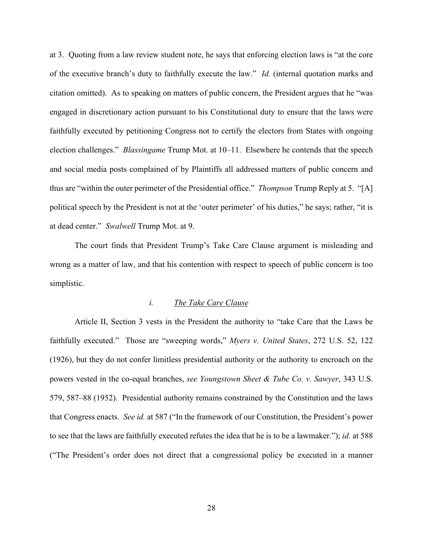at 3. Quoting from a law review student note, he says that enforcing election laws is "at the core of the executive branch's duty to faithfully execute the law." *Id.* (internal quotation marks and citation omitted). As to speaking on matters of public concern, the President argues that he "was engaged in discretionary action pursuant to his Constitutional duty to ensure that the laws were faithfully executed by petitioning Congress not to certify the electors from States with ongoing election challenges." *Blassingame* Trump Mot. at 10–11. Elsewhere he contends that the speech and social media posts complained of by Plaintiffs all addressed matters of public concern and thus are "within the outer perimeter of the Presidential office." *Thompson* Trump Reply at 5. "[A] political speech by the President is not at the 'outer perimeter' of his duties," he says; rather, "it is at dead center." *Swalwell* Trump Mot. at 9.

The court finds that President Trump's Take Care Clause argument is misleading and wrong as a matter of law, and that his contention with respect to speech of public concern is too simplistic.

### *i. The Take Care Clause*

Article II, Section 3 vests in the President the authority to "take Care that the Laws be faithfully executed." Those are "sweeping words," *Myers v. United States*, 272 U.S. 52, 122 (1926), but they do not confer limitless presidential authority or the authority to encroach on the powers vested in the co-equal branches, *see Youngstown Sheet & Tube Co. v. Sawyer*, 343 U.S. 579, 587–88 (1952). Presidential authority remains constrained by the Constitution and the laws that Congress enacts. *See id.* at 587 ("In the framework of our Constitution, the President's power to see that the laws are faithfully executed refutes the idea that he is to be a lawmaker."); *id.* at 588 ("The President's order does not direct that a congressional policy be executed in a manner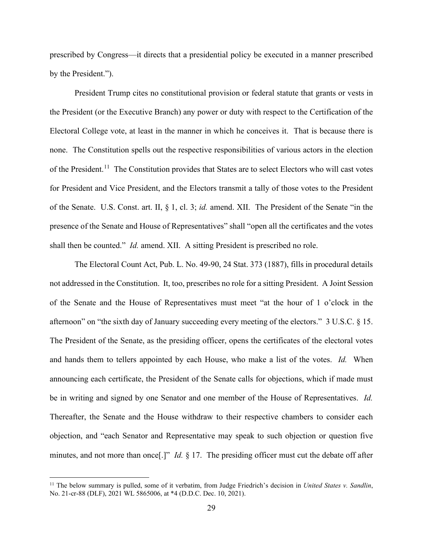prescribed by Congress—it directs that a presidential policy be executed in a manner prescribed by the President.").

President Trump cites no constitutional provision or federal statute that grants or vests in the President (or the Executive Branch) any power or duty with respect to the Certification of the Electoral College vote, at least in the manner in which he conceives it. That is because there is none. The Constitution spells out the respective responsibilities of various actors in the election of the President.<sup>11</sup> The Constitution provides that States are to select Electors who will cast votes for President and Vice President, and the Electors transmit a tally of those votes to the President of the Senate. U.S. Const. art. II, § 1, cl. 3; *id.* amend. XII. The President of the Senate "in the presence of the Senate and House of Representatives" shall "open all the certificates and the votes shall then be counted." *Id.* amend. XII. A sitting President is prescribed no role.

The Electoral Count Act, Pub. L. No. 49-90, 24 Stat. 373 (1887), fills in procedural details not addressed in the Constitution. It, too, prescribes no role for a sitting President. A Joint Session of the Senate and the House of Representatives must meet "at the hour of 1 o'clock in the afternoon" on "the sixth day of January succeeding every meeting of the electors." 3 U.S.C. § 15. The President of the Senate, as the presiding officer, opens the certificates of the electoral votes and hands them to tellers appointed by each House, who make a list of the votes. *Id.* When announcing each certificate, the President of the Senate calls for objections, which if made must be in writing and signed by one Senator and one member of the House of Representatives. *Id.* Thereafter, the Senate and the House withdraw to their respective chambers to consider each objection, and "each Senator and Representative may speak to such objection or question five minutes, and not more than once[.]" *Id.* § 17. The presiding officer must cut the debate off after

<sup>&</sup>lt;sup>11</sup> The below summary is pulled, some of it verbatim, from Judge Friedrich's decision in *United States v. Sandlin*, No. 21-cr-88 (DLF), 2021 WL 5865006, at \*4 (D.D.C. Dec. 10, 2021).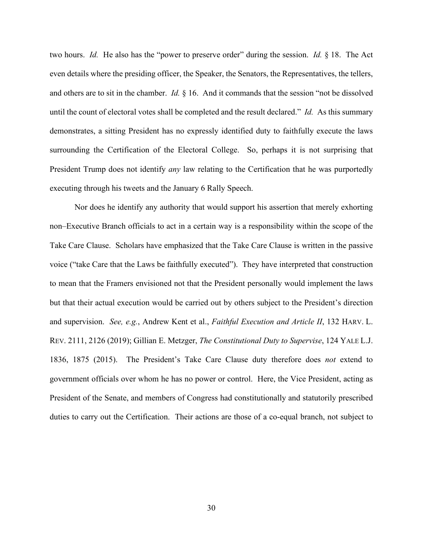two hours. *Id.* He also has the "power to preserve order" during the session. *Id.* § 18. The Act even details where the presiding officer, the Speaker, the Senators, the Representatives, the tellers, and others are to sit in the chamber. *Id.* § 16. And it commands that the session "not be dissolved until the count of electoral votes shall be completed and the result declared." *Id.* As this summary demonstrates, a sitting President has no expressly identified duty to faithfully execute the laws surrounding the Certification of the Electoral College. So, perhaps it is not surprising that President Trump does not identify *any* law relating to the Certification that he was purportedly executing through his tweets and the January 6 Rally Speech.

Nor does he identify any authority that would support his assertion that merely exhorting non–Executive Branch officials to act in a certain way is a responsibility within the scope of the Take Care Clause. Scholars have emphasized that the Take Care Clause is written in the passive voice ("take Care that the Laws be faithfully executed"). They have interpreted that construction to mean that the Framers envisioned not that the President personally would implement the laws but that their actual execution would be carried out by others subject to the President's direction and supervision. *See, e.g.*, Andrew Kent et al., *Faithful Execution and Article II*, 132 HARV. L. REV. 2111, 2126 (2019); Gillian E. Metzger, *The Constitutional Duty to Supervise*, 124 YALE L.J. 1836, 1875 (2015). The President's Take Care Clause duty therefore does *not* extend to government officials over whom he has no power or control. Here, the Vice President, acting as President of the Senate, and members of Congress had constitutionally and statutorily prescribed duties to carry out the Certification. Their actions are those of a co-equal branch, not subject to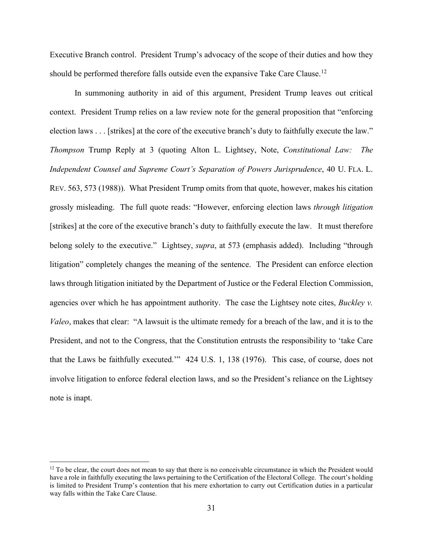Executive Branch control. President Trump's advocacy of the scope of their duties and how they should be performed therefore falls outside even the expansive Take Care Clause.<sup>12</sup>

In summoning authority in aid of this argument, President Trump leaves out critical context. President Trump relies on a law review note for the general proposition that "enforcing election laws . . . [strikes] at the core of the executive branch's duty to faithfully execute the law." *Thompson* Trump Reply at 3 (quoting Alton L. Lightsey, Note, *Constitutional Law: The Independent Counsel and Supreme Court's Separation of Powers Jurisprudence*, 40 U. FLA. L. REV. 563, 573 (1988)). What President Trump omits from that quote, however, makes his citation grossly misleading. The full quote reads: "However, enforcing election laws *through litigation* [strikes] at the core of the executive branch's duty to faithfully execute the law. It must therefore belong solely to the executive." Lightsey, *supra*, at 573 (emphasis added). Including "through litigation" completely changes the meaning of the sentence. The President can enforce election laws through litigation initiated by the Department of Justice or the Federal Election Commission, agencies over which he has appointment authority. The case the Lightsey note cites, *Buckley v. Valeo*, makes that clear: "A lawsuit is the ultimate remedy for a breach of the law, and it is to the President, and not to the Congress, that the Constitution entrusts the responsibility to 'take Care that the Laws be faithfully executed.'" 424 U.S. 1, 138 (1976). This case, of course, does not involve litigation to enforce federal election laws, and so the President's reliance on the Lightsey note is inapt.

 $12$  To be clear, the court does not mean to say that there is no conceivable circumstance in which the President would have a role in faithfully executing the laws pertaining to the Certification of the Electoral College. The court's holding is limited to President Trump's contention that his mere exhortation to carry out Certification duties in a particular way falls within the Take Care Clause.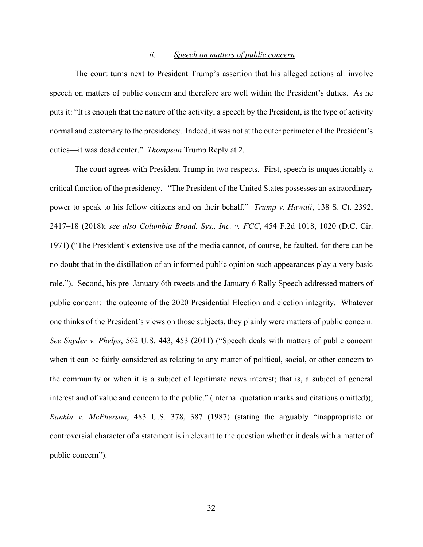#### *ii. Speech on matters of public concern*

The court turns next to President Trump's assertion that his alleged actions all involve speech on matters of public concern and therefore are well within the President's duties. As he puts it: "It is enough that the nature of the activity, a speech by the President, is the type of activity normal and customary to the presidency. Indeed, it was not at the outer perimeter of the President's duties—it was dead center." *Thompson* Trump Reply at 2.

The court agrees with President Trump in two respects. First, speech is unquestionably a critical function of the presidency. "The President of the United States possesses an extraordinary power to speak to his fellow citizens and on their behalf." *Trump v. Hawaii*, 138 S. Ct. 2392, 2417–18 (2018); *see also Columbia Broad. Sys., Inc. v. FCC*, 454 F.2d 1018, 1020 (D.C. Cir. 1971) ("The President's extensive use of the media cannot, of course, be faulted, for there can be no doubt that in the distillation of an informed public opinion such appearances play a very basic role."). Second, his pre–January 6th tweets and the January 6 Rally Speech addressed matters of public concern: the outcome of the 2020 Presidential Election and election integrity. Whatever one thinks of the President's views on those subjects, they plainly were matters of public concern. *See Snyder v. Phelps*, 562 U.S. 443, 453 (2011) ("Speech deals with matters of public concern when it can be fairly considered as relating to any matter of political, social, or other concern to the community or when it is a subject of legitimate news interest; that is, a subject of general interest and of value and concern to the public." (internal quotation marks and citations omitted)); *Rankin v. McPherson*, 483 U.S. 378, 387 (1987) (stating the arguably "inappropriate or controversial character of a statement is irrelevant to the question whether it deals with a matter of public concern").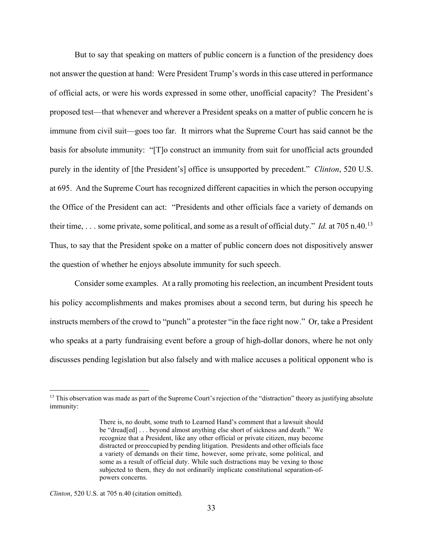But to say that speaking on matters of public concern is a function of the presidency does not answer the question at hand: Were President Trump's words in this case uttered in performance of official acts, or were his words expressed in some other, unofficial capacity? The President's proposed test—that whenever and wherever a President speaks on a matter of public concern he is immune from civil suit—goes too far. It mirrors what the Supreme Court has said cannot be the basis for absolute immunity: "[T]o construct an immunity from suit for unofficial acts grounded purely in the identity of [the President's] office is unsupported by precedent." *Clinton*, 520 U.S. at 695. And the Supreme Court has recognized different capacities in which the person occupying the Office of the President can act: "Presidents and other officials face a variety of demands on their time, . . . some private, some political, and some as a result of official duty." *Id.* at 705 n.40.<sup>13</sup> Thus, to say that the President spoke on a matter of public concern does not dispositively answer the question of whether he enjoys absolute immunity for such speech.

Consider some examples. At a rally promoting his reelection, an incumbent President touts his policy accomplishments and makes promises about a second term, but during his speech he instructs members of the crowd to "punch" a protester "in the face right now." Or, take a President who speaks at a party fundraising event before a group of high-dollar donors, where he not only discusses pending legislation but also falsely and with malice accuses a political opponent who is

<sup>&</sup>lt;sup>13</sup> This observation was made as part of the Supreme Court's rejection of the "distraction" theory as justifying absolute immunity:

There is, no doubt, some truth to Learned Hand's comment that a lawsuit should be "dread[ed] . . . beyond almost anything else short of sickness and death." We recognize that a President, like any other official or private citizen, may become distracted or preoccupied by pending litigation. Presidents and other officials face a variety of demands on their time, however, some private, some political, and some as a result of official duty. While such distractions may be vexing to those subjected to them, they do not ordinarily implicate constitutional separation-ofpowers concerns.

*Clinton*, 520 U.S. at 705 n.40 (citation omitted).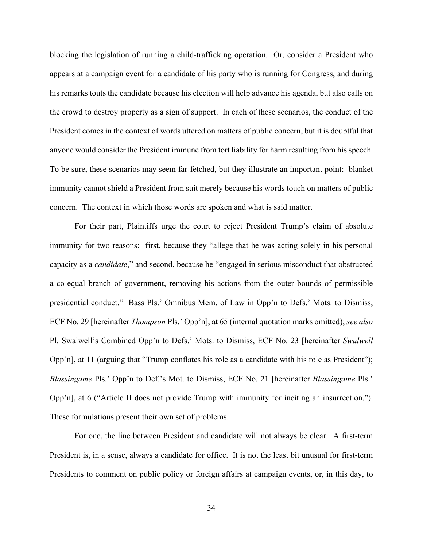blocking the legislation of running a child-trafficking operation. Or, consider a President who appears at a campaign event for a candidate of his party who is running for Congress, and during his remarks touts the candidate because his election will help advance his agenda, but also calls on the crowd to destroy property as a sign of support. In each of these scenarios, the conduct of the President comes in the context of words uttered on matters of public concern, but it is doubtful that anyone would consider the President immune from tort liability for harm resulting from his speech. To be sure, these scenarios may seem far-fetched, but they illustrate an important point: blanket immunity cannot shield a President from suit merely because his words touch on matters of public concern. The context in which those words are spoken and what is said matter.

For their part, Plaintiffs urge the court to reject President Trump's claim of absolute immunity for two reasons: first, because they "allege that he was acting solely in his personal capacity as a *candidate*," and second, because he "engaged in serious misconduct that obstructed a co-equal branch of government, removing his actions from the outer bounds of permissible presidential conduct." Bass Pls.' Omnibus Mem. of Law in Opp'n to Defs.' Mots. to Dismiss, ECF No. 29 [hereinafter *Thompson* Pls.' Opp'n], at 65 (internal quotation marks omitted); *see also* Pl. Swalwell's Combined Opp'n to Defs.' Mots. to Dismiss, ECF No. 23 [hereinafter *Swalwell*  Opp'n], at 11 (arguing that "Trump conflates his role as a candidate with his role as President"); *Blassingame* Pls.' Opp'n to Def.'s Mot. to Dismiss, ECF No. 21 [hereinafter *Blassingame* Pls.' Opp'n], at 6 ("Article II does not provide Trump with immunity for inciting an insurrection."). These formulations present their own set of problems.

For one, the line between President and candidate will not always be clear. A first-term President is, in a sense, always a candidate for office. It is not the least bit unusual for first-term Presidents to comment on public policy or foreign affairs at campaign events, or, in this day, to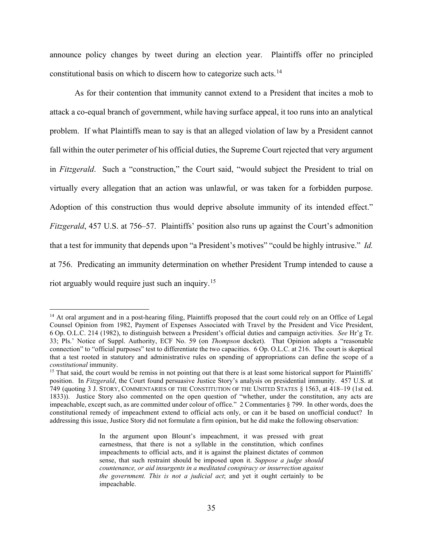announce policy changes by tweet during an election year. Plaintiffs offer no principled constitutional basis on which to discern how to categorize such acts.14

As for their contention that immunity cannot extend to a President that incites a mob to attack a co-equal branch of government, while having surface appeal, it too runs into an analytical problem. If what Plaintiffs mean to say is that an alleged violation of law by a President cannot fall within the outer perimeter of his official duties, the Supreme Court rejected that very argument in *Fitzgerald*. Such a "construction," the Court said, "would subject the President to trial on virtually every allegation that an action was unlawful, or was taken for a forbidden purpose. Adoption of this construction thus would deprive absolute immunity of its intended effect." *Fitzgerald*, 457 U.S. at 756–57. Plaintiffs' position also runs up against the Court's admonition that a test for immunity that depends upon "a President's motives" "could be highly intrusive." *Id.*  at 756. Predicating an immunity determination on whether President Trump intended to cause a riot arguably would require just such an inquiry.15

<sup>&</sup>lt;sup>14</sup> At oral argument and in a post-hearing filing, Plaintiffs proposed that the court could rely on an Office of Legal Counsel Opinion from 1982, Payment of Expenses Associated with Travel by the President and Vice President, 6 Op. O.L.C. 214 (1982), to distinguish between a President's official duties and campaign activities. *See* Hr'g Tr. 33; Pls.' Notice of Suppl. Authority, ECF No. 59 (on *Thompson* docket). That Opinion adopts a "reasonable connection" to "official purposes" test to differentiate the two capacities. 6 Op. O.L.C. at 216. The court is skeptical that a test rooted in statutory and administrative rules on spending of appropriations can define the scope of a *constitutional* immunity.<br><sup>15</sup> That said, the court would be remiss in not pointing out that there is at least some historical support for Plaintiffs'

position. In *Fitzgerald*, the Court found persuasive Justice Story's analysis on presidential immunity. 457 U.S. at 749 (quoting 3 J. STORY, COMMENTARIES OF THE CONSTITUTION OF THE UNITED STATES § 1563, at 418–19 (1st ed. 1833)). Justice Story also commented on the open question of "whether, under the constitution, any acts are impeachable, except such, as are committed under colour of office." 2 Commentaries § 799. In other words, does the constitutional remedy of impeachment extend to official acts only, or can it be based on unofficial conduct? In addressing this issue, Justice Story did not formulate a firm opinion, but he did make the following observation:

In the argument upon Blount's impeachment, it was pressed with great earnestness, that there is not a syllable in the constitution, which confines impeachments to official acts, and it is against the plainest dictates of common sense, that such restraint should be imposed upon it. *Suppose a judge should countenance, or aid insurgents in a meditated conspiracy or insurrection against the government. This is not a judicial act*; and yet it ought certainly to be impeachable.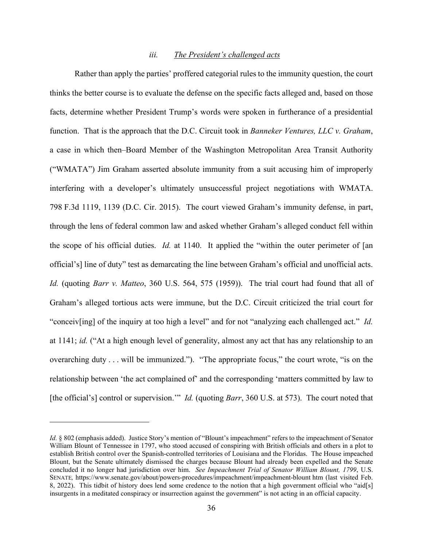### *iii. The President's challenged acts*

Rather than apply the parties' proffered categorial rules to the immunity question, the court thinks the better course is to evaluate the defense on the specific facts alleged and, based on those facts, determine whether President Trump's words were spoken in furtherance of a presidential function. That is the approach that the D.C. Circuit took in *Banneker Ventures, LLC v. Graham*, a case in which then–Board Member of the Washington Metropolitan Area Transit Authority ("WMATA") Jim Graham asserted absolute immunity from a suit accusing him of improperly interfering with a developer's ultimately unsuccessful project negotiations with WMATA. 798 F.3d 1119, 1139 (D.C. Cir. 2015). The court viewed Graham's immunity defense, in part, through the lens of federal common law and asked whether Graham's alleged conduct fell within the scope of his official duties. *Id.* at 1140. It applied the "within the outer perimeter of [an official's] line of duty" test as demarcating the line between Graham's official and unofficial acts. *Id.* (quoting *Barr v. Matteo*, 360 U.S. 564, 575 (1959)). The trial court had found that all of Graham's alleged tortious acts were immune, but the D.C. Circuit criticized the trial court for "conceiv[ing] of the inquiry at too high a level" and for not "analyzing each challenged act." *Id.*  at 1141; *id.* ("At a high enough level of generality, almost any act that has any relationship to an overarching duty . . . will be immunized."). "The appropriate focus," the court wrote, "is on the relationship between 'the act complained of' and the corresponding 'matters committed by law to [the official's] control or supervision."" *Id.* (quoting *Barr*, 360 U.S. at 573). The court noted that

*Id.* § 802 (emphasis added). Justice Story's mention of "Blount's impeachment" refers to the impeachment of Senator William Blount of Tennessee in 1797, who stood accused of conspiring with British officials and others in a plot to establish British control over the Spanish-controlled territories of Louisiana and the Floridas. The House impeached Blount, but the Senate ultimately dismissed the charges because Blount had already been expelled and the Senate concluded it no longer had jurisdiction over him. *See Impeachment Trial of Senator William Blount, 1799*, U.S. SENATE*,* https://www.senate.gov/about/powers-procedures/impeachment/impeachment-blount htm (last visited Feb. 8, 2022). This tidbit of history does lend some credence to the notion that a high government official who "aid[s] insurgents in a meditated conspiracy or insurrection against the government" is not acting in an official capacity.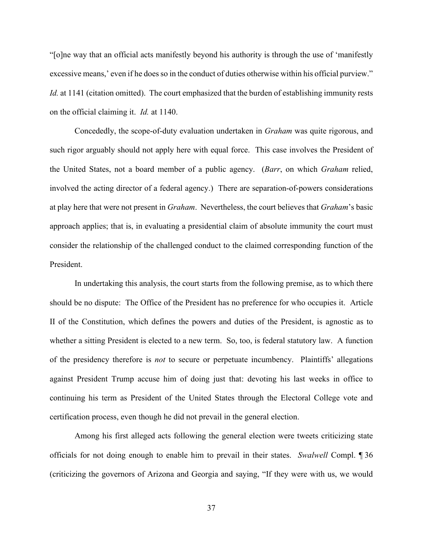"[o]ne way that an official acts manifestly beyond his authority is through the use of 'manifestly excessive means,' even if he does so in the conduct of duties otherwise within his official purview." *Id.* at 1141 (citation omitted). The court emphasized that the burden of establishing immunity rests on the official claiming it. *Id.* at 1140.

Concededly, the scope-of-duty evaluation undertaken in *Graham* was quite rigorous, and such rigor arguably should not apply here with equal force. This case involves the President of the United States, not a board member of a public agency. (*Barr*, on which *Graham* relied, involved the acting director of a federal agency.)There are separation-of-powers considerations at play here that were not present in *Graham*. Nevertheless, the court believes that *Graham*'s basic approach applies; that is, in evaluating a presidential claim of absolute immunity the court must consider the relationship of the challenged conduct to the claimed corresponding function of the President.

In undertaking this analysis, the court starts from the following premise, as to which there should be no dispute: The Office of the President has no preference for who occupies it. Article II of the Constitution, which defines the powers and duties of the President, is agnostic as to whether a sitting President is elected to a new term. So, too, is federal statutory law. A function of the presidency therefore is *not* to secure or perpetuate incumbency. Plaintiffs' allegations against President Trump accuse him of doing just that: devoting his last weeks in office to continuing his term as President of the United States through the Electoral College vote and certification process, even though he did not prevail in the general election.

Among his first alleged acts following the general election were tweets criticizing state officials for not doing enough to enable him to prevail in their states. *Swalwell* Compl. ¶ 36 (criticizing the governors of Arizona and Georgia and saying, "If they were with us, we would

37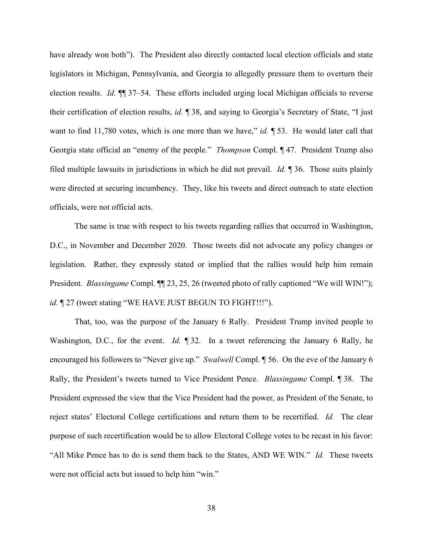have already won both"). The President also directly contacted local election officials and state legislators in Michigan, Pennsylvania, and Georgia to allegedly pressure them to overturn their election results. *Id.* ¶¶ 37–54. These efforts included urging local Michigan officials to reverse their certification of election results, *id.* ¶ 38, and saying to Georgia's Secretary of State, "I just want to find 11,780 votes, which is one more than we have," *id.* ¶ 53. He would later call that Georgia state official an "enemy of the people." *Thompson* Compl. ¶ 47. President Trump also filed multiple lawsuits in jurisdictions in which he did not prevail. *Id.* ¶ 36. Those suits plainly were directed at securing incumbency. They, like his tweets and direct outreach to state election officials, were not official acts.

The same is true with respect to his tweets regarding rallies that occurred in Washington, D.C., in November and December 2020. Those tweets did not advocate any policy changes or legislation. Rather, they expressly stated or implied that the rallies would help him remain President. *Blassingame* Compl.  $\P$  23, 25, 26 (tweeted photo of rally captioned "We will WIN!"); *id.*  $\sqrt{27}$  (tweet stating "WE HAVE JUST BEGUN TO FIGHT!!!").

That, too, was the purpose of the January 6 Rally. President Trump invited people to Washington, D.C., for the event. *Id.* **¶** 32. In a tweet referencing the January 6 Rally, he encouraged his followers to "Never give up." *Swalwell* Compl. ¶ 56. On the eve of the January 6 Rally, the President's tweets turned to Vice President Pence. *Blassingame* Compl. ¶ 38. The President expressed the view that the Vice President had the power, as President of the Senate, to reject states' Electoral College certifications and return them to be recertified. *Id.* The clear purpose of such recertification would be to allow Electoral College votes to be recast in his favor: "All Mike Pence has to do is send them back to the States, AND WE WIN." *Id.* These tweets were not official acts but issued to help him "win."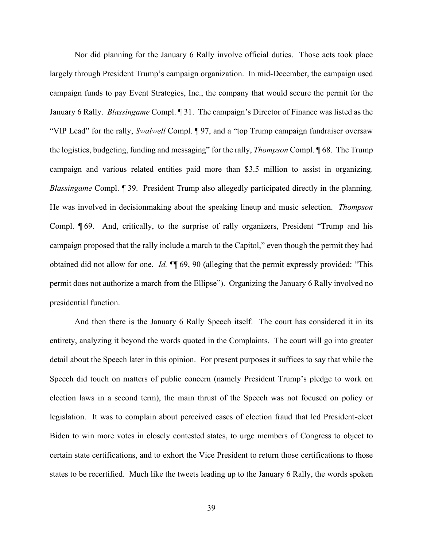Nor did planning for the January 6 Rally involve official duties. Those acts took place largely through President Trump's campaign organization. In mid-December, the campaign used campaign funds to pay Event Strategies, Inc., the company that would secure the permit for the January 6 Rally. *Blassingame* Compl. ¶ 31. The campaign's Director of Finance was listed as the "VIP Lead" for the rally, *Swalwell* Compl. ¶ 97, and a "top Trump campaign fundraiser oversaw the logistics, budgeting, funding and messaging" for the rally, *Thompson* Compl. ¶ 68. The Trump campaign and various related entities paid more than \$3.5 million to assist in organizing. *Blassingame* Compl. ¶ 39. President Trump also allegedly participated directly in the planning. He was involved in decisionmaking about the speaking lineup and music selection. *Thompson*  Compl. ¶ 69. And, critically, to the surprise of rally organizers, President "Trump and his campaign proposed that the rally include a march to the Capitol," even though the permit they had obtained did not allow for one. *Id.* ¶¶ 69, 90 (alleging that the permit expressly provided: "This permit does not authorize a march from the Ellipse"). Organizing the January 6 Rally involved no presidential function.

And then there is the January 6 Rally Speech itself. The court has considered it in its entirety, analyzing it beyond the words quoted in the Complaints. The court will go into greater detail about the Speech later in this opinion. For present purposes it suffices to say that while the Speech did touch on matters of public concern (namely President Trump's pledge to work on election laws in a second term), the main thrust of the Speech was not focused on policy or legislation. It was to complain about perceived cases of election fraud that led President-elect Biden to win more votes in closely contested states, to urge members of Congress to object to certain state certifications, and to exhort the Vice President to return those certifications to those states to be recertified. Much like the tweets leading up to the January 6 Rally, the words spoken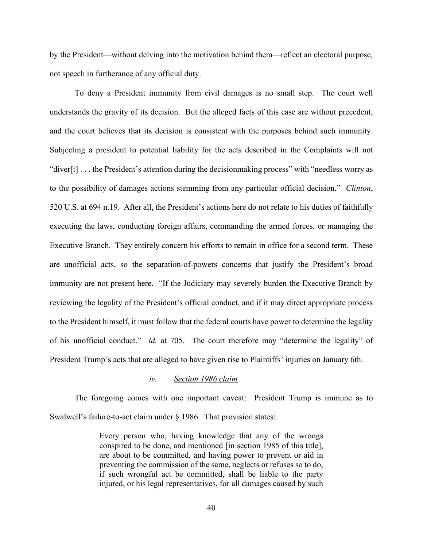by the President—without delving into the motivation behind them—reflect an electoral purpose, not speech in furtherance of any official duty.

To deny a President immunity from civil damages is no small step. The court well understands the gravity of its decision. But the alleged facts of this case are without precedent, and the court believes that its decision is consistent with the purposes behind such immunity. Subjecting a president to potential liability for the acts described in the Complaints will not "diver $[t]$ ... the President's attention during the decision making process" with "needless worry as to the possibility of damages actions stemming from any particular official decision." *Clinton*, 520 U.S. at 694 n.19. After all, the President's actions here do not relate to his duties of faithfully executing the laws, conducting foreign affairs, commanding the armed forces, or managing the Executive Branch. They entirely concern his efforts to remain in office for a second term. These are unofficial acts, so the separation-of-powers concerns that justify the President's broad immunity are not present here. "If the Judiciary may severely burden the Executive Branch by reviewing the legality of the President's official conduct, and if it may direct appropriate process to the President himself, it must follow that the federal courts have power to determine the legality of his unofficial conduct." *Id.* at 705. The court therefore may "determine the legality" of President Trump's acts that are alleged to have given rise to Plaintiffs' injuries on January 6th.

#### *iv. Section 1986 claim*

The foregoing comes with one important caveat: President Trump is immune as to Swalwell's failure-to-act claim under § 1986. That provision states:

> Every person who, having knowledge that any of the wrongs conspired to be done, and mentioned [in section 1985 of this title], are about to be committed, and having power to prevent or aid in preventing the commission of the same, neglects or refuses so to do, if such wrongful act be committed, shall be liable to the party injured, or his legal representatives, for all damages caused by such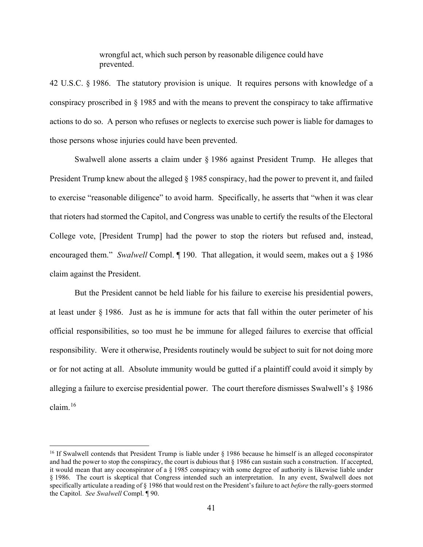wrongful act, which such person by reasonable diligence could have prevented.

42 U.S.C. § 1986. The statutory provision is unique. It requires persons with knowledge of a conspiracy proscribed in § 1985 and with the means to prevent the conspiracy to take affirmative actions to do so. A person who refuses or neglects to exercise such power is liable for damages to those persons whose injuries could have been prevented.

Swalwell alone asserts a claim under § 1986 against President Trump. He alleges that President Trump knew about the alleged § 1985 conspiracy, had the power to prevent it, and failed to exercise "reasonable diligence" to avoid harm. Specifically, he asserts that "when it was clear that rioters had stormed the Capitol, and Congress was unable to certify the results of the Electoral College vote, [President Trump] had the power to stop the rioters but refused and, instead, encouraged them." *Swalwell* Compl. ¶ 190. That allegation, it would seem, makes out a § 1986 claim against the President.

But the President cannot be held liable for his failure to exercise his presidential powers, at least under § 1986. Just as he is immune for acts that fall within the outer perimeter of his official responsibilities, so too must he be immune for alleged failures to exercise that official responsibility. Were it otherwise, Presidents routinely would be subject to suit for not doing more or for not acting at all. Absolute immunity would be gutted if a plaintiff could avoid it simply by alleging a failure to exercise presidential power. The court therefore dismisses Swalwell's § 1986 claim.<sup>16</sup>

<sup>&</sup>lt;sup>16</sup> If Swalwell contends that President Trump is liable under § 1986 because he himself is an alleged coconspirator and had the power to stop the conspiracy, the court is dubious that  $\S$  1986 can sustain such a construction. If accepted, it would mean that any coconspirator of a § 1985 conspiracy with some degree of authority is likewise liable under § 1986. The court is skeptical that Congress intended such an interpretation. In any event, Swalwell does not specifically articulate a reading of § 1986 that would rest on the President's failure to act *before* the rally-goers stormed the Capitol. *See Swalwell* Compl. ¶ 90.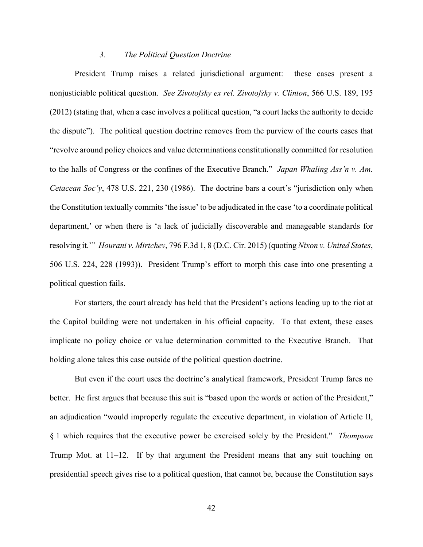#### *3. The Political Question Doctrine*

President Trump raises a related jurisdictional argument: these cases present a nonjusticiable political question. *See Zivotofsky ex rel. Zivotofsky v. Clinton*, 566 U.S. 189, 195 (2012) (stating that, when a case involves a political question, "a court lacks the authority to decide the dispute"). The political question doctrine removes from the purview of the courts cases that "revolve around policy choices and value determinations constitutionally committed for resolution to the halls of Congress or the confines of the Executive Branch." *Japan Whaling Ass'n v. Am. Cetacean Soc'y*, 478 U.S. 221, 230 (1986). The doctrine bars a court's "jurisdiction only when the Constitution textually commits 'the issue' to be adjudicated in the case 'to a coordinate political department,' or when there is 'a lack of judicially discoverable and manageable standards for resolving it.'" *Hourani v. Mirtchev*, 796 F.3d 1, 8 (D.C. Cir. 2015) (quoting *Nixon v. United States*, 506 U.S. 224, 228 (1993)). President Trump's effort to morph this case into one presenting a political question fails.

For starters, the court already has held that the President's actions leading up to the riot at the Capitol building were not undertaken in his official capacity. To that extent, these cases implicate no policy choice or value determination committed to the Executive Branch. That holding alone takes this case outside of the political question doctrine.

But even if the court uses the doctrine's analytical framework, President Trump fares no better. He first argues that because this suit is "based upon the words or action of the President," an adjudication "would improperly regulate the executive department, in violation of Article II, § 1 which requires that the executive power be exercised solely by the President." *Thompson*  Trump Mot. at 11–12.If by that argument the President means that any suit touching on presidential speech gives rise to a political question, that cannot be, because the Constitution says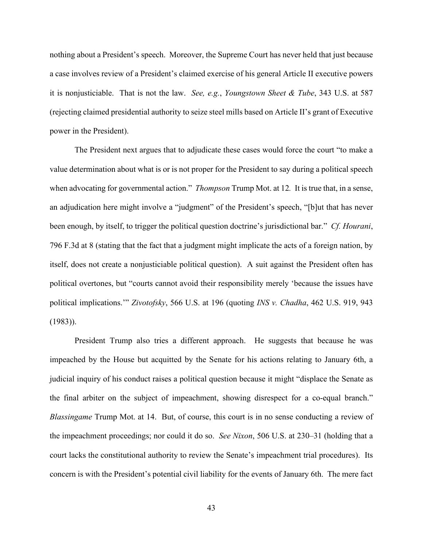nothing about a President's speech. Moreover, the Supreme Court has never held that just because a case involves review of a President's claimed exercise of his general Article II executive powers it is nonjusticiable. That is not the law. *See, e.g.*, *Youngstown Sheet & Tube*, 343 U.S. at 587 (rejecting claimed presidential authority to seize steel mills based on Article II's grant of Executive power in the President).

The President next argues that to adjudicate these cases would force the court "to make a value determination about what is or is not proper for the President to say during a political speech when advocating for governmental action." *Thompson* Trump Mot. at 12*.* It is true that, in a sense, an adjudication here might involve a "judgment" of the President's speech, "[b]ut that has never been enough, by itself, to trigger the political question doctrine's jurisdictional bar." *Cf. Hourani*, 796 F.3d at 8 (stating that the fact that a judgment might implicate the acts of a foreign nation, by itself, does not create a nonjusticiable political question). A suit against the President often has political overtones, but "courts cannot avoid their responsibility merely 'because the issues have political implications.'" *Zivotofsky*, 566 U.S. at 196 (quoting *INS v. Chadha*, 462 U.S. 919, 943 (1983)).

President Trump also tries a different approach. He suggests that because he was impeached by the House but acquitted by the Senate for his actions relating to January 6th, a judicial inquiry of his conduct raises a political question because it might "displace the Senate as the final arbiter on the subject of impeachment, showing disrespect for a co-equal branch." *Blassingame* Trump Mot. at 14. But, of course, this court is in no sense conducting a review of the impeachment proceedings; nor could it do so. *See Nixon*, 506 U.S. at 230–31 (holding that a court lacks the constitutional authority to review the Senate's impeachment trial procedures). Its concern is with the President's potential civil liability for the events of January 6th. The mere fact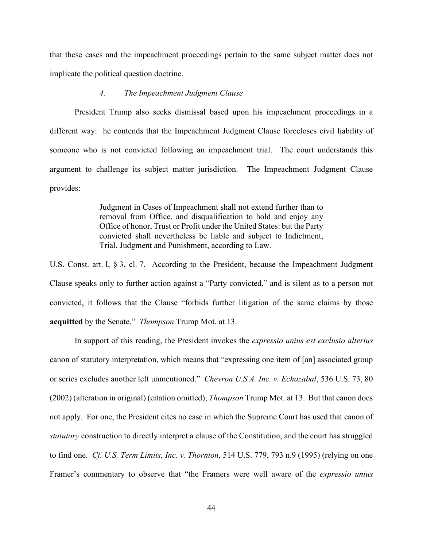that these cases and the impeachment proceedings pertain to the same subject matter does not implicate the political question doctrine.

#### *4. The Impeachment Judgment Clause*

President Trump also seeks dismissal based upon his impeachment proceedings in a different way: he contends that the Impeachment Judgment Clause forecloses civil liability of someone who is not convicted following an impeachment trial. The court understands this argument to challenge its subject matter jurisdiction. The Impeachment Judgment Clause provides:

> Judgment in Cases of Impeachment shall not extend further than to removal from Office, and disqualification to hold and enjoy any Office of honor, Trust or Profit under the United States: but the Party convicted shall nevertheless be liable and subject to Indictment, Trial, Judgment and Punishment, according to Law.

U.S. Const. art. I, § 3, cl. 7. According to the President, because the Impeachment Judgment Clause speaks only to further action against a "Party convicted," and is silent as to a person not convicted, it follows that the Clause "forbids further litigation of the same claims by those **acquitted** by the Senate." *Thompson* Trump Mot. at 13.

In support of this reading, the President invokes the *expressio unius est exclusio alterius*  canon of statutory interpretation, which means that "expressing one item of [an] associated group or series excludes another left unmentioned." *Chevron U.S.A. Inc. v. Echazabal*, 536 U.S. 73, 80 (2002) (alteration in original) (citation omitted); *Thompson* Trump Mot. at 13. But that canon does not apply. For one, the President cites no case in which the Supreme Court has used that canon of *statutory* construction to directly interpret a clause of the Constitution, and the court has struggled to find one. *Cf. U.S. Term Limits, Inc. v. Thornton*, 514 U.S. 779, 793 n.9 (1995) (relying on one Framer's commentary to observe that "the Framers were well aware of the *expressio unius*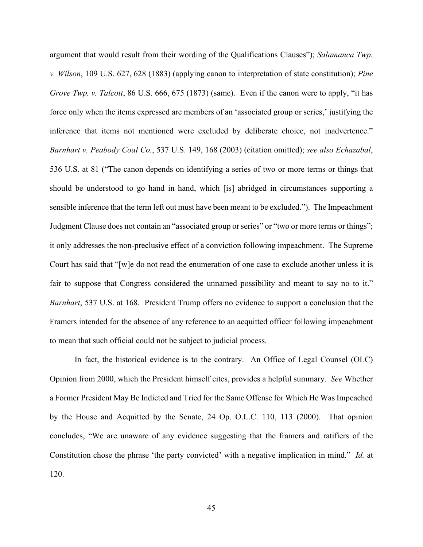argument that would result from their wording of the Qualifications Clauses"); *Salamanca Twp. v. Wilson*, 109 U.S. 627, 628 (1883) (applying canon to interpretation of state constitution); *Pine Grove Twp. v. Talcott*, 86 U.S. 666, 675 (1873) (same). Even if the canon were to apply, "it has force only when the items expressed are members of an 'associated group or series,' justifying the inference that items not mentioned were excluded by deliberate choice, not inadvertence." *Barnhart v. Peabody Coal Co.*, 537 U.S. 149, 168 (2003) (citation omitted); *see also Echazabal*, 536 U.S. at 81 ("The canon depends on identifying a series of two or more terms or things that should be understood to go hand in hand, which [is] abridged in circumstances supporting a sensible inference that the term left out must have been meant to be excluded."). The Impeachment Judgment Clause does not contain an "associated group or series" or "two or more terms or things"; it only addresses the non-preclusive effect of a conviction following impeachment. The Supreme Court has said that "[w]e do not read the enumeration of one case to exclude another unless it is fair to suppose that Congress considered the unnamed possibility and meant to say no to it." *Barnhart*, 537 U.S. at 168. President Trump offers no evidence to support a conclusion that the Framers intended for the absence of any reference to an acquitted officer following impeachment to mean that such official could not be subject to judicial process.

In fact, the historical evidence is to the contrary. An Office of Legal Counsel (OLC) Opinion from 2000, which the President himself cites, provides a helpful summary. *See* Whether a Former President May Be Indicted and Tried for the Same Offense for Which He Was Impeached by the House and Acquitted by the Senate, 24 Op. O.L.C. 110, 113 (2000). That opinion concludes, "We are unaware of any evidence suggesting that the framers and ratifiers of the Constitution chose the phrase 'the party convicted' with a negative implication in mind." *Id.* at 120.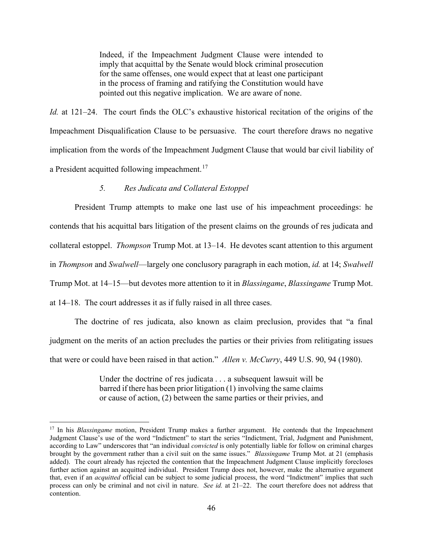Indeed, if the Impeachment Judgment Clause were intended to imply that acquittal by the Senate would block criminal prosecution for the same offenses, one would expect that at least one participant in the process of framing and ratifying the Constitution would have pointed out this negative implication. We are aware of none.

*Id.* at 121–24. The court finds the OLC's exhaustive historical recitation of the origins of the Impeachment Disqualification Clause to be persuasive. The court therefore draws no negative implication from the words of the Impeachment Judgment Clause that would bar civil liability of a President acquitted following impeachment.<sup>17</sup>

# *5. Res Judicata and Collateral Estoppel*

President Trump attempts to make one last use of his impeachment proceedings: he contends that his acquittal bars litigation of the present claims on the grounds of res judicata and collateral estoppel. *Thompson* Trump Mot. at 13–14. He devotes scant attention to this argument in *Thompson* and *Swalwell*—largely one conclusory paragraph in each motion, *id.* at 14; *Swalwell*  Trump Mot. at 14–15—but devotes more attention to it in *Blassingame*, *Blassingame* Trump Mot. at 14–18. The court addresses it as if fully raised in all three cases.

 The doctrine of res judicata, also known as claim preclusion, provides that "a final judgment on the merits of an action precludes the parties or their privies from relitigating issues that were or could have been raised in that action." *Allen v. McCurry*, 449 U.S. 90, 94 (1980).

> Under the doctrine of res judicata . . . a subsequent lawsuit will be barred if there has been prior litigation (1) involving the same claims or cause of action, (2) between the same parties or their privies, and

<sup>&</sup>lt;sup>17</sup> In his *Blassingame* motion, President Trump makes a further argument. He contends that the Impeachment Judgment Clause's use of the word "Indictment" to start the series "Indictment, Trial, Judgment and Punishment, according to Law" underscores that "an individual *convicted* is only potentially liable for follow on criminal charges brought by the government rather than a civil suit on the same issues." *Blassingame* Trump Mot. at 21 (emphasis added). The court already has rejected the contention that the Impeachment Judgment Clause implicitly forecloses further action against an acquitted individual. President Trump does not, however, make the alternative argument that, even if an *acquitted* official can be subject to some judicial process, the word "Indictment" implies that such process can only be criminal and not civil in nature. *See id.* at 21–22. The court therefore does not address that contention.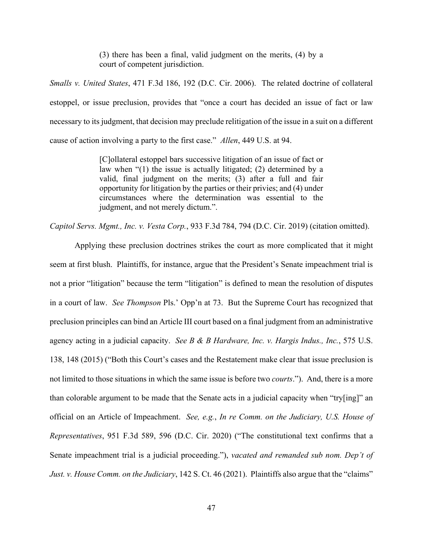(3) there has been a final, valid judgment on the merits, (4) by a court of competent jurisdiction.

*Smalls v. United States*, 471 F.3d 186, 192 (D.C. Cir. 2006). The related doctrine of collateral estoppel, or issue preclusion, provides that "once a court has decided an issue of fact or law necessary to its judgment, that decision may preclude relitigation of the issue in a suit on a different cause of action involving a party to the first case." *Allen*, 449 U.S. at 94.

> [C]ollateral estoppel bars successive litigation of an issue of fact or law when "(1) the issue is actually litigated; (2) determined by a valid, final judgment on the merits; (3) after a full and fair opportunity for litigation by the parties or their privies; and (4) under circumstances where the determination was essential to the judgment, and not merely dictum.".

*Capitol Servs. Mgmt., Inc. v. Vesta Corp.*, 933 F.3d 784, 794 (D.C. Cir. 2019) (citation omitted).

Applying these preclusion doctrines strikes the court as more complicated that it might seem at first blush. Plaintiffs, for instance, argue that the President's Senate impeachment trial is not a prior "litigation" because the term "litigation" is defined to mean the resolution of disputes in a court of law. *See Thompson* Pls.' Opp'n at 73. But the Supreme Court has recognized that preclusion principles can bind an Article III court based on a final judgment from an administrative agency acting in a judicial capacity. *See B & B Hardware, Inc. v. Hargis Indus., Inc.*, 575 U.S. 138, 148 (2015) ("Both this Court's cases and the Restatement make clear that issue preclusion is not limited to those situations in which the same issue is before two *courts*."). And, there is a more than colorable argument to be made that the Senate acts in a judicial capacity when "try[ing]" an official on an Article of Impeachment. *See, e.g.*, *In re Comm. on the Judiciary, U.S. House of Representatives*, 951 F.3d 589, 596 (D.C. Cir. 2020) ("The constitutional text confirms that a Senate impeachment trial is a judicial proceeding."), *vacated and remanded sub nom. Dep't of Just. v. House Comm. on the Judiciary*, 142 S. Ct. 46 (2021). Plaintiffs also argue that the "claims"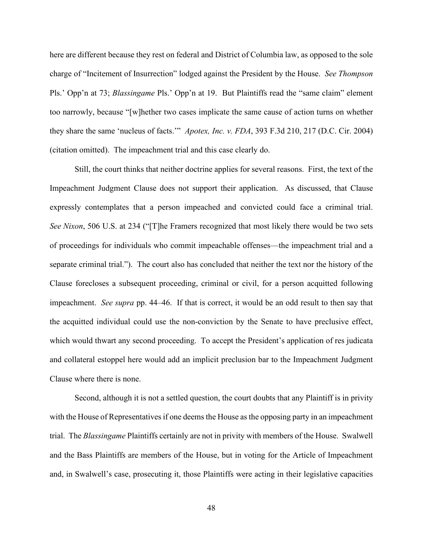here are different because they rest on federal and District of Columbia law, as opposed to the sole charge of "Incitement of Insurrection" lodged against the President by the House. *See Thompson*  Pls.' Opp'n at 73; *Blassingame* Pls.' Opp'n at 19. But Plaintiffs read the "same claim" element too narrowly, because "[w]hether two cases implicate the same cause of action turns on whether they share the same 'nucleus of facts.'" *Apotex, Inc. v. FDA*, 393 F.3d 210, 217 (D.C. Cir. 2004) (citation omitted). The impeachment trial and this case clearly do.

Still, the court thinks that neither doctrine applies for several reasons. First, the text of the Impeachment Judgment Clause does not support their application. As discussed, that Clause expressly contemplates that a person impeached and convicted could face a criminal trial. *See Nixon*, 506 U.S. at 234 ("[T]he Framers recognized that most likely there would be two sets of proceedings for individuals who commit impeachable offenses—the impeachment trial and a separate criminal trial."). The court also has concluded that neither the text nor the history of the Clause forecloses a subsequent proceeding, criminal or civil, for a person acquitted following impeachment. *See supra* pp. 44–46. If that is correct, it would be an odd result to then say that the acquitted individual could use the non-conviction by the Senate to have preclusive effect, which would thwart any second proceeding. To accept the President's application of res judicata and collateral estoppel here would add an implicit preclusion bar to the Impeachment Judgment Clause where there is none.

Second, although it is not a settled question, the court doubts that any Plaintiff is in privity with the House of Representatives if one deems the House as the opposing party in an impeachment trial. The *Blassingame* Plaintiffs certainly are not in privity with members of the House. Swalwell and the Bass Plaintiffs are members of the House, but in voting for the Article of Impeachment and, in Swalwell's case, prosecuting it, those Plaintiffs were acting in their legislative capacities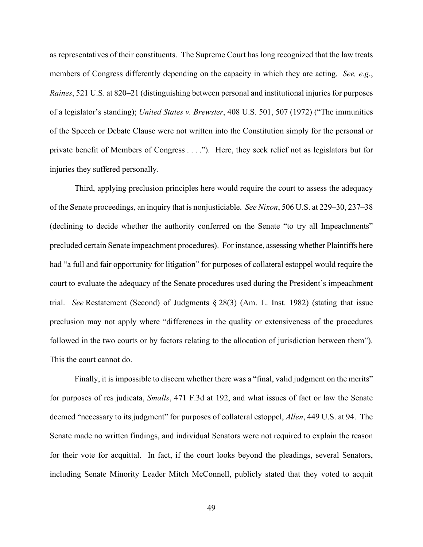as representatives of their constituents. The Supreme Court has long recognized that the law treats members of Congress differently depending on the capacity in which they are acting. *See, e.g.*, *Raines*, 521 U.S. at 820–21 (distinguishing between personal and institutional injuries for purposes of a legislator's standing); *United States v. Brewster*, 408 U.S. 501, 507 (1972) ("The immunities of the Speech or Debate Clause were not written into the Constitution simply for the personal or private benefit of Members of Congress . . . ."). Here, they seek relief not as legislators but for injuries they suffered personally.

Third, applying preclusion principles here would require the court to assess the adequacy of the Senate proceedings, an inquiry that is nonjusticiable. *See Nixon*, 506 U.S. at 229–30, 237–38 (declining to decide whether the authority conferred on the Senate "to try all Impeachments" precluded certain Senate impeachment procedures). For instance, assessing whether Plaintiffs here had "a full and fair opportunity for litigation" for purposes of collateral estoppel would require the court to evaluate the adequacy of the Senate procedures used during the President's impeachment trial. *See* Restatement (Second) of Judgments § 28(3) (Am. L. Inst. 1982) (stating that issue preclusion may not apply where "differences in the quality or extensiveness of the procedures followed in the two courts or by factors relating to the allocation of jurisdiction between them"). This the court cannot do.

Finally, it is impossible to discern whether there was a "final, valid judgment on the merits" for purposes of res judicata, *Smalls*, 471 F.3d at 192, and what issues of fact or law the Senate deemed "necessary to its judgment" for purposes of collateral estoppel, *Allen*, 449 U.S. at 94. The Senate made no written findings, and individual Senators were not required to explain the reason for their vote for acquittal. In fact, if the court looks beyond the pleadings, several Senators, including Senate Minority Leader Mitch McConnell, publicly stated that they voted to acquit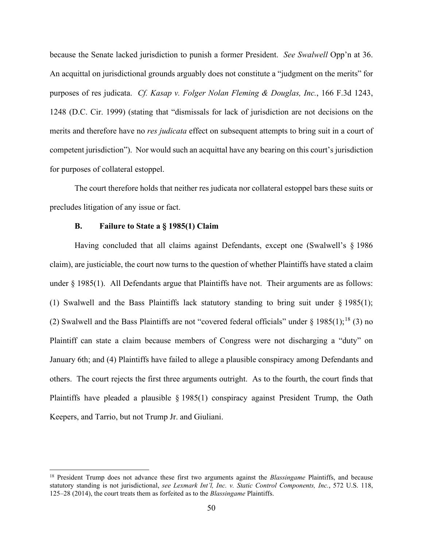because the Senate lacked jurisdiction to punish a former President. *See Swalwell* Opp'n at 36. An acquittal on jurisdictional grounds arguably does not constitute a "judgment on the merits" for purposes of res judicata. *Cf. Kasap v. Folger Nolan Fleming & Douglas, Inc.*, 166 F.3d 1243, 1248 (D.C. Cir. 1999) (stating that "dismissals for lack of jurisdiction are not decisions on the merits and therefore have no *res judicata* effect on subsequent attempts to bring suit in a court of competent jurisdiction"). Nor would such an acquittal have any bearing on this court's jurisdiction for purposes of collateral estoppel.

The court therefore holds that neither res judicata nor collateral estoppel bars these suits or precludes litigation of any issue or fact.

# **B. Failure to State a § 1985(1) Claim**

Having concluded that all claims against Defendants, except one (Swalwell's § 1986 claim), are justiciable, the court now turns to the question of whether Plaintiffs have stated a claim under § 1985(1). All Defendants argue that Plaintiffs have not. Their arguments are as follows: (1) Swalwell and the Bass Plaintiffs lack statutory standing to bring suit under § 1985(1); (2) Swalwell and the Bass Plaintiffs are not "covered federal officials" under  $\S$  1985(1);<sup>18</sup> (3) no Plaintiff can state a claim because members of Congress were not discharging a "duty" on January 6th; and (4) Plaintiffs have failed to allege a plausible conspiracy among Defendants and others. The court rejects the first three arguments outright. As to the fourth, the court finds that Plaintiffs have pleaded a plausible § 1985(1) conspiracy against President Trump, the Oath Keepers, and Tarrio, but not Trump Jr. and Giuliani.

<sup>18</sup> President Trump does not advance these first two arguments against the *Blassingame* Plaintiffs, and because statutory standing is not jurisdictional, *see Lexmark Int'l, Inc. v. Static Control Components, Inc.*, 572 U.S. 118, 125–28 (2014), the court treats them as forfeited as to the *Blassingame* Plaintiffs.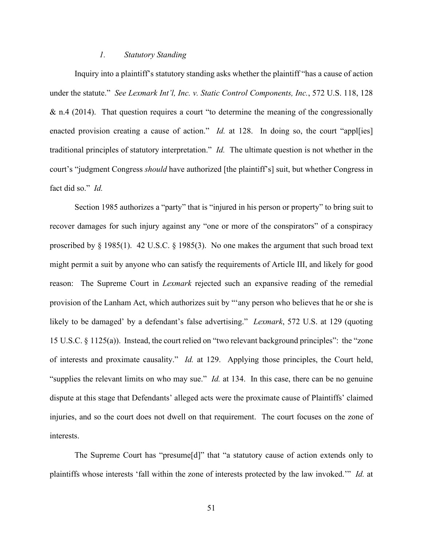#### *1. Statutory Standing*

Inquiry into a plaintiff's statutory standing asks whether the plaintiff "has a cause of action under the statute." *See Lexmark Int'l, Inc. v. Static Control Components, Inc.*, 572 U.S. 118, 128  $\&$  n.4 (2014). That question requires a court "to determine the meaning of the congressionally enacted provision creating a cause of action." *Id.* at 128. In doing so, the court "apples" traditional principles of statutory interpretation." *Id.* The ultimate question is not whether in the court's "judgment Congress *should* have authorized [the plaintiff's] suit, but whether Congress in fact did so." *Id.* 

Section 1985 authorizes a "party" that is "injured in his person or property" to bring suit to recover damages for such injury against any "one or more of the conspirators" of a conspiracy proscribed by § 1985(1). 42 U.S.C. § 1985(3). No one makes the argument that such broad text might permit a suit by anyone who can satisfy the requirements of Article III, and likely for good reason: The Supreme Court in *Lexmark* rejected such an expansive reading of the remedial provision of the Lanham Act, which authorizes suit by "'any person who believes that he or she is likely to be damaged' by a defendant's false advertising." *Lexmark*, 572 U.S. at 129 (quoting 15 U.S.C. § 1125(a)). Instead, the court relied on "two relevant background principles": the "zone of interests and proximate causality." *Id.* at 129. Applying those principles, the Court held, "supplies the relevant limits on who may sue." *Id.* at 134. In this case, there can be no genuine dispute at this stage that Defendants' alleged acts were the proximate cause of Plaintiffs' claimed injuries, and so the court does not dwell on that requirement. The court focuses on the zone of interests.

The Supreme Court has "presume[d]" that "a statutory cause of action extends only to plaintiffs whose interests 'fall within the zone of interests protected by the law invoked.'" *Id.* at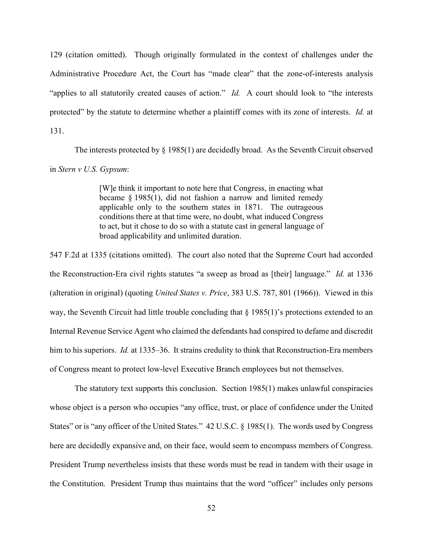129 (citation omitted). Though originally formulated in the context of challenges under the Administrative Procedure Act, the Court has "made clear" that the zone-of-interests analysis "applies to all statutorily created causes of action." *Id.* A court should look to "the interests protected" by the statute to determine whether a plaintiff comes with its zone of interests. *Id.* at 131.

The interests protected by § 1985(1) are decidedly broad. As the Seventh Circuit observed in *Stern v U.S. Gypsum*:

> [W]e think it important to note here that Congress, in enacting what became § 1985(1), did not fashion a narrow and limited remedy applicable only to the southern states in 1871. The outrageous conditions there at that time were, no doubt, what induced Congress to act, but it chose to do so with a statute cast in general language of broad applicability and unlimited duration.

547 F.2d at 1335 (citations omitted). The court also noted that the Supreme Court had accorded the Reconstruction-Era civil rights statutes "a sweep as broad as [their] language." *Id.* at 1336 (alteration in original) (quoting *United States v. Price*, 383 U.S. 787, 801 (1966)). Viewed in this way, the Seventh Circuit had little trouble concluding that  $\S 1985(1)'$  s protections extended to an Internal Revenue Service Agent who claimed the defendants had conspired to defame and discredit him to his superiors. *Id.* at 1335–36. It strains credulity to think that Reconstruction-Era members of Congress meant to protect low-level Executive Branch employees but not themselves.

The statutory text supports this conclusion. Section 1985(1) makes unlawful conspiracies whose object is a person who occupies "any office, trust, or place of confidence under the United States" or is "any officer of the United States." 42 U.S.C. § 1985(1). The words used by Congress here are decidedly expansive and, on their face, would seem to encompass members of Congress. President Trump nevertheless insists that these words must be read in tandem with their usage in the Constitution. President Trump thus maintains that the word "officer" includes only persons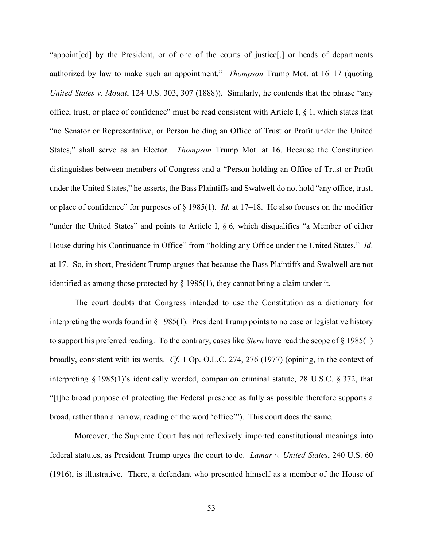"appoint[ed] by the President, or of one of the courts of justice[,] or heads of departments authorized by law to make such an appointment." *Thompson* Trump Mot. at 16–17 (quoting *United States v. Mouat*, 124 U.S. 303, 307 (1888)). Similarly, he contends that the phrase "any office, trust, or place of confidence" must be read consistent with Article I, § 1, which states that "no Senator or Representative, or Person holding an Office of Trust or Profit under the United States," shall serve as an Elector. *Thompson* Trump Mot. at 16. Because the Constitution distinguishes between members of Congress and a "Person holding an Office of Trust or Profit under the United States," he asserts, the Bass Plaintiffs and Swalwell do not hold "any office, trust, or place of confidence" for purposes of § 1985(1). *Id.* at 17–18. He also focuses on the modifier "under the United States" and points to Article I, § 6, which disqualifies "a Member of either House during his Continuance in Office" from "holding any Office under the United States." *Id*. at 17. So, in short, President Trump argues that because the Bass Plaintiffs and Swalwell are not identified as among those protected by § 1985(1), they cannot bring a claim under it.

The court doubts that Congress intended to use the Constitution as a dictionary for interpreting the words found in § 1985(1). President Trump points to no case or legislative history to support his preferred reading. To the contrary, cases like *Stern* have read the scope of § 1985(1) broadly, consistent with its words. *Cf.* 1 Op. O.L.C. 274, 276 (1977) (opining, in the context of interpreting § 1985(1)'s identically worded, companion criminal statute, 28 U.S.C. § 372, that "[t]he broad purpose of protecting the Federal presence as fully as possible therefore supports a broad, rather than a narrow, reading of the word 'office'"). This court does the same.

Moreover, the Supreme Court has not reflexively imported constitutional meanings into federal statutes, as President Trump urges the court to do. *Lamar v. United States*, 240 U.S. 60 (1916), is illustrative. There, a defendant who presented himself as a member of the House of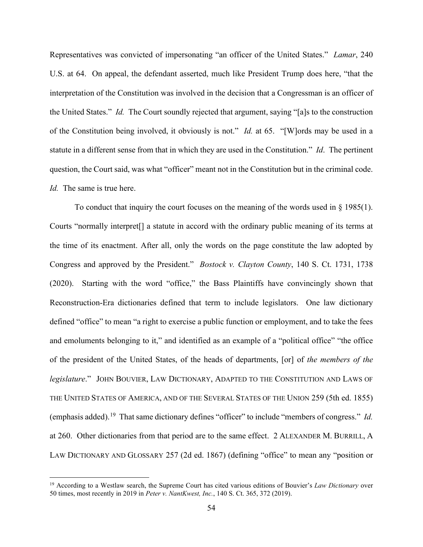Representatives was convicted of impersonating "an officer of the United States." *Lamar*, 240 U.S. at 64. On appeal, the defendant asserted, much like President Trump does here, "that the interpretation of the Constitution was involved in the decision that a Congressman is an officer of the United States." *Id.* The Court soundly rejected that argument, saying "[a]s to the construction of the Constitution being involved, it obviously is not." *Id.* at 65. "[W]ords may be used in a statute in a different sense from that in which they are used in the Constitution." *Id*. The pertinent question, the Court said, was what "officer" meant not in the Constitution but in the criminal code. *Id.* The same is true here.

To conduct that inquiry the court focuses on the meaning of the words used in § 1985(1). Courts "normally interpret[] a statute in accord with the ordinary public meaning of its terms at the time of its enactment. After all, only the words on the page constitute the law adopted by Congress and approved by the President." *Bostock v. Clayton County*, 140 S. Ct. 1731, 1738 (2020). Starting with the word "office," the Bass Plaintiffs have convincingly shown that Reconstruction-Era dictionaries defined that term to include legislators. One law dictionary defined "office" to mean "a right to exercise a public function or employment, and to take the fees and emoluments belonging to it," and identified as an example of a "political office" "the office of the president of the United States, of the heads of departments, [or] of *the members of the legislature*." JOHN BOUVIER, LAW DICTIONARY, ADAPTED TO THE CONSTITUTION AND LAWS OF THE UNITED STATES OF AMERICA, AND OF THE SEVERAL STATES OF THE UNION 259 (5th ed. 1855) (emphasis added). 19 That same dictionary defines "officer" to include "members of congress." *Id.*  at 260. Other dictionaries from that period are to the same effect. 2 ALEXANDER M. BURRILL, A LAW DICTIONARY AND GLOSSARY 257 (2d ed. 1867) (defining "office" to mean any "position or

<sup>19</sup> According to a Westlaw search, the Supreme Court has cited various editions of Bouvier's *Law Dictionary* over 50 times, most recently in 2019 in *Peter v. NantKwest, Inc.*, 140 S. Ct. 365, 372 (2019).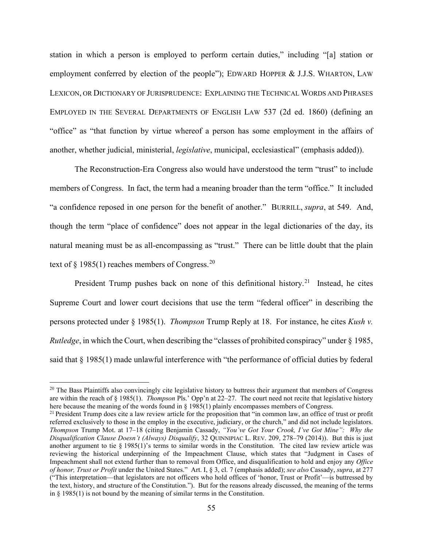station in which a person is employed to perform certain duties," including "[a] station or employment conferred by election of the people"); EDWARD HOPPER & J.J.S. WHARTON, LAW LEXICON, OR DICTIONARY OF JURISPRUDENCE: EXPLAINING THE TECHNICAL WORDS AND PHRASES EMPLOYED IN THE SEVERAL DEPARTMENTS OF ENGLISH LAW 537 (2d ed. 1860) (defining an "office" as "that function by virtue whereof a person has some employment in the affairs of another, whether judicial, ministerial, *legislative*, municipal, ecclesiastical" (emphasis added)).

The Reconstruction-Era Congress also would have understood the term "trust" to include members of Congress. In fact, the term had a meaning broader than the term "office." It included "a confidence reposed in one person for the benefit of another." BURRILL, *supra*, at 549. And, though the term "place of confidence" does not appear in the legal dictionaries of the day, its natural meaning must be as all-encompassing as "trust." There can be little doubt that the plain text of  $\S 1985(1)$  reaches members of Congress.<sup>20</sup>

President Trump pushes back on none of this definitional history.<sup>21</sup> Instead, he cites Supreme Court and lower court decisions that use the term "federal officer" in describing the persons protected under § 1985(1). *Thompson* Trump Reply at 18. For instance, he cites *Kush v. Rutledge*, in which the Court, when describing the "classes of prohibited conspiracy" under § 1985, said that § 1985(1) made unlawful interference with "the performance of official duties by federal

<sup>&</sup>lt;sup>20</sup> The Bass Plaintiffs also convincingly cite legislative history to buttress their argument that members of Congress are within the reach of  $\S 1985(1)$ . *Thompson Pls.*' Opp'n at 22–27. The court need not recite that legislative history here because the meaning of the words found in  $\S 1985(1)$  plainly encompasses members of Congress.

<sup>&</sup>lt;sup>21</sup> President Trump does cite a law review article for the proposition that "in common law, an office of trust or profit referred exclusively to those in the employ in the executive, judiciary, or the church," and did not include legislators. *Thompson* Trump Mot. at 17–18 (citing Benjamin Cassady, *"You've Got Your Crook, I've Got Mine": Why the Disqualification Clause Doesn't (Always) Disqualify*, 32 QUINNIPIAC L. REV. 209, 278–79 (2014)). But this is just another argument to tie § 1985(1)'s terms to similar words in the Constitution. The cited law review article was reviewing the historical underpinning of the Impeachment Clause, which states that "Judgment in Cases of Impeachment shall not extend further than to removal from Office, and disqualification to hold and enjoy any *Office of honor, Trust or Profit* under the United States." Art. I, § 3, cl. 7 (emphasis added); *see also* Cassady, *supra*, at 277 ("This interpretation—that legislators are not officers who hold offices of 'honor, Trust or Profit'—is buttressed by the text, history, and structure of the Constitution."). But for the reasons already discussed, the meaning of the terms in § 1985(1) is not bound by the meaning of similar terms in the Constitution.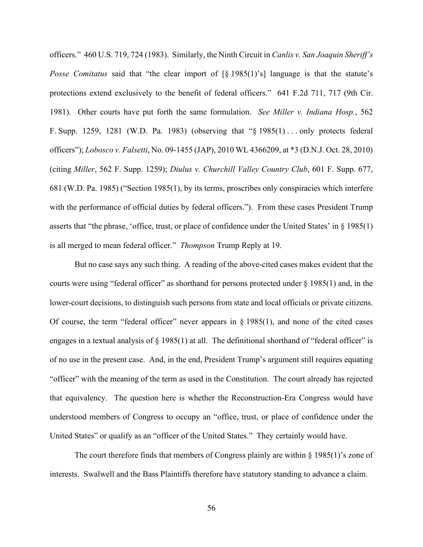officers." 460 U.S. 719, 724 (1983). Similarly, the Ninth Circuit in *Canlis v. San Joaquin Sheriff's Posse Comitatus* said that "the clear import of  $\lceil \S$  1985(1)'s] language is that the statute's protections extend exclusively to the benefit of federal officers." 641 F.2d 711, 717 (9th Cir. 1981). Other courts have put forth the same formulation. *See Miller v. Indiana Hosp.*, 562 F. Supp. 1259, 1281 (W.D. Pa. 1983) (observing that "§ 1985(1) . . . only protects federal officers"); *Lobosco v. Falsetti*, No. 09-1455 (JAP), 2010 WL 4366209, at \*3 (D.N.J. Oct. 28, 2010) (citing *Miller*, 562 F. Supp. 1259); *Diulus v. Churchill Valley Country Club*, 601 F. Supp. 677, 681 (W.D. Pa. 1985) ("Section 1985(1), by its terms, proscribes only conspiracies which interfere with the performance of official duties by federal officers."). From these cases President Trump asserts that "the phrase, 'office, trust, or place of confidence under the United States' in § 1985(1) is all merged to mean federal officer." *Thompson* Trump Reply at 19.

But no case says any such thing. A reading of the above-cited cases makes evident that the courts were using "federal officer" as shorthand for persons protected under § 1985(1) and, in the lower-court decisions, to distinguish such persons from state and local officials or private citizens. Of course, the term "federal officer" never appears in  $\S 1985(1)$ , and none of the cited cases engages in a textual analysis of  $\S 1985(1)$  at all. The definitional shorthand of "federal officer" is of no use in the present case. And, in the end, President Trump's argument still requires equating "officer" with the meaning of the term as used in the Constitution. The court already has rejected that equivalency. The question here is whether the Reconstruction-Era Congress would have understood members of Congress to occupy an "office, trust, or place of confidence under the United States" or qualify as an "officer of the United States." They certainly would have.

The court therefore finds that members of Congress plainly are within § 1985(1)'s zone of interests. Swalwell and the Bass Plaintiffs therefore have statutory standing to advance a claim.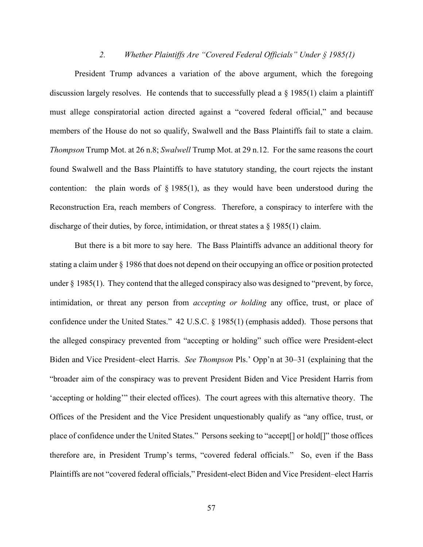#### *2. Whether Plaintiffs Are "Covered Federal Officials" Under § 1985(1)*

President Trump advances a variation of the above argument, which the foregoing discussion largely resolves. He contends that to successfully plead a § 1985(1) claim a plaintiff must allege conspiratorial action directed against a "covered federal official," and because members of the House do not so qualify, Swalwell and the Bass Plaintiffs fail to state a claim. *Thompson* Trump Mot. at 26 n.8; *Swalwell* Trump Mot. at 29 n.12. For the same reasons the court found Swalwell and the Bass Plaintiffs to have statutory standing, the court rejects the instant contention: the plain words of  $\S$  1985(1), as they would have been understood during the Reconstruction Era, reach members of Congress. Therefore, a conspiracy to interfere with the discharge of their duties, by force, intimidation, or threat states a § 1985(1) claim.

But there is a bit more to say here. The Bass Plaintiffs advance an additional theory for stating a claim under § 1986 that does not depend on their occupying an office or position protected under § 1985(1). They contend that the alleged conspiracy also was designed to "prevent, by force, intimidation, or threat any person from *accepting or holding* any office, trust, or place of confidence under the United States." 42 U.S.C. § 1985(1) (emphasis added). Those persons that the alleged conspiracy prevented from "accepting or holding" such office were President-elect Biden and Vice President–elect Harris. *See Thompson* Pls.' Opp'n at 30–31 (explaining that the "broader aim of the conspiracy was to prevent President Biden and Vice President Harris from 'accepting or holding'" their elected offices). The court agrees with this alternative theory. The Offices of the President and the Vice President unquestionably qualify as "any office, trust, or place of confidence under the United States." Persons seeking to "accept[] or hold[]" those offices therefore are, in President Trump's terms, "covered federal officials." So, even if the Bass Plaintiffs are not "covered federal officials," President-elect Biden and Vice President–elect Harris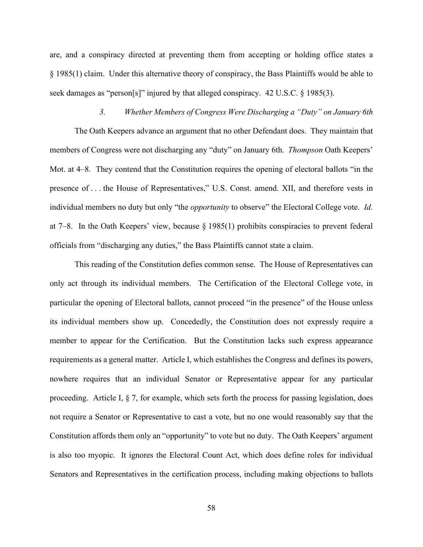are, and a conspiracy directed at preventing them from accepting or holding office states a § 1985(1) claim. Under this alternative theory of conspiracy, the Bass Plaintiffs would be able to seek damages as "person[s]" injured by that alleged conspiracy. 42 U.S.C. § 1985(3).

# *3. Whether Members of Congress Were Discharging a "Duty" on January 6th*

The Oath Keepers advance an argument that no other Defendant does. They maintain that members of Congress were not discharging any "duty" on January 6th. *Thompson* Oath Keepers' Mot. at 4–8. They contend that the Constitution requires the opening of electoral ballots "in the presence of . . . the House of Representatives," U.S. Const. amend. XII, and therefore vests in individual members no duty but only "the *opportunity* to observe" the Electoral College vote. *Id.*  at 7–8. In the Oath Keepers' view, because § 1985(1) prohibits conspiracies to prevent federal officials from "discharging any duties," the Bass Plaintiffs cannot state a claim.

This reading of the Constitution defies common sense. The House of Representatives can only act through its individual members. The Certification of the Electoral College vote, in particular the opening of Electoral ballots, cannot proceed "in the presence" of the House unless its individual members show up. Concededly, the Constitution does not expressly require a member to appear for the Certification. But the Constitution lacks such express appearance requirements as a general matter. Article I, which establishes the Congress and defines its powers, nowhere requires that an individual Senator or Representative appear for any particular proceeding. Article I, § 7, for example, which sets forth the process for passing legislation, does not require a Senator or Representative to cast a vote, but no one would reasonably say that the Constitution affords them only an "opportunity" to vote but no duty. The Oath Keepers' argument is also too myopic. It ignores the Electoral Count Act, which does define roles for individual Senators and Representatives in the certification process, including making objections to ballots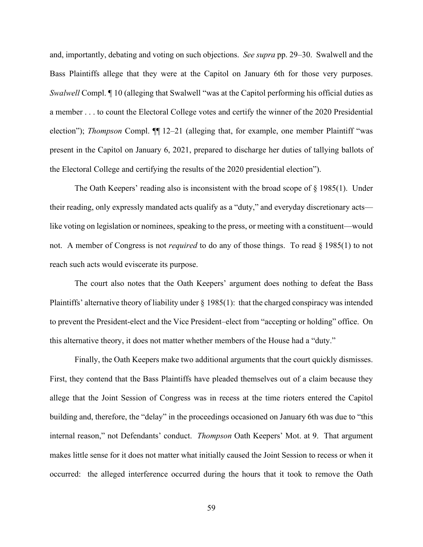and, importantly, debating and voting on such objections. *See supra* pp. 29–30. Swalwell and the Bass Plaintiffs allege that they were at the Capitol on January 6th for those very purposes. *Swalwell* Compl.  $\P$  10 (alleging that Swalwell "was at the Capitol performing his official duties as a member . . . to count the Electoral College votes and certify the winner of the 2020 Presidential election"); *Thompson* Compl.  $\P$  12–21 (alleging that, for example, one member Plaintiff "was present in the Capitol on January 6, 2021, prepared to discharge her duties of tallying ballots of the Electoral College and certifying the results of the 2020 presidential election").

The Oath Keepers' reading also is inconsistent with the broad scope of  $\S$  1985(1). Under their reading, only expressly mandated acts qualify as a "duty," and everyday discretionary acts like voting on legislation or nominees, speaking to the press, or meeting with a constituent—would not. A member of Congress is not *required* to do any of those things. To read § 1985(1) to not reach such acts would eviscerate its purpose.

The court also notes that the Oath Keepers' argument does nothing to defeat the Bass Plaintiffs' alternative theory of liability under  $\S$  1985(1): that the charged conspiracy was intended to prevent the President-elect and the Vice President–elect from "accepting or holding" office. On this alternative theory, it does not matter whether members of the House had a "duty."

Finally, the Oath Keepers make two additional arguments that the court quickly dismisses. First, they contend that the Bass Plaintiffs have pleaded themselves out of a claim because they allege that the Joint Session of Congress was in recess at the time rioters entered the Capitol building and, therefore, the "delay" in the proceedings occasioned on January 6th was due to "this internal reason," not Defendants' conduct. *Thompson* Oath Keepers' Mot. at 9. That argument makes little sense for it does not matter what initially caused the Joint Session to recess or when it occurred: the alleged interference occurred during the hours that it took to remove the Oath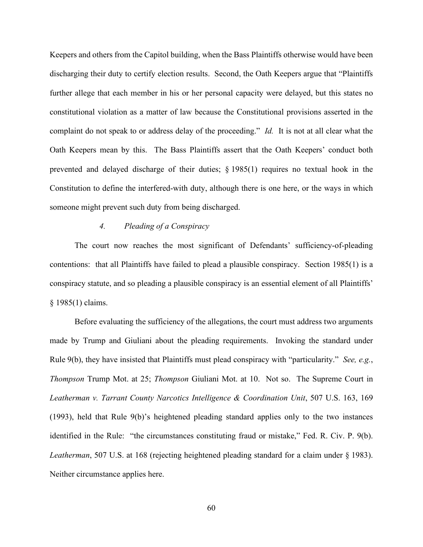Keepers and others from the Capitol building, when the Bass Plaintiffs otherwise would have been discharging their duty to certify election results. Second, the Oath Keepers argue that "Plaintiffs further allege that each member in his or her personal capacity were delayed, but this states no constitutional violation as a matter of law because the Constitutional provisions asserted in the complaint do not speak to or address delay of the proceeding." *Id.* It is not at all clear what the Oath Keepers mean by this. The Bass Plaintiffs assert that the Oath Keepers' conduct both prevented and delayed discharge of their duties; § 1985(1) requires no textual hook in the Constitution to define the interfered-with duty, although there is one here, or the ways in which someone might prevent such duty from being discharged.

### *4. Pleading of a Conspiracy*

The court now reaches the most significant of Defendants' sufficiency-of-pleading contentions: that all Plaintiffs have failed to plead a plausible conspiracy. Section 1985(1) is a conspiracy statute, and so pleading a plausible conspiracy is an essential element of all Plaintiffs' § 1985(1) claims.

Before evaluating the sufficiency of the allegations, the court must address two arguments made by Trump and Giuliani about the pleading requirements. Invoking the standard under Rule 9(b), they have insisted that Plaintiffs must plead conspiracy with "particularity." *See, e.g.*, *Thompson* Trump Mot. at 25; *Thompson* Giuliani Mot. at 10. Not so. The Supreme Court in *Leatherman v. Tarrant County Narcotics Intelligence & Coordination Unit*, 507 U.S. 163, 169 (1993), held that Rule 9(b)'s heightened pleading standard applies only to the two instances identified in the Rule: "the circumstances constituting fraud or mistake," Fed. R. Civ. P. 9(b). *Leatherman*, 507 U.S. at 168 (rejecting heightened pleading standard for a claim under § 1983). Neither circumstance applies here.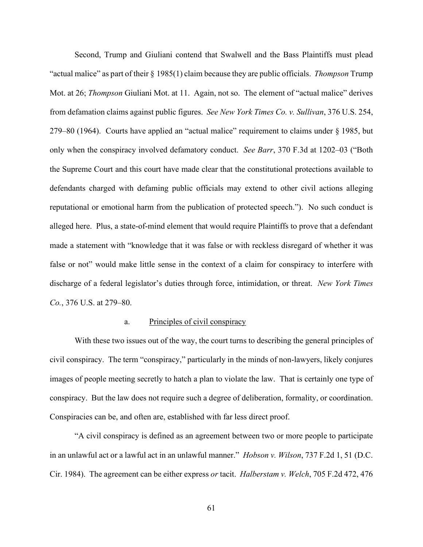Second, Trump and Giuliani contend that Swalwell and the Bass Plaintiffs must plead "actual malice" as part of their § 1985(1) claim because they are public officials. *Thompson* Trump Mot. at 26; *Thompson* Giuliani Mot. at 11. Again, not so. The element of "actual malice" derives from defamation claims against public figures. *See New York Times Co. v. Sullivan*, 376 U.S. 254, 279–80 (1964). Courts have applied an "actual malice" requirement to claims under § 1985, but only when the conspiracy involved defamatory conduct. *See Barr*, 370 F.3d at 1202–03 ("Both the Supreme Court and this court have made clear that the constitutional protections available to defendants charged with defaming public officials may extend to other civil actions alleging reputational or emotional harm from the publication of protected speech."). No such conduct is alleged here. Plus, a state-of-mind element that would require Plaintiffs to prove that a defendant made a statement with "knowledge that it was false or with reckless disregard of whether it was false or not" would make little sense in the context of a claim for conspiracy to interfere with discharge of a federal legislator's duties through force, intimidation, or threat. *New York Times Co.*, 376 U.S. at 279–80.

## a. Principles of civil conspiracy

With these two issues out of the way, the court turns to describing the general principles of civil conspiracy. The term "conspiracy," particularly in the minds of non-lawyers, likely conjures images of people meeting secretly to hatch a plan to violate the law. That is certainly one type of conspiracy. But the law does not require such a degree of deliberation, formality, or coordination. Conspiracies can be, and often are, established with far less direct proof.

"A civil conspiracy is defined as an agreement between two or more people to participate in an unlawful act or a lawful act in an unlawful manner." *Hobson v. Wilson*, 737 F.2d 1, 51 (D.C. Cir. 1984). The agreement can be either express *or* tacit. *Halberstam v. Welch*, 705 F.2d 472, 476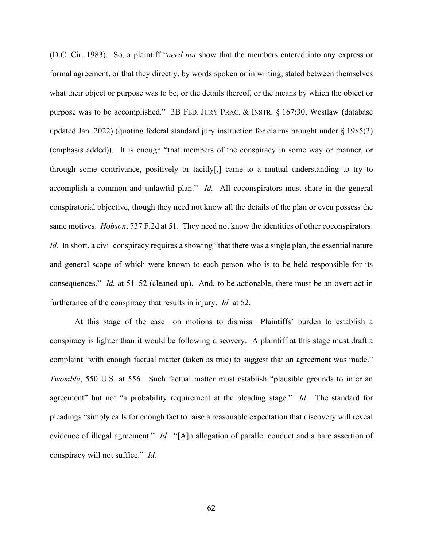(D.C. Cir. 1983). So, a plaintiff "*need not* show that the members entered into any express or formal agreement, or that they directly, by words spoken or in writing, stated between themselves what their object or purpose was to be, or the details thereof, or the means by which the object or purpose was to be accomplished." 3B FED. JURY PRAC. & INSTR. § 167:30, Westlaw (database updated Jan. 2022) (quoting federal standard jury instruction for claims brought under § 1985(3) (emphasis added)). It is enough "that members of the conspiracy in some way or manner, or through some contrivance, positively or tacitly[,] came to a mutual understanding to try to accomplish a common and unlawful plan." *Id.* All coconspirators must share in the general conspiratorial objective, though they need not know all the details of the plan or even possess the same motives. *Hobson*, 737 F.2d at 51. They need not know the identities of other coconspirators. *Id.* In short, a civil conspiracy requires a showing "that there was a single plan, the essential nature and general scope of which were known to each person who is to be held responsible for its consequences." *Id.* at 51–52 (cleaned up). And, to be actionable, there must be an overt act in furtherance of the conspiracy that results in injury. *Id.* at 52.

At this stage of the case—on motions to dismiss—Plaintiffs' burden to establish a conspiracy is lighter than it would be following discovery. A plaintiff at this stage must draft a complaint "with enough factual matter (taken as true) to suggest that an agreement was made." *Twombly*, 550 U.S. at 556. Such factual matter must establish "plausible grounds to infer an agreement" but not "a probability requirement at the pleading stage." *Id.* The standard for pleadings "simply calls for enough fact to raise a reasonable expectation that discovery will reveal evidence of illegal agreement." *Id.* "[A]n allegation of parallel conduct and a bare assertion of conspiracy will not suffice." *Id.*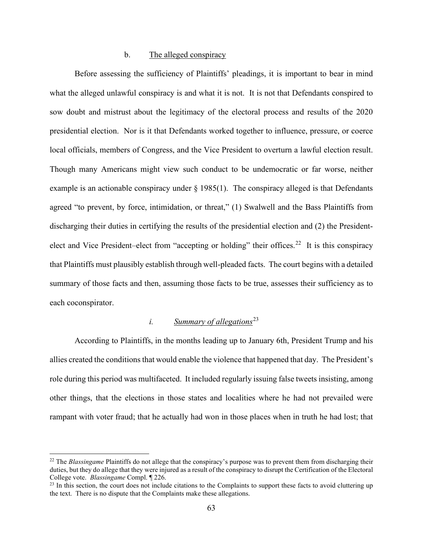## b. The alleged conspiracy

Before assessing the sufficiency of Plaintiffs' pleadings, it is important to bear in mind what the alleged unlawful conspiracy is and what it is not. It is not that Defendants conspired to sow doubt and mistrust about the legitimacy of the electoral process and results of the 2020 presidential election. Nor is it that Defendants worked together to influence, pressure, or coerce local officials, members of Congress, and the Vice President to overturn a lawful election result. Though many Americans might view such conduct to be undemocratic or far worse, neither example is an actionable conspiracy under § 1985(1). The conspiracy alleged is that Defendants agreed "to prevent, by force, intimidation, or threat," (1) Swalwell and the Bass Plaintiffs from discharging their duties in certifying the results of the presidential election and (2) the Presidentelect and Vice President–elect from "accepting or holding" their offices.<sup>22</sup> It is this conspiracy that Plaintiffs must plausibly establish through well-pleaded facts. The court begins with a detailed summary of those facts and then, assuming those facts to be true, assesses their sufficiency as to each coconspirator.

# *i. Summary of allegations*<sup>23</sup>

According to Plaintiffs, in the months leading up to January 6th, President Trump and his allies created the conditions that would enable the violence that happened that day. The President's role during this period was multifaceted. It included regularly issuing false tweets insisting, among other things, that the elections in those states and localities where he had not prevailed were rampant with voter fraud; that he actually had won in those places when in truth he had lost; that

<sup>&</sup>lt;sup>22</sup> The *Blassingame* Plaintiffs do not allege that the conspiracy's purpose was to prevent them from discharging their duties, but they do allege that they were injured as a result of the conspiracy to disrupt the Certification of the Electoral College vote. *Blassingame* Compl.  $\P$  226.

<sup>&</sup>lt;sup>23</sup> In this section, the court does not include citations to the Complaints to support these facts to avoid cluttering up the text. There is no dispute that the Complaints make these allegations.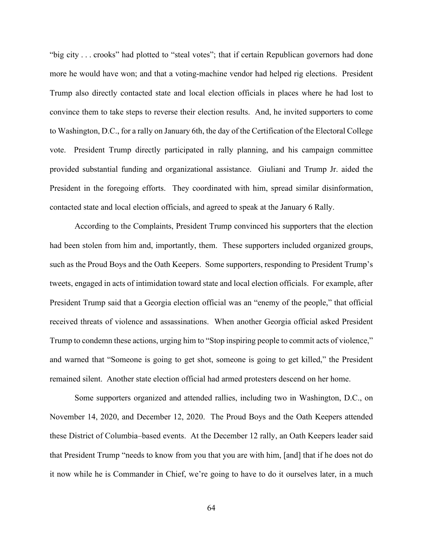"big city . . . crooks" had plotted to "steal votes"; that if certain Republican governors had done more he would have won; and that a voting-machine vendor had helped rig elections. President Trump also directly contacted state and local election officials in places where he had lost to convince them to take steps to reverse their election results. And, he invited supporters to come to Washington, D.C., for a rally on January 6th, the day of the Certification of the Electoral College vote. President Trump directly participated in rally planning, and his campaign committee provided substantial funding and organizational assistance. Giuliani and Trump Jr. aided the President in the foregoing efforts. They coordinated with him, spread similar disinformation, contacted state and local election officials, and agreed to speak at the January 6 Rally.

According to the Complaints, President Trump convinced his supporters that the election had been stolen from him and, importantly, them. These supporters included organized groups, such as the Proud Boys and the Oath Keepers. Some supporters, responding to President Trump's tweets, engaged in acts of intimidation toward state and local election officials. For example, after President Trump said that a Georgia election official was an "enemy of the people," that official received threats of violence and assassinations. When another Georgia official asked President Trump to condemn these actions, urging him to "Stop inspiring people to commit acts of violence," and warned that "Someone is going to get shot, someone is going to get killed," the President remained silent. Another state election official had armed protesters descend on her home.

Some supporters organized and attended rallies, including two in Washington, D.C., on November 14, 2020, and December 12, 2020. The Proud Boys and the Oath Keepers attended these District of Columbia–based events. At the December 12 rally, an Oath Keepers leader said that President Trump "needs to know from you that you are with him, [and] that if he does not do it now while he is Commander in Chief, we're going to have to do it ourselves later, in a much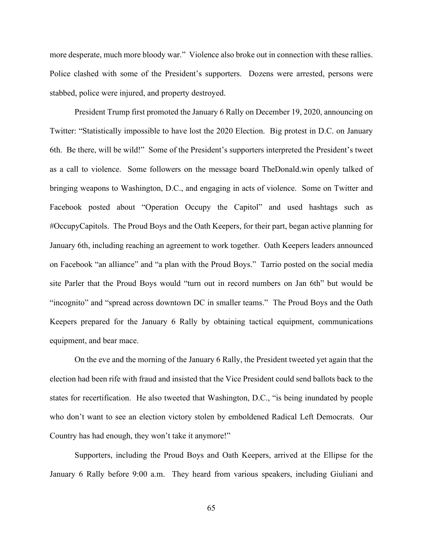more desperate, much more bloody war." Violence also broke out in connection with these rallies. Police clashed with some of the President's supporters. Dozens were arrested, persons were stabbed, police were injured, and property destroyed.

President Trump first promoted the January 6 Rally on December 19, 2020, announcing on Twitter: "Statistically impossible to have lost the 2020 Election. Big protest in D.C. on January 6th. Be there, will be wild!" Some of the President's supporters interpreted the President's tweet as a call to violence. Some followers on the message board TheDonald.win openly talked of bringing weapons to Washington, D.C., and engaging in acts of violence. Some on Twitter and Facebook posted about "Operation Occupy the Capitol" and used hashtags such as #OccupyCapitols. The Proud Boys and the Oath Keepers, for their part, began active planning for January 6th, including reaching an agreement to work together. Oath Keepers leaders announced on Facebook "an alliance" and "a plan with the Proud Boys." Tarrio posted on the social media site Parler that the Proud Boys would "turn out in record numbers on Jan 6th" but would be "incognito" and "spread across downtown DC in smaller teams." The Proud Boys and the Oath Keepers prepared for the January 6 Rally by obtaining tactical equipment, communications equipment, and bear mace.

On the eve and the morning of the January 6 Rally, the President tweeted yet again that the election had been rife with fraud and insisted that the Vice President could send ballots back to the states for recertification. He also tweeted that Washington, D.C., "is being inundated by people who don't want to see an election victory stolen by emboldened Radical Left Democrats. Our Country has had enough, they won't take it anymore!"

Supporters, including the Proud Boys and Oath Keepers, arrived at the Ellipse for the January 6 Rally before 9:00 a.m. They heard from various speakers, including Giuliani and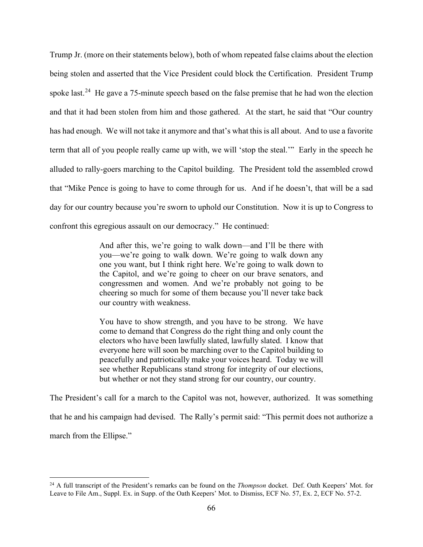Trump Jr. (more on their statements below), both of whom repeated false claims about the election being stolen and asserted that the Vice President could block the Certification. President Trump spoke last.<sup>24</sup> He gave a 75-minute speech based on the false premise that he had won the election and that it had been stolen from him and those gathered. At the start, he said that "Our country has had enough. We will not take it anymore and that's what this is all about. And to use a favorite term that all of you people really came up with, we will 'stop the steal.'" Early in the speech he alluded to rally-goers marching to the Capitol building. The President told the assembled crowd that "Mike Pence is going to have to come through for us. And if he doesn't, that will be a sad day for our country because you're sworn to uphold our Constitution. Now it is up to Congress to confront this egregious assault on our democracy." He continued:

> And after this, we're going to walk down—and I'll be there with you—we're going to walk down. We're going to walk down any one you want, but I think right here. We're going to walk down to the Capitol, and we're going to cheer on our brave senators, and congressmen and women. And we're probably not going to be cheering so much for some of them because you'll never take back our country with weakness.

> You have to show strength, and you have to be strong. We have come to demand that Congress do the right thing and only count the electors who have been lawfully slated, lawfully slated. I know that everyone here will soon be marching over to the Capitol building to peacefully and patriotically make your voices heard. Today we will see whether Republicans stand strong for integrity of our elections, but whether or not they stand strong for our country, our country.

The President's call for a march to the Capitol was not, however, authorized. It was something that he and his campaign had devised. The Rally's permit said: "This permit does not authorize a march from the Ellipse."

<sup>24</sup> A full transcript of the President's remarks can be found on the *Thompson* docket. Def. Oath Keepers' Mot. for Leave to File Am., Suppl. Ex. in Supp. of the Oath Keepers' Mot. to Dismiss, ECF No. 57, Ex. 2, ECF No. 57-2.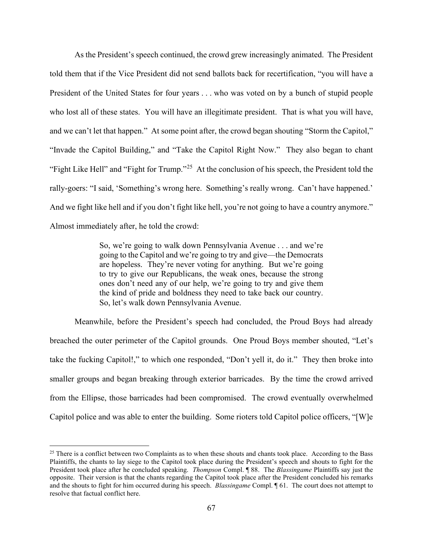As the President's speech continued, the crowd grew increasingly animated. The President told them that if the Vice President did not send ballots back for recertification, "you will have a President of the United States for four years . . . who was voted on by a bunch of stupid people who lost all of these states. You will have an illegitimate president. That is what you will have, and we can't let that happen." At some point after, the crowd began shouting "Storm the Capitol," "Invade the Capitol Building," and "Take the Capitol Right Now." They also began to chant "Fight Like Hell" and "Fight for Trump."<sup>25</sup> At the conclusion of his speech, the President told the rally-goers: "I said, 'Something's wrong here. Something's really wrong. Can't have happened.' And we fight like hell and if you don't fight like hell, you're not going to have a country anymore." Almost immediately after, he told the crowd:

> So, we're going to walk down Pennsylvania Avenue . . . and we're going to the Capitol and we're going to try and give—the Democrats are hopeless. They're never voting for anything. But we're going to try to give our Republicans, the weak ones, because the strong ones don't need any of our help, we're going to try and give them the kind of pride and boldness they need to take back our country. So, let's walk down Pennsylvania Avenue.

Meanwhile, before the President's speech had concluded, the Proud Boys had already breached the outer perimeter of the Capitol grounds. One Proud Boys member shouted, "Let's take the fucking Capitol!," to which one responded, "Don't yell it, do it." They then broke into smaller groups and began breaking through exterior barricades. By the time the crowd arrived from the Ellipse, those barricades had been compromised. The crowd eventually overwhelmed Capitol police and was able to enter the building. Some rioters told Capitol police officers, "[W]e

 $25$  There is a conflict between two Complaints as to when these shouts and chants took place. According to the Bass Plaintiffs, the chants to lay siege to the Capitol took place during the President's speech and shouts to fight for the President took place after he concluded speaking. *Thompson* Compl. ¶ 88. The *Blassingame* Plaintiffs say just the opposite. Their version is that the chants regarding the Capitol took place after the President concluded his remarks and the shouts to fight for him occurred during his speech. *Blassingame* Compl. ¶ 61. The court does not attempt to resolve that factual conflict here.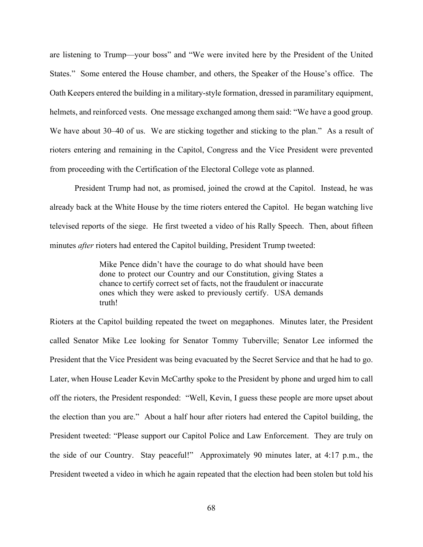are listening to Trump—your boss" and "We were invited here by the President of the United States." Some entered the House chamber, and others, the Speaker of the House's office. The Oath Keepers entered the building in a military-style formation, dressed in paramilitary equipment, helmets, and reinforced vests. One message exchanged among them said: "We have a good group. We have about 30–40 of us. We are sticking together and sticking to the plan." As a result of rioters entering and remaining in the Capitol, Congress and the Vice President were prevented from proceeding with the Certification of the Electoral College vote as planned.

President Trump had not, as promised, joined the crowd at the Capitol. Instead, he was already back at the White House by the time rioters entered the Capitol. He began watching live televised reports of the siege. He first tweeted a video of his Rally Speech. Then, about fifteen minutes *after* rioters had entered the Capitol building, President Trump tweeted:

> Mike Pence didn't have the courage to do what should have been done to protect our Country and our Constitution, giving States a chance to certify correct set of facts, not the fraudulent or inaccurate ones which they were asked to previously certify. USA demands truth!

Rioters at the Capitol building repeated the tweet on megaphones. Minutes later, the President called Senator Mike Lee looking for Senator Tommy Tuberville; Senator Lee informed the President that the Vice President was being evacuated by the Secret Service and that he had to go. Later, when House Leader Kevin McCarthy spoke to the President by phone and urged him to call off the rioters, the President responded: "Well, Kevin, I guess these people are more upset about the election than you are." About a half hour after rioters had entered the Capitol building, the President tweeted: "Please support our Capitol Police and Law Enforcement. They are truly on the side of our Country. Stay peaceful!" Approximately 90 minutes later, at 4:17 p.m., the President tweeted a video in which he again repeated that the election had been stolen but told his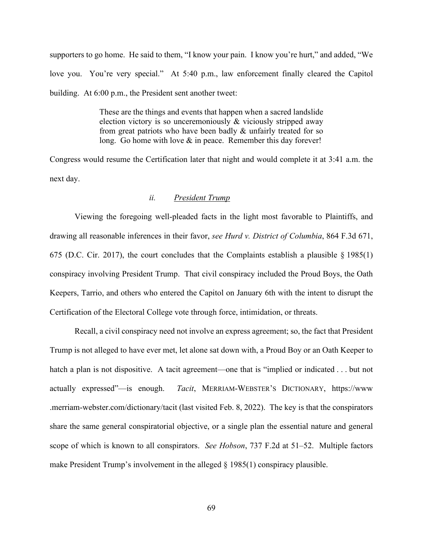supporters to go home. He said to them, "I know your pain. I know you're hurt," and added, "We love you. You're very special." At 5:40 p.m., law enforcement finally cleared the Capitol building. At 6:00 p.m., the President sent another tweet:

> These are the things and events that happen when a sacred landslide election victory is so unceremoniously & viciously stripped away from great patriots who have been badly & unfairly treated for so long. Go home with love & in peace. Remember this day forever!

Congress would resume the Certification later that night and would complete it at 3:41 a.m. the next day.

# *ii. President Trump*

Viewing the foregoing well-pleaded facts in the light most favorable to Plaintiffs, and drawing all reasonable inferences in their favor, *see Hurd v. District of Columbia*, 864 F.3d 671, 675 (D.C. Cir. 2017), the court concludes that the Complaints establish a plausible  $\S$  1985(1) conspiracy involving President Trump. That civil conspiracy included the Proud Boys, the Oath Keepers, Tarrio, and others who entered the Capitol on January 6th with the intent to disrupt the Certification of the Electoral College vote through force, intimidation, or threats.

Recall, a civil conspiracy need not involve an express agreement; so, the fact that President Trump is not alleged to have ever met, let alone sat down with, a Proud Boy or an Oath Keeper to hatch a plan is not dispositive. A tacit agreement—one that is "implied or indicated . . . but not actually expressed"—is enough. *Tacit*, MERRIAM-WEBSTER'S DICTIONARY, https://www .merriam-webster.com/dictionary/tacit (last visited Feb. 8, 2022). The key is that the conspirators share the same general conspiratorial objective, or a single plan the essential nature and general scope of which is known to all conspirators. *See Hobson*, 737 F.2d at 51–52. Multiple factors make President Trump's involvement in the alleged  $\S$  1985(1) conspiracy plausible.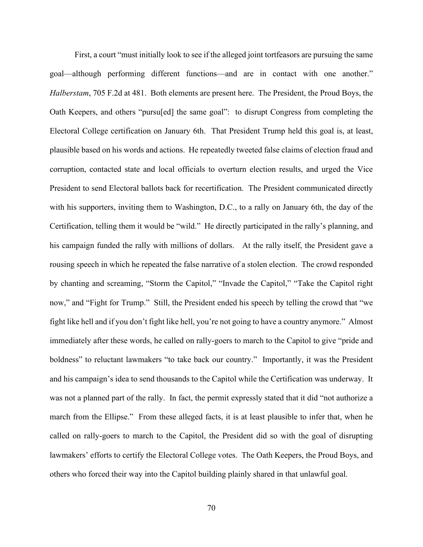First, a court "must initially look to see if the alleged joint tortfeasors are pursuing the same goal—although performing different functions—and are in contact with one another." *Halberstam*, 705 F.2d at 481. Both elements are present here. The President, the Proud Boys, the Oath Keepers, and others "pursu[ed] the same goal": to disrupt Congress from completing the Electoral College certification on January 6th. That President Trump held this goal is, at least, plausible based on his words and actions. He repeatedly tweeted false claims of election fraud and corruption, contacted state and local officials to overturn election results, and urged the Vice President to send Electoral ballots back for recertification. The President communicated directly with his supporters, inviting them to Washington, D.C., to a rally on January 6th, the day of the Certification, telling them it would be "wild." He directly participated in the rally's planning, and his campaign funded the rally with millions of dollars. At the rally itself, the President gave a rousing speech in which he repeated the false narrative of a stolen election. The crowd responded by chanting and screaming, "Storm the Capitol," "Invade the Capitol," "Take the Capitol right now," and "Fight for Trump." Still, the President ended his speech by telling the crowd that "we fight like hell and if you don't fight like hell, you're not going to have a country anymore." Almost immediately after these words, he called on rally-goers to march to the Capitol to give "pride and boldness" to reluctant lawmakers "to take back our country." Importantly, it was the President and his campaign's idea to send thousands to the Capitol while the Certification was underway. It was not a planned part of the rally. In fact, the permit expressly stated that it did "not authorize a march from the Ellipse." From these alleged facts, it is at least plausible to infer that, when he called on rally-goers to march to the Capitol, the President did so with the goal of disrupting lawmakers' efforts to certify the Electoral College votes. The Oath Keepers, the Proud Boys, and others who forced their way into the Capitol building plainly shared in that unlawful goal.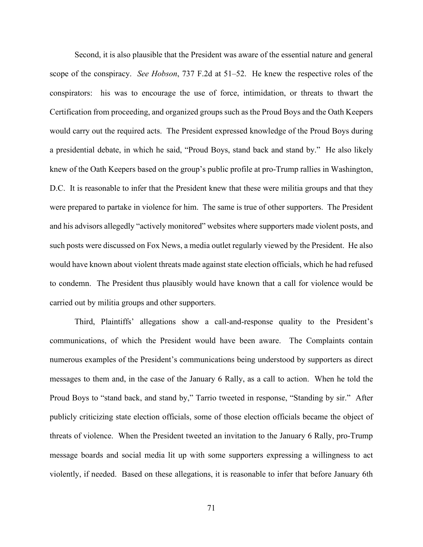Second, it is also plausible that the President was aware of the essential nature and general scope of the conspiracy. *See Hobson*, 737 F.2d at 51–52. He knew the respective roles of the conspirators: his was to encourage the use of force, intimidation, or threats to thwart the Certification from proceeding, and organized groups such as the Proud Boys and the Oath Keepers would carry out the required acts. The President expressed knowledge of the Proud Boys during a presidential debate, in which he said, "Proud Boys, stand back and stand by." He also likely knew of the Oath Keepers based on the group's public profile at pro-Trump rallies in Washington, D.C. It is reasonable to infer that the President knew that these were militia groups and that they were prepared to partake in violence for him. The same is true of other supporters. The President and his advisors allegedly "actively monitored" websites where supporters made violent posts, and such posts were discussed on Fox News, a media outlet regularly viewed by the President. He also would have known about violent threats made against state election officials, which he had refused to condemn. The President thus plausibly would have known that a call for violence would be carried out by militia groups and other supporters.

Third, Plaintiffs' allegations show a call-and-response quality to the President's communications, of which the President would have been aware. The Complaints contain numerous examples of the President's communications being understood by supporters as direct messages to them and, in the case of the January 6 Rally, as a call to action. When he told the Proud Boys to "stand back, and stand by," Tarrio tweeted in response, "Standing by sir." After publicly criticizing state election officials, some of those election officials became the object of threats of violence. When the President tweeted an invitation to the January 6 Rally, pro-Trump message boards and social media lit up with some supporters expressing a willingness to act violently, if needed. Based on these allegations, it is reasonable to infer that before January 6th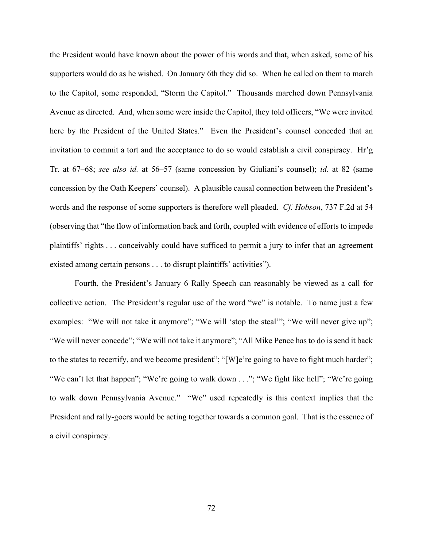the President would have known about the power of his words and that, when asked, some of his supporters would do as he wished. On January 6th they did so. When he called on them to march to the Capitol, some responded, "Storm the Capitol." Thousands marched down Pennsylvania Avenue as directed. And, when some were inside the Capitol, they told officers, "We were invited here by the President of the United States." Even the President's counsel conceded that an invitation to commit a tort and the acceptance to do so would establish a civil conspiracy. Hr'g Tr. at 67–68; *see also id.* at 56–57 (same concession by Giuliani's counsel); *id.* at 82 (same concession by the Oath Keepers' counsel). A plausible causal connection between the President's words and the response of some supporters is therefore well pleaded. *Cf. Hobson*, 737 F.2d at 54 (observing that "the flow of information back and forth, coupled with evidence of efforts to impede plaintiffs' rights . . . conceivably could have sufficed to permit a jury to infer that an agreement existed among certain persons . . . to disrupt plaintiffs' activities").

Fourth, the President's January 6 Rally Speech can reasonably be viewed as a call for collective action. The President's regular use of the word "we" is notable. To name just a few examples: "We will not take it anymore"; "We will 'stop the steal'"; "We will never give up"; "We will never concede"; "We will not take it anymore"; "All Mike Pence has to do is send it back to the states to recertify, and we become president"; "[W]e're going to have to fight much harder"; "We can't let that happen"; "We're going to walk down . . ."; "We fight like hell"; "We're going to walk down Pennsylvania Avenue." "We" used repeatedly is this context implies that the President and rally-goers would be acting together towards a common goal. That is the essence of a civil conspiracy.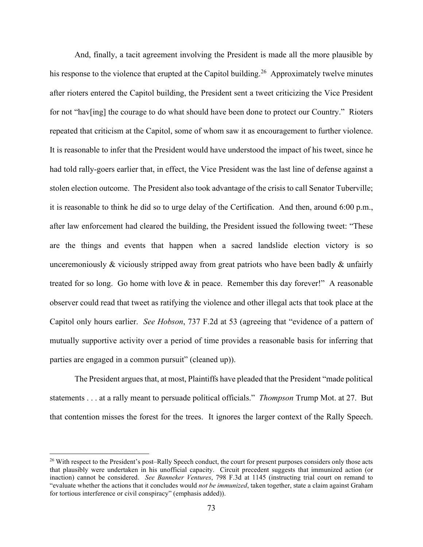And, finally, a tacit agreement involving the President is made all the more plausible by his response to the violence that erupted at the Capitol building.<sup>26</sup> Approximately twelve minutes after rioters entered the Capitol building, the President sent a tweet criticizing the Vice President for not "hav[ing] the courage to do what should have been done to protect our Country." Rioters repeated that criticism at the Capitol, some of whom saw it as encouragement to further violence. It is reasonable to infer that the President would have understood the impact of his tweet, since he had told rally-goers earlier that, in effect, the Vice President was the last line of defense against a stolen election outcome. The President also took advantage of the crisis to call Senator Tuberville; it is reasonable to think he did so to urge delay of the Certification. And then, around 6:00 p.m., after law enforcement had cleared the building, the President issued the following tweet: "These are the things and events that happen when a sacred landslide election victory is so unceremoniously  $\&$  viciously stripped away from great patriots who have been badly  $\&$  unfairly treated for so long. Go home with love  $\&$  in peace. Remember this day forever!" A reasonable observer could read that tweet as ratifying the violence and other illegal acts that took place at the Capitol only hours earlier. *See Hobson*, 737 F.2d at 53 (agreeing that "evidence of a pattern of mutually supportive activity over a period of time provides a reasonable basis for inferring that parties are engaged in a common pursuit" (cleaned up)).

The President argues that, at most, Plaintiffs have pleaded that the President "made political statements . . . at a rally meant to persuade political officials." *Thompson* Trump Mot. at 27. But that contention misses the forest for the trees. It ignores the larger context of the Rally Speech.

<sup>&</sup>lt;sup>26</sup> With respect to the President's post–Rally Speech conduct, the court for present purposes considers only those acts that plausibly were undertaken in his unofficial capacity. Circuit precedent suggests that immunized action (or inaction) cannot be considered. *See Banneker Ventures*, 798 F.3d at 1145 (instructing trial court on remand to "evaluate whether the actions that it concludes would *not be immunized*, taken together, state a claim against Graham for tortious interference or civil conspiracy" (emphasis added)).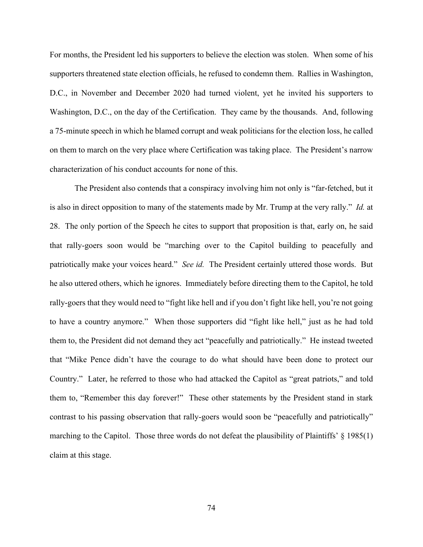For months, the President led his supporters to believe the election was stolen. When some of his supporters threatened state election officials, he refused to condemn them. Rallies in Washington, D.C., in November and December 2020 had turned violent, yet he invited his supporters to Washington, D.C., on the day of the Certification. They came by the thousands. And, following a 75-minute speech in which he blamed corrupt and weak politicians for the election loss, he called on them to march on the very place where Certification was taking place. The President's narrow characterization of his conduct accounts for none of this.

The President also contends that a conspiracy involving him not only is "far-fetched, but it is also in direct opposition to many of the statements made by Mr. Trump at the very rally." *Id.* at 28. The only portion of the Speech he cites to support that proposition is that, early on, he said that rally-goers soon would be "marching over to the Capitol building to peacefully and patriotically make your voices heard." *See id.* The President certainly uttered those words. But he also uttered others, which he ignores. Immediately before directing them to the Capitol, he told rally-goers that they would need to "fight like hell and if you don't fight like hell, you're not going to have a country anymore." When those supporters did "fight like hell," just as he had told them to, the President did not demand they act "peacefully and patriotically." He instead tweeted that "Mike Pence didn't have the courage to do what should have been done to protect our Country." Later, he referred to those who had attacked the Capitol as "great patriots," and told them to, "Remember this day forever!" These other statements by the President stand in stark contrast to his passing observation that rally-goers would soon be "peacefully and patriotically" marching to the Capitol. Those three words do not defeat the plausibility of Plaintiffs' § 1985(1) claim at this stage.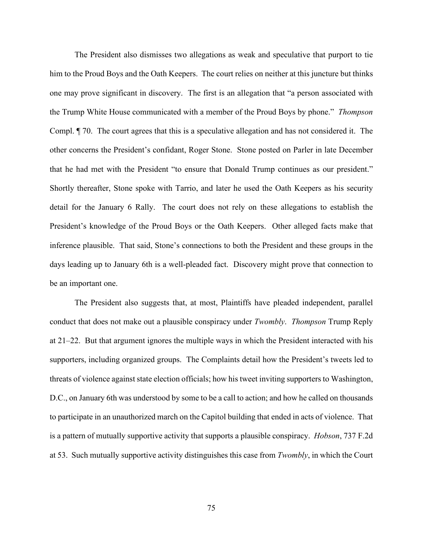The President also dismisses two allegations as weak and speculative that purport to tie him to the Proud Boys and the Oath Keepers. The court relies on neither at this juncture but thinks one may prove significant in discovery. The first is an allegation that "a person associated with the Trump White House communicated with a member of the Proud Boys by phone." *Thompson*  Compl. ¶ 70. The court agrees that this is a speculative allegation and has not considered it. The other concerns the President's confidant, Roger Stone. Stone posted on Parler in late December that he had met with the President "to ensure that Donald Trump continues as our president." Shortly thereafter, Stone spoke with Tarrio, and later he used the Oath Keepers as his security detail for the January 6 Rally. The court does not rely on these allegations to establish the President's knowledge of the Proud Boys or the Oath Keepers. Other alleged facts make that inference plausible. That said, Stone's connections to both the President and these groups in the days leading up to January 6th is a well-pleaded fact. Discovery might prove that connection to be an important one.

The President also suggests that, at most, Plaintiffs have pleaded independent, parallel conduct that does not make out a plausible conspiracy under *Twombly*. *Thompson* Trump Reply at 21–22. But that argument ignores the multiple ways in which the President interacted with his supporters, including organized groups. The Complaints detail how the President's tweets led to threats of violence against state election officials; how his tweet inviting supporters to Washington, D.C., on January 6th was understood by some to be a call to action; and how he called on thousands to participate in an unauthorized march on the Capitol building that ended in acts of violence. That is a pattern of mutually supportive activity that supports a plausible conspiracy. *Hobson*, 737 F.2d at 53. Such mutually supportive activity distinguishes this case from *Twombly*, in which the Court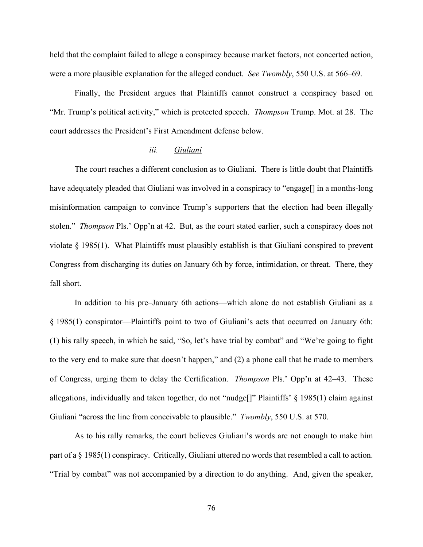held that the complaint failed to allege a conspiracy because market factors, not concerted action, were a more plausible explanation for the alleged conduct. *See Twombly*, 550 U.S. at 566–69.

Finally, the President argues that Plaintiffs cannot construct a conspiracy based on "Mr. Trump's political activity," which is protected speech. *Thompson* Trump. Mot. at 28. The court addresses the President's First Amendment defense below.

### *iii. Giuliani*

The court reaches a different conclusion as to Giuliani. There is little doubt that Plaintiffs have adequately pleaded that Giuliani was involved in a conspiracy to "engage<sup>[]</sup> in a months-long misinformation campaign to convince Trump's supporters that the election had been illegally stolen." *Thompson* Pls.' Opp'n at 42. But, as the court stated earlier, such a conspiracy does not violate § 1985(1). What Plaintiffs must plausibly establish is that Giuliani conspired to prevent Congress from discharging its duties on January 6th by force, intimidation, or threat. There, they fall short.

In addition to his pre–January 6th actions—which alone do not establish Giuliani as a § 1985(1) conspirator—Plaintiffs point to two of Giuliani's acts that occurred on January 6th: (1) his rally speech, in which he said, "So, let's have trial by combat" and "We're going to fight to the very end to make sure that doesn't happen," and (2) a phone call that he made to members of Congress, urging them to delay the Certification. *Thompson* Pls.' Opp'n at 42–43. These allegations, individually and taken together, do not "nudge[]" Plaintiffs' § 1985(1) claim against Giuliani "across the line from conceivable to plausible." *Twombly*, 550 U.S. at 570.

As to his rally remarks, the court believes Giuliani's words are not enough to make him part of a § 1985(1) conspiracy. Critically, Giuliani uttered no words that resembled a call to action. "Trial by combat" was not accompanied by a direction to do anything. And, given the speaker,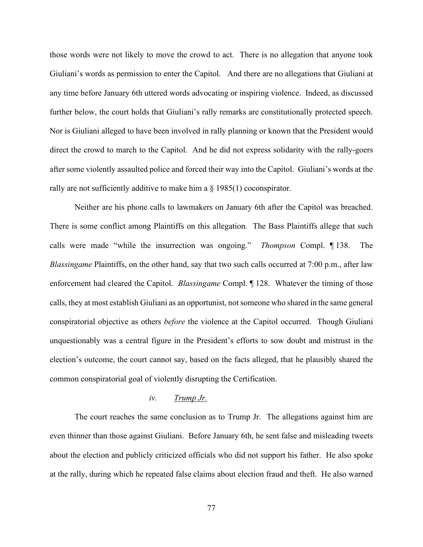those words were not likely to move the crowd to act. There is no allegation that anyone took Giuliani's words as permission to enter the Capitol. And there are no allegations that Giuliani at any time before January 6th uttered words advocating or inspiring violence. Indeed, as discussed further below, the court holds that Giuliani's rally remarks are constitutionally protected speech. Nor is Giuliani alleged to have been involved in rally planning or known that the President would direct the crowd to march to the Capitol. And he did not express solidarity with the rally-goers after some violently assaulted police and forced their way into the Capitol. Giuliani's words at the rally are not sufficiently additive to make him a  $\S$  1985(1) coconspirator.

Neither are his phone calls to lawmakers on January 6th after the Capitol was breached. There is some conflict among Plaintiffs on this allegation. The Bass Plaintiffs allege that such calls were made "while the insurrection was ongoing." *Thompson* Compl. ¶ 138. The *Blassingame* Plaintiffs, on the other hand, say that two such calls occurred at 7:00 p.m., after law enforcement had cleared the Capitol. *Blassingame* Compl. ¶ 128. Whatever the timing of those calls, they at most establish Giuliani as an opportunist, not someone who shared in the same general conspiratorial objective as others *before* the violence at the Capitol occurred. Though Giuliani unquestionably was a central figure in the President's efforts to sow doubt and mistrust in the election's outcome, the court cannot say, based on the facts alleged, that he plausibly shared the common conspiratorial goal of violently disrupting the Certification.

### *iv. Trump Jr.*

The court reaches the same conclusion as to Trump Jr. The allegations against him are even thinner than those against Giuliani. Before January 6th, he sent false and misleading tweets about the election and publicly criticized officials who did not support his father. He also spoke at the rally, during which he repeated false claims about election fraud and theft. He also warned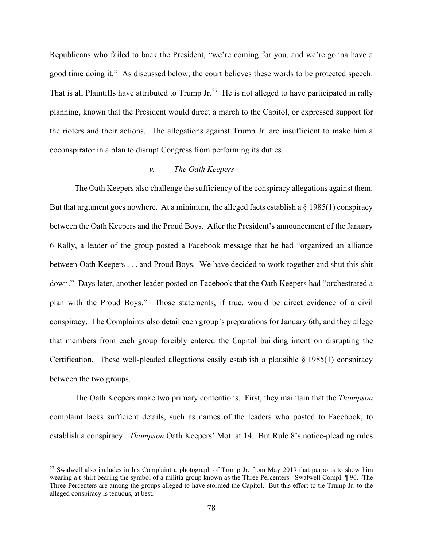Republicans who failed to back the President, "we're coming for you, and we're gonna have a good time doing it." As discussed below, the court believes these words to be protected speech. That is all Plaintiffs have attributed to Trump Jr.<sup>27</sup> He is not alleged to have participated in rally planning, known that the President would direct a march to the Capitol, or expressed support for the rioters and their actions. The allegations against Trump Jr. are insufficient to make him a coconspirator in a plan to disrupt Congress from performing its duties.

#### *v. The Oath Keepers*

The Oath Keepers also challenge the sufficiency of the conspiracy allegations against them. But that argument goes nowhere. At a minimum, the alleged facts establish a  $\S$  1985(1) conspiracy between the Oath Keepers and the Proud Boys. After the President's announcement of the January 6 Rally, a leader of the group posted a Facebook message that he had "organized an alliance between Oath Keepers . . . and Proud Boys. We have decided to work together and shut this shit down." Days later, another leader posted on Facebook that the Oath Keepers had "orchestrated a plan with the Proud Boys." Those statements, if true, would be direct evidence of a civil conspiracy. The Complaints also detail each group's preparations for January 6th, and they allege that members from each group forcibly entered the Capitol building intent on disrupting the Certification. These well-pleaded allegations easily establish a plausible § 1985(1) conspiracy between the two groups.

The Oath Keepers make two primary contentions. First, they maintain that the *Thompson*  complaint lacks sufficient details, such as names of the leaders who posted to Facebook, to establish a conspiracy. *Thompson* Oath Keepers' Mot. at 14. But Rule 8's notice-pleading rules

<sup>&</sup>lt;sup>27</sup> Swalwell also includes in his Complaint a photograph of Trump Jr. from May 2019 that purports to show him wearing a t-shirt bearing the symbol of a militia group known as the Three Percenters. Swalwell Compl. ¶ 96. The Three Percenters are among the groups alleged to have stormed the Capitol. But this effort to tie Trump Jr. to the alleged conspiracy is tenuous, at best.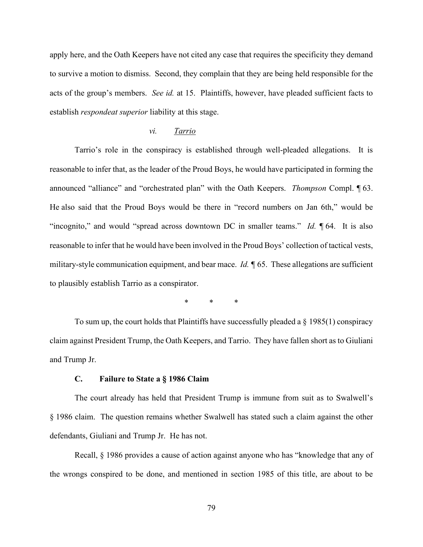apply here, and the Oath Keepers have not cited any case that requires the specificity they demand to survive a motion to dismiss. Second, they complain that they are being held responsible for the acts of the group's members. *See id.* at 15. Plaintiffs, however, have pleaded sufficient facts to establish *respondeat superior* liability at this stage.

#### *vi. Tarrio*

Tarrio's role in the conspiracy is established through well-pleaded allegations. It is reasonable to infer that, as the leader of the Proud Boys, he would have participated in forming the announced "alliance" and "orchestrated plan" with the Oath Keepers. *Thompson* Compl. ¶ 63. He also said that the Proud Boys would be there in "record numbers on Jan 6th," would be "incognito," and would "spread across downtown DC in smaller teams." *Id.* 164. It is also reasonable to infer that he would have been involved in the Proud Boys' collection of tactical vests, military-style communication equipment, and bear mace. *Id. ¶* 65. These allegations are sufficient to plausibly establish Tarrio as a conspirator.

\* \* \*

To sum up, the court holds that Plaintiffs have successfully pleaded a  $\S$  1985(1) conspiracy claim against President Trump, the Oath Keepers, and Tarrio. They have fallen short as to Giuliani and Trump Jr.

### **C. Failure to State a § 1986 Claim**

The court already has held that President Trump is immune from suit as to Swalwell's § 1986 claim. The question remains whether Swalwell has stated such a claim against the other defendants, Giuliani and Trump Jr. He has not.

Recall, § 1986 provides a cause of action against anyone who has "knowledge that any of the wrongs conspired to be done, and mentioned in section 1985 of this title, are about to be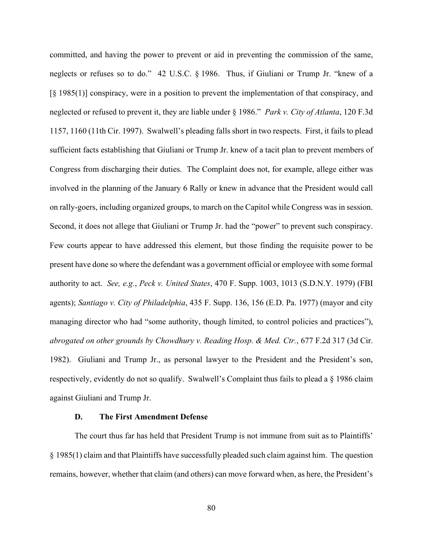committed, and having the power to prevent or aid in preventing the commission of the same, neglects or refuses so to do." 42 U.S.C. § 1986. Thus, if Giuliani or Trump Jr. "knew of a [§ 1985(1)] conspiracy, were in a position to prevent the implementation of that conspiracy, and neglected or refused to prevent it, they are liable under § 1986." *Park v. City of Atlanta*, 120 F.3d 1157, 1160 (11th Cir. 1997). Swalwell's pleading falls short in two respects. First, it fails to plead sufficient facts establishing that Giuliani or Trump Jr. knew of a tacit plan to prevent members of Congress from discharging their duties. The Complaint does not, for example, allege either was involved in the planning of the January 6 Rally or knew in advance that the President would call on rally-goers, including organized groups, to march on the Capitol while Congress was in session. Second, it does not allege that Giuliani or Trump Jr. had the "power" to prevent such conspiracy. Few courts appear to have addressed this element, but those finding the requisite power to be present have done so where the defendant was a government official or employee with some formal authority to act. *See, e.g.*, *Peck v. United States*, 470 F. Supp. 1003, 1013 (S.D.N.Y. 1979) (FBI agents); *Santiago v. City of Philadelphia*, 435 F. Supp. 136, 156 (E.D. Pa. 1977) (mayor and city managing director who had "some authority, though limited, to control policies and practices"), *abrogated on other grounds by Chowdhury v. Reading Hosp. & Med. Ctr.*, 677 F.2d 317 (3d Cir. 1982). Giuliani and Trump Jr., as personal lawyer to the President and the President's son, respectively, evidently do not so qualify. Swalwell's Complaint thus fails to plead a § 1986 claim against Giuliani and Trump Jr.

### **D. The First Amendment Defense**

The court thus far has held that President Trump is not immune from suit as to Plaintiffs' § 1985(1) claim and that Plaintiffs have successfully pleaded such claim against him. The question remains, however, whether that claim (and others) can move forward when, as here, the President's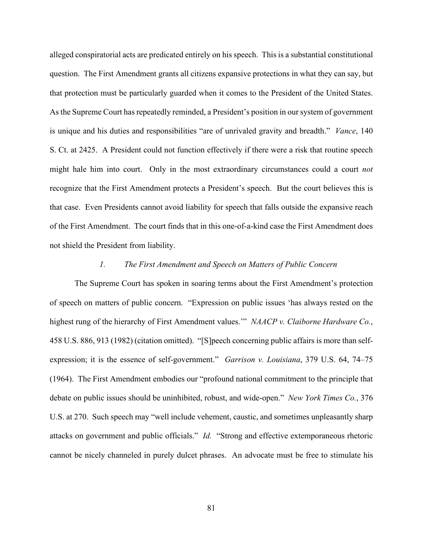alleged conspiratorial acts are predicated entirely on his speech. This is a substantial constitutional question. The First Amendment grants all citizens expansive protections in what they can say, but that protection must be particularly guarded when it comes to the President of the United States. As the Supreme Court has repeatedly reminded, a President's position in our system of government is unique and his duties and responsibilities "are of unrivaled gravity and breadth." *Vance*, 140 S. Ct. at 2425. A President could not function effectively if there were a risk that routine speech might hale him into court. Only in the most extraordinary circumstances could a court *not*  recognize that the First Amendment protects a President's speech. But the court believes this is that case. Even Presidents cannot avoid liability for speech that falls outside the expansive reach of the First Amendment. The court finds that in this one-of-a-kind case the First Amendment does not shield the President from liability.

### *1. The First Amendment and Speech on Matters of Public Concern*

The Supreme Court has spoken in soaring terms about the First Amendment's protection of speech on matters of public concern. "Expression on public issues 'has always rested on the highest rung of the hierarchy of First Amendment values.'" *NAACP v. Claiborne Hardware Co.*, 458 U.S. 886, 913 (1982) (citation omitted). "[S]peech concerning public affairs is more than selfexpression; it is the essence of self-government." *Garrison v. Louisiana*, 379 U.S. 64, 74–75 (1964). The First Amendment embodies our "profound national commitment to the principle that debate on public issues should be uninhibited, robust, and wide-open." *New York Times Co.*, 376 U.S. at 270. Such speech may "well include vehement, caustic, and sometimes unpleasantly sharp attacks on government and public officials." *Id.* "Strong and effective extemporaneous rhetoric cannot be nicely channeled in purely dulcet phrases. An advocate must be free to stimulate his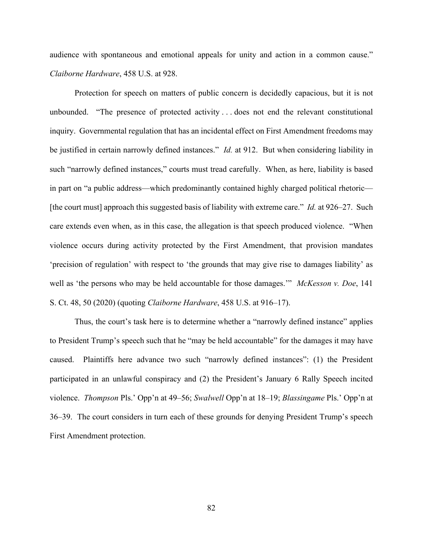audience with spontaneous and emotional appeals for unity and action in a common cause." *Claiborne Hardware*, 458 U.S. at 928.

Protection for speech on matters of public concern is decidedly capacious, but it is not unbounded. "The presence of protected activity . . . does not end the relevant constitutional inquiry. Governmental regulation that has an incidental effect on First Amendment freedoms may be justified in certain narrowly defined instances." *Id.* at 912. But when considering liability in such "narrowly defined instances," courts must tread carefully. When, as here, liability is based in part on "a public address—which predominantly contained highly charged political rhetoric— [the court must] approach this suggested basis of liability with extreme care." *Id.* at 926–27. Such care extends even when, as in this case, the allegation is that speech produced violence. "When violence occurs during activity protected by the First Amendment, that provision mandates 'precision of regulation' with respect to 'the grounds that may give rise to damages liability' as well as 'the persons who may be held accountable for those damages.'" *McKesson v. Doe*, 141 S. Ct. 48, 50 (2020) (quoting *Claiborne Hardware*, 458 U.S. at 916–17).

Thus, the court's task here is to determine whether a "narrowly defined instance" applies to President Trump's speech such that he "may be held accountable" for the damages it may have caused. Plaintiffs here advance two such "narrowly defined instances": (1) the President participated in an unlawful conspiracy and (2) the President's January 6 Rally Speech incited violence. *Thompson* Pls.' Opp'n at 49–56; *Swalwell* Opp'n at 18–19; *Blassingame* Pls.' Opp'n at 36–39. The court considers in turn each of these grounds for denying President Trump's speech First Amendment protection.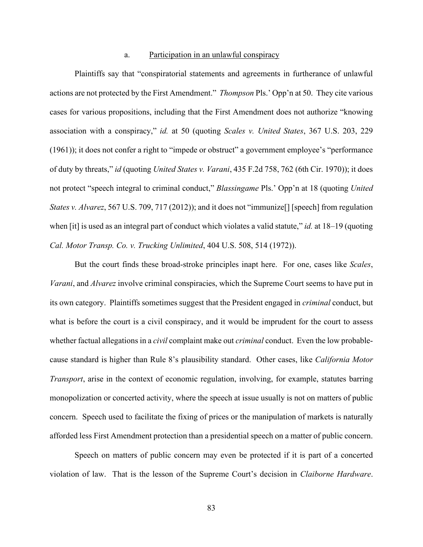## a. Participation in an unlawful conspiracy

Plaintiffs say that "conspiratorial statements and agreements in furtherance of unlawful actions are not protected by the First Amendment." *Thompson* Pls.' Opp'n at 50. They cite various cases for various propositions, including that the First Amendment does not authorize "knowing association with a conspiracy," *id.* at 50 (quoting *Scales v. United States*, 367 U.S. 203, 229 (1961)); it does not confer a right to "impede or obstruct" a government employee's "performance of duty by threats," *id* (quoting *United States v. Varani*, 435 F.2d 758, 762 (6th Cir. 1970)); it does not protect "speech integral to criminal conduct," *Blassingame* Pls.' Opp'n at 18 (quoting *United States v. Alvarez*, 567 U.S. 709, 717 (2012)); and it does not "immunize[] [speech] from regulation when [it] is used as an integral part of conduct which violates a valid statute," *id.* at 18–19 (quoting *Cal. Motor Transp. Co. v. Trucking Unlimited*, 404 U.S. 508, 514 (1972)).

But the court finds these broad-stroke principles inapt here. For one, cases like *Scales*, *Varani*, and *Alvarez* involve criminal conspiracies, which the Supreme Court seems to have put in its own category. Plaintiffs sometimes suggest that the President engaged in *criminal* conduct, but what is before the court is a civil conspiracy, and it would be imprudent for the court to assess whether factual allegations in a *civil* complaint make out *criminal* conduct. Even the low probablecause standard is higher than Rule 8's plausibility standard. Other cases, like *California Motor Transport*, arise in the context of economic regulation, involving, for example, statutes barring monopolization or concerted activity, where the speech at issue usually is not on matters of public concern. Speech used to facilitate the fixing of prices or the manipulation of markets is naturally afforded less First Amendment protection than a presidential speech on a matter of public concern.

Speech on matters of public concern may even be protected if it is part of a concerted violation of law. That is the lesson of the Supreme Court's decision in *Claiborne Hardware*.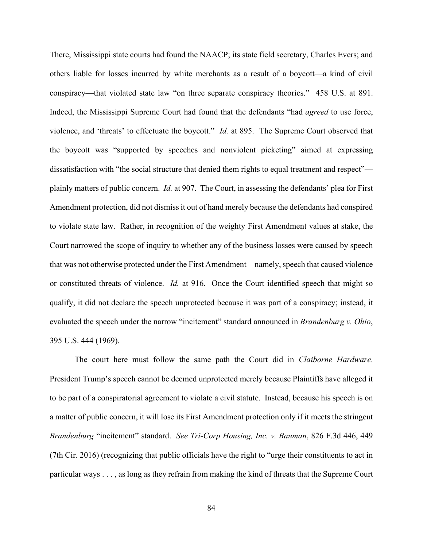There, Mississippi state courts had found the NAACP; its state field secretary, Charles Evers; and others liable for losses incurred by white merchants as a result of a boycott—a kind of civil conspiracy—that violated state law "on three separate conspiracy theories." 458 U.S. at 891. Indeed, the Mississippi Supreme Court had found that the defendants "had *agreed* to use force, violence, and 'threats' to effectuate the boycott." *Id.* at 895. The Supreme Court observed that the boycott was "supported by speeches and nonviolent picketing" aimed at expressing dissatisfaction with "the social structure that denied them rights to equal treatment and respect" plainly matters of public concern. *Id.* at 907. The Court, in assessing the defendants' plea for First Amendment protection, did not dismiss it out of hand merely because the defendants had conspired to violate state law. Rather, in recognition of the weighty First Amendment values at stake, the Court narrowed the scope of inquiry to whether any of the business losses were caused by speech that was not otherwise protected under the First Amendment—namely, speech that caused violence or constituted threats of violence. *Id.* at 916. Once the Court identified speech that might so qualify, it did not declare the speech unprotected because it was part of a conspiracy; instead, it evaluated the speech under the narrow "incitement" standard announced in *Brandenburg v. Ohio*, 395 U.S. 444 (1969).

The court here must follow the same path the Court did in *Claiborne Hardware*. President Trump's speech cannot be deemed unprotected merely because Plaintiffs have alleged it to be part of a conspiratorial agreement to violate a civil statute. Instead, because his speech is on a matter of public concern, it will lose its First Amendment protection only if it meets the stringent *Brandenburg* "incitement" standard. *See Tri-Corp Housing, Inc. v. Bauman*, 826 F.3d 446, 449 (7th Cir. 2016) (recognizing that public officials have the right to "urge their constituents to act in particular ways . . . , as long as they refrain from making the kind of threats that the Supreme Court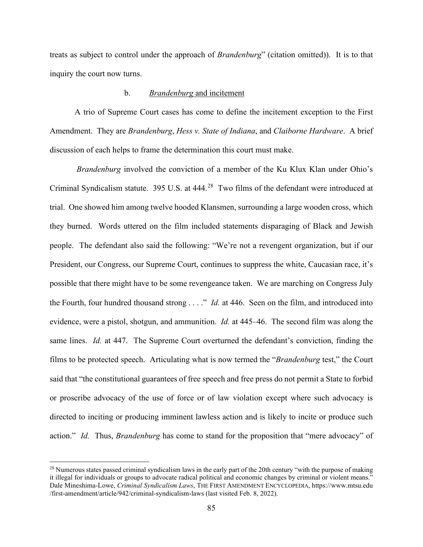treats as subject to control under the approach of *Brandenburg*" (citation omitted)).It is to that inquiry the court now turns.

### b. *Brandenburg* and incitement

A trio of Supreme Court cases has come to define the incitement exception to the First Amendment. They are *Brandenburg*, *Hess v. State of Indiana*, and *Claiborne Hardware*. A brief discussion of each helps to frame the determination this court must make.

*Brandenburg* involved the conviction of a member of the Ku Klux Klan under Ohio's Criminal Syndicalism statute. 395 U.S. at 444.28 Two films of the defendant were introduced at trial. One showed him among twelve hooded Klansmen, surrounding a large wooden cross, which they burned. Words uttered on the film included statements disparaging of Black and Jewish people. The defendant also said the following: "We're not a revengent organization, but if our President, our Congress, our Supreme Court, continues to suppress the white, Caucasian race, it's possible that there might have to be some revengeance taken. We are marching on Congress July the Fourth, four hundred thousand strong . . . ." *Id.* at 446. Seen on the film, and introduced into evidence, were a pistol, shotgun, and ammunition. *Id.* at 445–46. The second film was along the same lines. *Id.* at 447. The Supreme Court overturned the defendant's conviction, finding the films to be protected speech. Articulating what is now termed the "*Brandenburg* test," the Court said that "the constitutional guarantees of free speech and free press do not permit a State to forbid or proscribe advocacy of the use of force or of law violation except where such advocacy is directed to inciting or producing imminent lawless action and is likely to incite or produce such action." *Id.* Thus, *Brandenburg* has come to stand for the proposition that "mere advocacy" of

 $28$  Numerous states passed criminal syndicalism laws in the early part of the 20th century "with the purpose of making it illegal for individuals or groups to advocate radical political and economic changes by criminal or violent means." Dale Mineshima-Lowe, *Criminal Syndicalism Laws*, THE FIRST AMENDMENT ENCYCLOPEDIA, https://www.mtsu.edu /first-amendment/article/942/criminal-syndicalism-laws (last visited Feb. 8, 2022).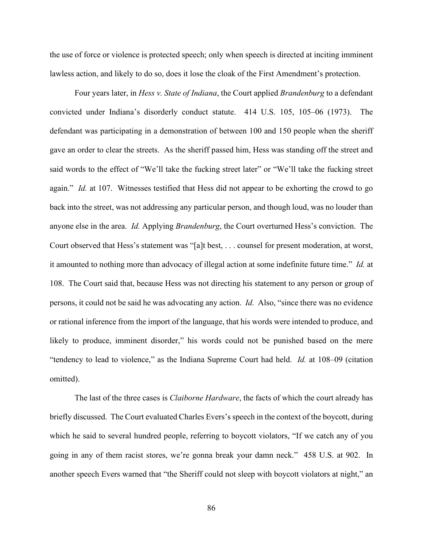the use of force or violence is protected speech; only when speech is directed at inciting imminent lawless action, and likely to do so, does it lose the cloak of the First Amendment's protection.

Four years later, in *Hess v. State of Indiana*, the Court applied *Brandenburg* to a defendant convicted under Indiana's disorderly conduct statute. 414 U.S. 105, 105–06 (1973). The defendant was participating in a demonstration of between 100 and 150 people when the sheriff gave an order to clear the streets. As the sheriff passed him, Hess was standing off the street and said words to the effect of "We'll take the fucking street later" or "We'll take the fucking street again." *Id.* at 107. Witnesses testified that Hess did not appear to be exhorting the crowd to go back into the street, was not addressing any particular person, and though loud, was no louder than anyone else in the area. *Id.* Applying *Brandenburg*, the Court overturned Hess's conviction. The Court observed that Hess's statement was "[a]t best, . . . counsel for present moderation, at worst, it amounted to nothing more than advocacy of illegal action at some indefinite future time." *Id.* at 108. The Court said that, because Hess was not directing his statement to any person or group of persons, it could not be said he was advocating any action. *Id.* Also, "since there was no evidence or rational inference from the import of the language, that his words were intended to produce, and likely to produce, imminent disorder," his words could not be punished based on the mere "tendency to lead to violence," as the Indiana Supreme Court had held. *Id.* at 108–09 (citation omitted).

The last of the three cases is *Claiborne Hardware*, the facts of which the court already has briefly discussed. The Court evaluated Charles Evers's speech in the context of the boycott, during which he said to several hundred people, referring to boycott violators, "If we catch any of you going in any of them racist stores, we're gonna break your damn neck." 458 U.S. at 902. In another speech Evers warned that "the Sheriff could not sleep with boycott violators at night," an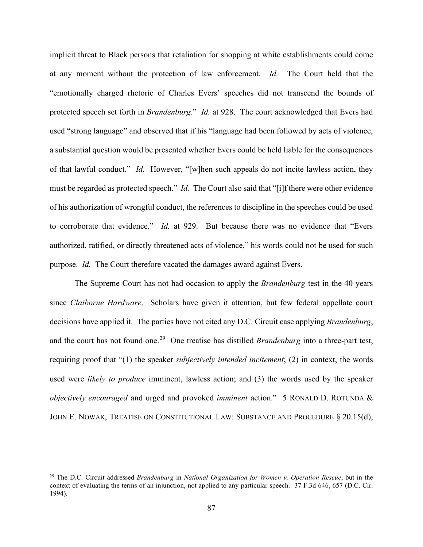implicit threat to Black persons that retaliation for shopping at white establishments could come at any moment without the protection of law enforcement. *Id.* The Court held that the "emotionally charged rhetoric of Charles Evers' speeches did not transcend the bounds of protected speech set forth in *Brandenburg*." *Id.* at 928. The court acknowledged that Evers had used "strong language" and observed that if his "language had been followed by acts of violence, a substantial question would be presented whether Evers could be held liable for the consequences of that lawful conduct." *Id.* However, "[w]hen such appeals do not incite lawless action, they must be regarded as protected speech." *Id.* The Court also said that "[i]f there were other evidence of his authorization of wrongful conduct, the references to discipline in the speeches could be used to corroborate that evidence." *Id.* at 929. But because there was no evidence that "Evers authorized, ratified, or directly threatened acts of violence," his words could not be used for such purpose. *Id.* The Court therefore vacated the damages award against Evers.

The Supreme Court has not had occasion to apply the *Brandenburg* test in the 40 years since *Claiborne Hardware*. Scholars have given it attention, but few federal appellate court decisions have applied it. The parties have not cited any D.C. Circuit case applying *Brandenburg*, and the court has not found one.29 One treatise has distilled *Brandenburg* into a three-part test, requiring proof that "(1) the speaker *subjectively intended incitement*; (2) in context, the words used were *likely to produce* imminent, lawless action; and (3) the words used by the speaker *objectively encouraged* and urged and provoked *imminent* action." 5 RONALD D. ROTUNDA & JOHN E. NOWAK, TREATISE ON CONSTITUTIONAL LAW: SUBSTANCE AND PROCEDURE § 20.15(d),

<sup>29</sup> The D.C. Circuit addressed *Brandenburg* in *National Organization for Women v. Operation Rescue*, but in the context of evaluating the terms of an injunction, not applied to any particular speech. 37 F.3d 646, 657 (D.C. Cir. 1994).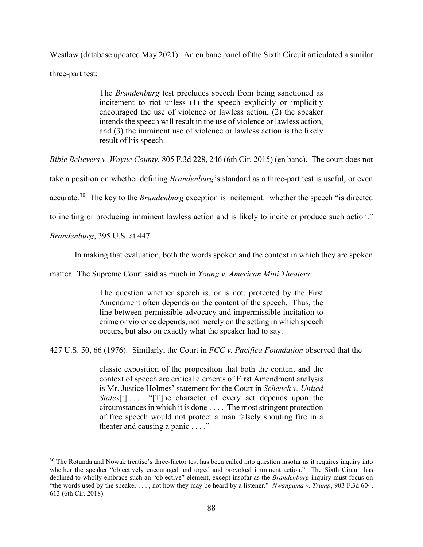Westlaw (database updated May 2021). An en banc panel of the Sixth Circuit articulated a similar three-part test:

> The *Brandenburg* test precludes speech from being sanctioned as incitement to riot unless (1) the speech explicitly or implicitly encouraged the use of violence or lawless action, (2) the speaker intends the speech will result in the use of violence or lawless action, and (3) the imminent use of violence or lawless action is the likely result of his speech.

*Bible Believers v. Wayne County*, 805 F.3d 228, 246 (6th Cir. 2015) (en banc). The court does not

take a position on whether defining *Brandenburg*'s standard as a three-part test is useful, or even

accurate.30 The key to the *Brandenburg* exception is incitement: whether the speech "is directed

to inciting or producing imminent lawless action and is likely to incite or produce such action."

*Brandenburg*, 395 U.S. at 447.

In making that evaluation, both the words spoken and the context in which they are spoken

matter. The Supreme Court said as much in *Young v. American Mini Theaters*:

The question whether speech is, or is not, protected by the First Amendment often depends on the content of the speech. Thus, the line between permissible advocacy and impermissible incitation to crime or violence depends, not merely on the setting in which speech occurs, but also on exactly what the speaker had to say.

427 U.S. 50, 66 (1976). Similarly, the Court in *FCC v. Pacifica Foundation* observed that the

classic exposition of the proposition that both the content and the context of speech are critical elements of First Amendment analysis is Mr. Justice Holmes' statement for the Court in *Schenck v. United States*[:]... "[T]he character of every act depends upon the circumstances in which it is done . . . . The most stringent protection of free speech would not protect a man falsely shouting fire in a theater and causing a panic . . . ."

<sup>&</sup>lt;sup>30</sup> The Rotunda and Nowak treatise's three-factor test has been called into question insofar as it requires inquiry into whether the speaker "objectively encouraged and urged and provoked imminent action." The Sixth Circuit has declined to wholly embrace such an "objective" element, except insofar as the *Brandenburg* inquiry must focus on "the words used by the speaker . . . , not how they may be heard by a listener." *Nwanguma v. Trump*, 903 F.3d 604, 613 (6th Cir. 2018).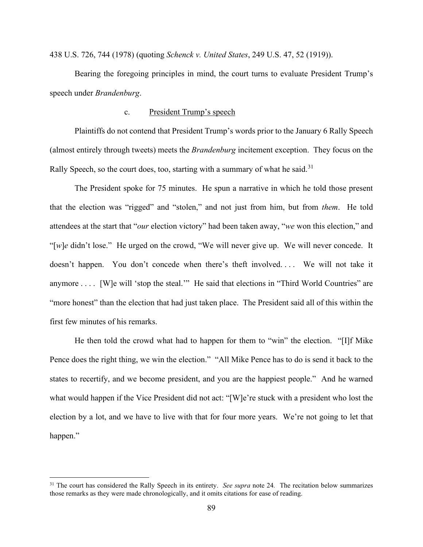438 U.S. 726, 744 (1978) (quoting *Schenck v. United States*, 249 U.S. 47, 52 (1919)).

Bearing the foregoing principles in mind, the court turns to evaluate President Trump's speech under *Brandenburg*.

### c. President Trump's speech

Plaintiffs do not contend that President Trump's words prior to the January 6 Rally Speech (almost entirely through tweets) meets the *Brandenburg* incitement exception. They focus on the Rally Speech, so the court does, too, starting with a summary of what he said.<sup>31</sup>

The President spoke for 75 minutes. He spun a narrative in which he told those present that the election was "rigged" and "stolen," and not just from him, but from *them*. He told attendees at the start that "*our* election victory" had been taken away, "*we* won this election," and "[*w*]*e* didn't lose." He urged on the crowd, "We will never give up. We will never concede. It doesn't happen. You don't concede when there's theft involved. . . . We will not take it anymore . . . . [W]e will 'stop the steal.'" He said that elections in "Third World Countries" are "more honest" than the election that had just taken place. The President said all of this within the first few minutes of his remarks.

He then told the crowd what had to happen for them to "win" the election. "[I]f Mike Pence does the right thing, we win the election." "All Mike Pence has to do is send it back to the states to recertify, and we become president, and you are the happiest people." And he warned what would happen if the Vice President did not act: "[W]e're stuck with a president who lost the election by a lot, and we have to live with that for four more years. We're not going to let that happen."

<sup>&</sup>lt;sup>31</sup> The court has considered the Rally Speech in its entirety. *See supra* note 24. The recitation below summarizes those remarks as they were made chronologically, and it omits citations for ease of reading.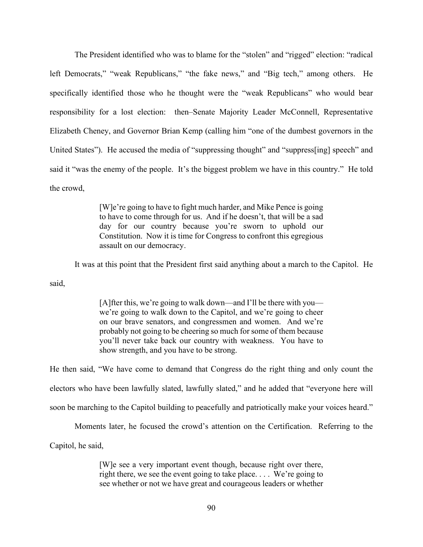The President identified who was to blame for the "stolen" and "rigged" election: "radical left Democrats," "weak Republicans," "the fake news," and "Big tech," among others. He specifically identified those who he thought were the "weak Republicans" who would bear responsibility for a lost election: then–Senate Majority Leader McConnell, Representative Elizabeth Cheney, and Governor Brian Kemp (calling him "one of the dumbest governors in the United States"). He accused the media of "suppressing thought" and "suppress[ing] speech" and said it "was the enemy of the people. It's the biggest problem we have in this country." He told the crowd,

> [W]e're going to have to fight much harder, and Mike Pence is going to have to come through for us. And if he doesn't, that will be a sad day for our country because you're sworn to uphold our Constitution. Now it is time for Congress to confront this egregious assault on our democracy.

It was at this point that the President first said anything about a march to the Capitol. He

said,

[A]fter this, we're going to walk down—and I'll be there with you we're going to walk down to the Capitol, and we're going to cheer on our brave senators, and congressmen and women. And we're probably not going to be cheering so much for some of them because you'll never take back our country with weakness. You have to show strength, and you have to be strong.

He then said, "We have come to demand that Congress do the right thing and only count the electors who have been lawfully slated, lawfully slated," and he added that "everyone here will soon be marching to the Capitol building to peacefully and patriotically make your voices heard."

Moments later, he focused the crowd's attention on the Certification. Referring to the Capitol, he said,

> [W]e see a very important event though, because right over there, right there, we see the event going to take place. . . . We're going to see whether or not we have great and courageous leaders or whether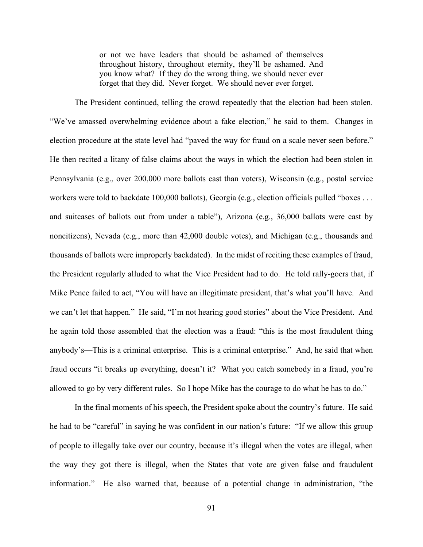or not we have leaders that should be ashamed of themselves throughout history, throughout eternity, they'll be ashamed. And you know what? If they do the wrong thing, we should never ever forget that they did. Never forget. We should never ever forget.

The President continued, telling the crowd repeatedly that the election had been stolen. "We've amassed overwhelming evidence about a fake election," he said to them. Changes in election procedure at the state level had "paved the way for fraud on a scale never seen before." He then recited a litany of false claims about the ways in which the election had been stolen in Pennsylvania (e.g., over 200,000 more ballots cast than voters), Wisconsin (e.g., postal service workers were told to backdate 100,000 ballots), Georgia (e.g., election officials pulled "boxes . . . and suitcases of ballots out from under a table"), Arizona (e.g., 36,000 ballots were cast by noncitizens), Nevada (e.g., more than 42,000 double votes), and Michigan (e.g., thousands and thousands of ballots were improperly backdated). In the midst of reciting these examples of fraud, the President regularly alluded to what the Vice President had to do. He told rally-goers that, if Mike Pence failed to act, "You will have an illegitimate president, that's what you'll have. And we can't let that happen." He said, "I'm not hearing good stories" about the Vice President. And he again told those assembled that the election was a fraud: "this is the most fraudulent thing anybody's—This is a criminal enterprise. This is a criminal enterprise." And, he said that when fraud occurs "it breaks up everything, doesn't it? What you catch somebody in a fraud, you're allowed to go by very different rules. So I hope Mike has the courage to do what he has to do."

In the final moments of his speech, the President spoke about the country's future. He said he had to be "careful" in saying he was confident in our nation's future: "If we allow this group of people to illegally take over our country, because it's illegal when the votes are illegal, when the way they got there is illegal, when the States that vote are given false and fraudulent information." He also warned that, because of a potential change in administration, "the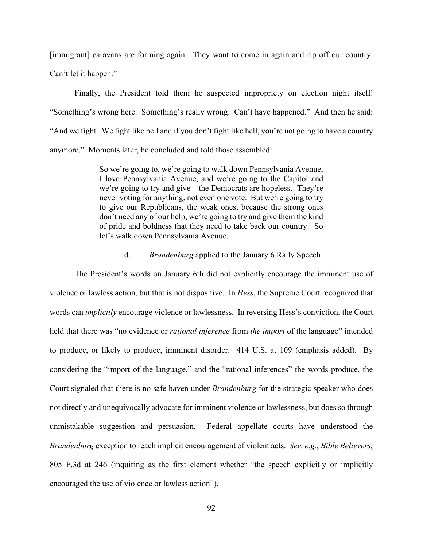[immigrant] caravans are forming again. They want to come in again and rip off our country.

Can't let it happen."

Finally, the President told them he suspected impropriety on election night itself: "Something's wrong here. Something's really wrong. Can't have happened." And then he said: "And we fight. We fight like hell and if you don't fight like hell, you're not going to have a country anymore." Moments later, he concluded and told those assembled:

> So we're going to, we're going to walk down Pennsylvania Avenue, I love Pennsylvania Avenue, and we're going to the Capitol and we're going to try and give—the Democrats are hopeless. They're never voting for anything, not even one vote. But we're going to try to give our Republicans, the weak ones, because the strong ones don't need any of our help, we're going to try and give them the kind of pride and boldness that they need to take back our country. So let's walk down Pennsylvania Avenue.

### d. *Brandenburg* applied to the January 6 Rally Speech

The President's words on January 6th did not explicitly encourage the imminent use of violence or lawless action, but that is not dispositive. In *Hess*, the Supreme Court recognized that words can *implicitly* encourage violence or lawlessness. In reversing Hess's conviction, the Court held that there was "no evidence or *rational inference* from *the import* of the language" intended to produce, or likely to produce, imminent disorder. 414 U.S. at 109 (emphasis added). By considering the "import of the language," and the "rational inferences" the words produce, the Court signaled that there is no safe haven under *Brandenburg* for the strategic speaker who does not directly and unequivocally advocate for imminent violence or lawlessness, but does so through unmistakable suggestion and persuasion. Federal appellate courts have understood the *Brandenburg* exception to reach implicit encouragement of violent acts. *See, e.g.*, *Bible Believers*, 805 F.3d at 246 (inquiring as the first element whether "the speech explicitly or implicitly encouraged the use of violence or lawless action").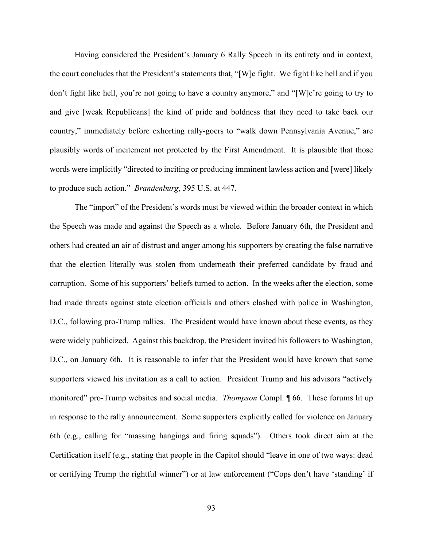Having considered the President's January 6 Rally Speech in its entirety and in context, the court concludes that the President's statements that, "[W]e fight. We fight like hell and if you don't fight like hell, you're not going to have a country anymore," and "[W]e're going to try to and give [weak Republicans] the kind of pride and boldness that they need to take back our country," immediately before exhorting rally-goers to "walk down Pennsylvania Avenue," are plausibly words of incitement not protected by the First Amendment. It is plausible that those words were implicitly "directed to inciting or producing imminent lawless action and [were] likely to produce such action." *Brandenburg*, 395 U.S. at 447.

The "import" of the President's words must be viewed within the broader context in which the Speech was made and against the Speech as a whole. Before January 6th, the President and others had created an air of distrust and anger among his supporters by creating the false narrative that the election literally was stolen from underneath their preferred candidate by fraud and corruption. Some of his supporters' beliefs turned to action. In the weeks after the election, some had made threats against state election officials and others clashed with police in Washington, D.C., following pro-Trump rallies. The President would have known about these events, as they were widely publicized. Against this backdrop, the President invited his followers to Washington, D.C., on January 6th. It is reasonable to infer that the President would have known that some supporters viewed his invitation as a call to action. President Trump and his advisors "actively monitored" pro-Trump websites and social media. *Thompson* Compl. ¶ 66. These forums lit up in response to the rally announcement. Some supporters explicitly called for violence on January 6th (e.g., calling for "massing hangings and firing squads"). Others took direct aim at the Certification itself (e.g., stating that people in the Capitol should "leave in one of two ways: dead or certifying Trump the rightful winner") or at law enforcement ("Cops don't have 'standing' if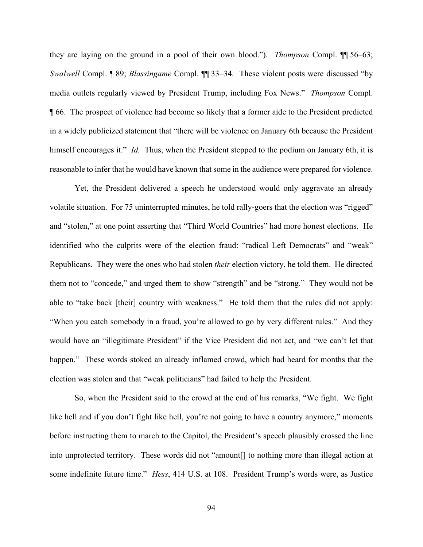they are laying on the ground in a pool of their own blood."). *Thompson* Compl. ¶¶ 56–63; *Swalwell* Compl. ¶ 89; *Blassingame* Compl. ¶¶ 33–34. These violent posts were discussed "by media outlets regularly viewed by President Trump, including Fox News." *Thompson* Compl. ¶ 66. The prospect of violence had become so likely that a former aide to the President predicted in a widely publicized statement that "there will be violence on January 6th because the President himself encourages it." *Id.* Thus, when the President stepped to the podium on January 6th, it is reasonable to infer that he would have known that some in the audience were prepared for violence.

Yet, the President delivered a speech he understood would only aggravate an already volatile situation. For 75 uninterrupted minutes, he told rally-goers that the election was "rigged" and "stolen," at one point asserting that "Third World Countries" had more honest elections. He identified who the culprits were of the election fraud: "radical Left Democrats" and "weak" Republicans. They were the ones who had stolen *their* election victory, he told them. He directed them not to "concede," and urged them to show "strength" and be "strong." They would not be able to "take back [their] country with weakness." He told them that the rules did not apply: "When you catch somebody in a fraud, you're allowed to go by very different rules." And they would have an "illegitimate President" if the Vice President did not act, and "we can't let that happen." These words stoked an already inflamed crowd, which had heard for months that the election was stolen and that "weak politicians" had failed to help the President.

So, when the President said to the crowd at the end of his remarks, "We fight. We fight like hell and if you don't fight like hell, you're not going to have a country anymore," moments before instructing them to march to the Capitol, the President's speech plausibly crossed the line into unprotected territory. These words did not "amount[] to nothing more than illegal action at some indefinite future time." *Hess*, 414 U.S. at 108. President Trump's words were, as Justice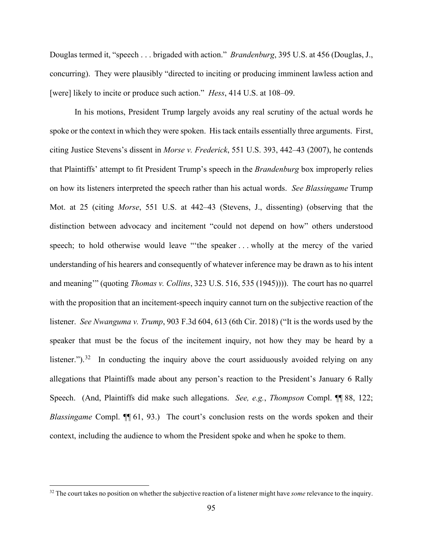Douglas termed it, "speech . . . brigaded with action." *Brandenburg*, 395 U.S. at 456 (Douglas, J., concurring). They were plausibly "directed to inciting or producing imminent lawless action and [were] likely to incite or produce such action." *Hess*, 414 U.S. at 108–09.

In his motions, President Trump largely avoids any real scrutiny of the actual words he spoke or the context in which they were spoken. His tack entails essentially three arguments. First, citing Justice Stevens's dissent in *Morse v. Frederick*, 551 U.S. 393, 442–43 (2007), he contends that Plaintiffs' attempt to fit President Trump's speech in the *Brandenburg* box improperly relies on how its listeners interpreted the speech rather than his actual words. *See Blassingame* Trump Mot. at 25 (citing *Morse*, 551 U.S. at 442–43 (Stevens, J., dissenting) (observing that the distinction between advocacy and incitement "could not depend on how" others understood speech; to hold otherwise would leave "'the speaker . . . wholly at the mercy of the varied understanding of his hearers and consequently of whatever inference may be drawn as to his intent and meaning'" (quoting *Thomas v. Collins*, 323 U.S. 516, 535 (1945)))). The court has no quarrel with the proposition that an incitement-speech inquiry cannot turn on the subjective reaction of the listener. *See Nwanguma v. Trump*, 903 F.3d 604, 613 (6th Cir. 2018) ("It is the words used by the speaker that must be the focus of the incitement inquiry, not how they may be heard by a listener.").<sup>32</sup> In conducting the inquiry above the court assiduously avoided relying on any allegations that Plaintiffs made about any person's reaction to the President's January 6 Rally Speech. (And, Plaintiffs did make such allegations. *See, e.g.*, *Thompson* Compl. ¶¶ 88, 122; *Blassingame* Compl.  $\P$  61, 93.) The court's conclusion rests on the words spoken and their context, including the audience to whom the President spoke and when he spoke to them.

<sup>&</sup>lt;sup>32</sup> The court takes no position on whether the subjective reaction of a listener might have *some* relevance to the inquiry.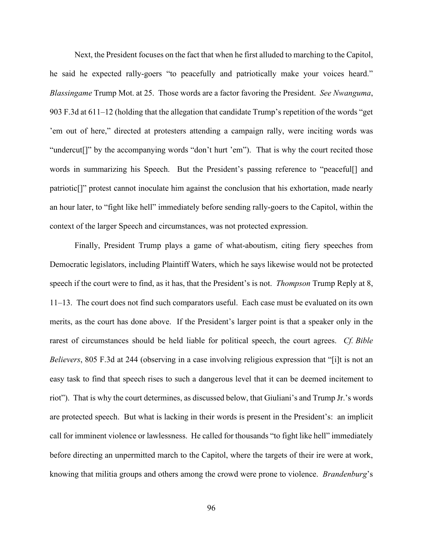Next, the President focuses on the fact that when he first alluded to marching to the Capitol, he said he expected rally-goers "to peacefully and patriotically make your voices heard." *Blassingame* Trump Mot. at 25. Those words are a factor favoring the President. *See Nwanguma*, 903 F.3d at 611–12 (holding that the allegation that candidate Trump's repetition of the words "get 'em out of here," directed at protesters attending a campaign rally, were inciting words was "undercut<sup>[]"</sup> by the accompanying words "don't hurt 'em"). That is why the court recited those words in summarizing his Speech. But the President's passing reference to "peaceful[] and patriotic[]" protest cannot inoculate him against the conclusion that his exhortation, made nearly an hour later, to "fight like hell" immediately before sending rally-goers to the Capitol, within the context of the larger Speech and circumstances, was not protected expression.

Finally, President Trump plays a game of what-aboutism, citing fiery speeches from Democratic legislators, including Plaintiff Waters, which he says likewise would not be protected speech if the court were to find, as it has, that the President's is not. *Thompson* Trump Reply at 8, 11–13. The court does not find such comparators useful. Each case must be evaluated on its own merits, as the court has done above. If the President's larger point is that a speaker only in the rarest of circumstances should be held liable for political speech, the court agrees. *Cf. Bible Believers*, 805 F.3d at 244 (observing in a case involving religious expression that "[i]t is not an easy task to find that speech rises to such a dangerous level that it can be deemed incitement to riot"). That is why the court determines, as discussed below, that Giuliani's and Trump Jr.'s words are protected speech. But what is lacking in their words is present in the President's: an implicit call for imminent violence or lawlessness. He called for thousands "to fight like hell" immediately before directing an unpermitted march to the Capitol, where the targets of their ire were at work, knowing that militia groups and others among the crowd were prone to violence. *Brandenburg*'s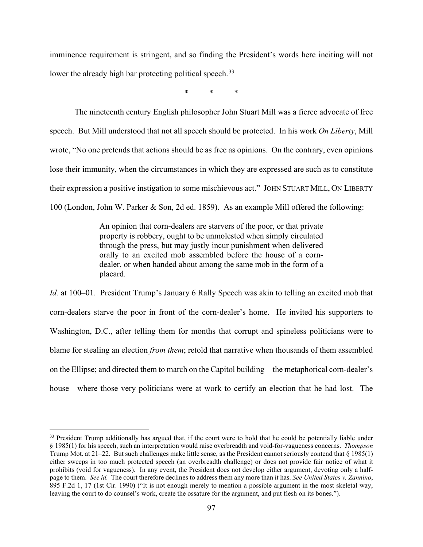imminence requirement is stringent, and so finding the President's words here inciting will not lower the already high bar protecting political speech.<sup>33</sup>

\* \* \*

 The nineteenth century English philosopher John Stuart Mill was a fierce advocate of free speech. But Mill understood that not all speech should be protected. In his work *On Liberty*, Mill wrote, "No one pretends that actions should be as free as opinions. On the contrary, even opinions lose their immunity, when the circumstances in which they are expressed are such as to constitute their expression a positive instigation to some mischievous act." JOHN STUART MILL, ON LIBERTY 100 (London, John W. Parker & Son, 2d ed. 1859). As an example Mill offered the following:

> An opinion that corn-dealers are starvers of the poor, or that private property is robbery, ought to be unmolested when simply circulated through the press, but may justly incur punishment when delivered orally to an excited mob assembled before the house of a corndealer, or when handed about among the same mob in the form of a placard.

*Id.* at 100–01.President Trump's January 6 Rally Speech was akin to telling an excited mob that corn-dealers starve the poor in front of the corn-dealer's home. He invited his supporters to Washington, D.C., after telling them for months that corrupt and spineless politicians were to blame for stealing an election *from them*; retold that narrative when thousands of them assembled on the Ellipse; and directed them to march on the Capitol building—the metaphorical corn-dealer's house—where those very politicians were at work to certify an election that he had lost. The

<sup>&</sup>lt;sup>33</sup> President Trump additionally has argued that, if the court were to hold that he could be potentially liable under § 1985(1) for his speech, such an interpretation would raise overbreadth and void-for-vagueness concerns. *Thompson*  Trump Mot. at  $21-22$ . But such challenges make little sense, as the President cannot seriously contend that  $\S 1985(1)$ either sweeps in too much protected speech (an overbreadth challenge) or does not provide fair notice of what it prohibits (void for vagueness). In any event, the President does not develop either argument, devoting only a halfpage to them. *See id.* The court therefore declines to address them any more than it has. *See United States v. Zannino*, 895 F.2d 1, 17 (1st Cir. 1990) ("It is not enough merely to mention a possible argument in the most skeletal way, leaving the court to do counsel's work, create the ossature for the argument, and put flesh on its bones.").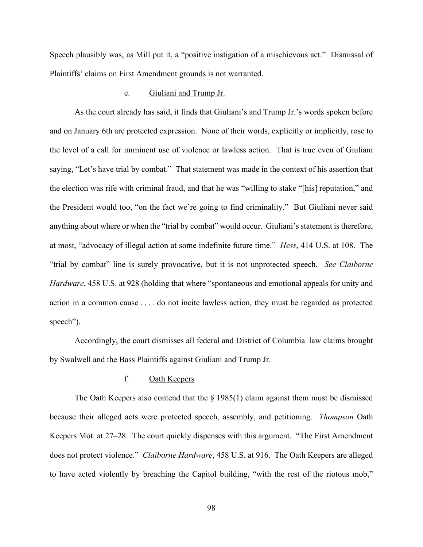Speech plausibly was, as Mill put it, a "positive instigation of a mischievous act." Dismissal of Plaintiffs' claims on First Amendment grounds is not warranted.

#### e. Giuliani and Trump Jr.

As the court already has said, it finds that Giuliani's and Trump Jr.'s words spoken before and on January 6th are protected expression. None of their words, explicitly or implicitly, rose to the level of a call for imminent use of violence or lawless action. That is true even of Giuliani saying, "Let's have trial by combat." That statement was made in the context of his assertion that the election was rife with criminal fraud, and that he was "willing to stake "[his] reputation," and the President would too, "on the fact we're going to find criminality." But Giuliani never said anything about where or when the "trial by combat" would occur. Giuliani's statement is therefore, at most, "advocacy of illegal action at some indefinite future time." *Hess*, 414 U.S. at 108. The "trial by combat" line is surely provocative, but it is not unprotected speech. *See Claiborne Hardware*, 458 U.S. at 928 (holding that where "spontaneous and emotional appeals for unity and action in a common cause . . . . do not incite lawless action, they must be regarded as protected speech").

Accordingly, the court dismisses all federal and District of Columbia–law claims brought by Swalwell and the Bass Plaintiffs against Giuliani and Trump Jr.

### f. Oath Keepers

The Oath Keepers also contend that the  $\S$  1985(1) claim against them must be dismissed because their alleged acts were protected speech, assembly, and petitioning. *Thompson* Oath Keepers Mot. at 27–28. The court quickly dispenses with this argument. "The First Amendment does not protect violence." *Claiborne Hardware*, 458 U.S. at 916. The Oath Keepers are alleged to have acted violently by breaching the Capitol building, "with the rest of the riotous mob,"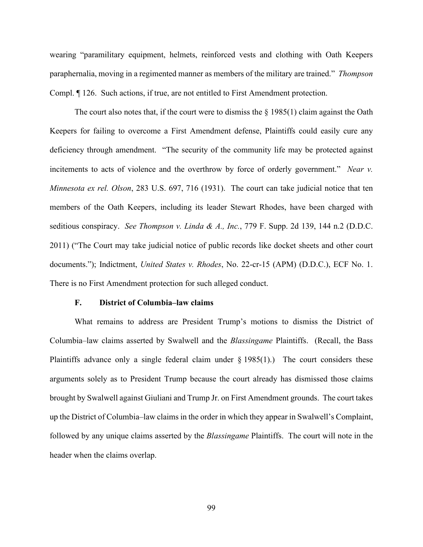wearing "paramilitary equipment, helmets, reinforced vests and clothing with Oath Keepers paraphernalia, moving in a regimented manner as members of the military are trained." *Thompson*  Compl. ¶ 126. Such actions, if true, are not entitled to First Amendment protection.

The court also notes that, if the court were to dismiss the  $\S 1985(1)$  claim against the Oath Keepers for failing to overcome a First Amendment defense, Plaintiffs could easily cure any deficiency through amendment. "The security of the community life may be protected against incitements to acts of violence and the overthrow by force of orderly government." *Near v. Minnesota ex rel. Olson*, 283 U.S. 697, 716 (1931). The court can take judicial notice that ten members of the Oath Keepers, including its leader Stewart Rhodes, have been charged with seditious conspiracy. *See Thompson v. Linda & A., Inc.*, 779 F. Supp. 2d 139, 144 n.2 (D.D.C. 2011) ("The Court may take judicial notice of public records like docket sheets and other court documents."); Indictment, *United States v. Rhodes*, No. 22-cr-15 (APM) (D.D.C.), ECF No. 1. There is no First Amendment protection for such alleged conduct.

### **F. District of Columbia–law claims**

What remains to address are President Trump's motions to dismiss the District of Columbia–law claims asserted by Swalwell and the *Blassingame* Plaintiffs. (Recall, the Bass Plaintiffs advance only a single federal claim under  $\S 1985(1)$ .) The court considers these arguments solely as to President Trump because the court already has dismissed those claims brought by Swalwell against Giuliani and Trump Jr. on First Amendment grounds. The court takes up the District of Columbia–law claims in the order in which they appear in Swalwell's Complaint, followed by any unique claims asserted by the *Blassingame* Plaintiffs. The court will note in the header when the claims overlap.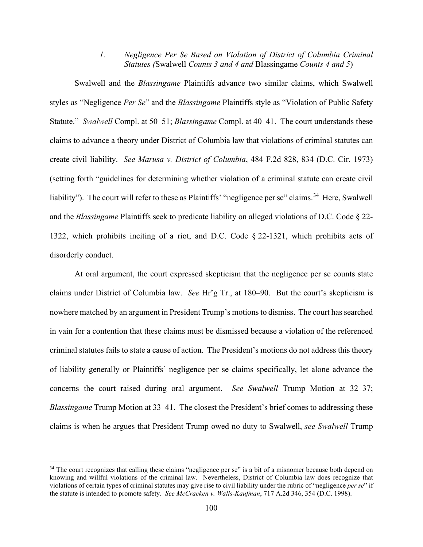*1. Negligence Per Se Based on Violation of District of Columbia Criminal Statutes (*Swalwell *Counts 3 and 4 and* Blassingame *Counts 4 and 5*)

Swalwell and the *Blassingame* Plaintiffs advance two similar claims, which Swalwell styles as "Negligence *Per Se*" and the *Blassingame* Plaintiffs style as "Violation of Public Safety Statute." *Swalwell* Compl. at 50–51; *Blassingame* Compl. at 40–41. The court understands these claims to advance a theory under District of Columbia law that violations of criminal statutes can create civil liability. *See Marusa v. District of Columbia*, 484 F.2d 828, 834 (D.C. Cir. 1973) (setting forth "guidelines for determining whether violation of a criminal statute can create civil liability"). The court will refer to these as Plaintiffs' "negligence per se" claims.<sup>34</sup> Here, Swalwell and the *Blassingame* Plaintiffs seek to predicate liability on alleged violations of D.C. Code § 22- 1322, which prohibits inciting of a riot, and D.C. Code § 22-1321, which prohibits acts of disorderly conduct.

At oral argument, the court expressed skepticism that the negligence per se counts state claims under District of Columbia law. *See* Hr'g Tr., at 180–90. But the court's skepticism is nowhere matched by an argument in President Trump's motions to dismiss. The court has searched in vain for a contention that these claims must be dismissed because a violation of the referenced criminal statutes fails to state a cause of action. The President's motions do not address this theory of liability generally or Plaintiffs' negligence per se claims specifically, let alone advance the concerns the court raised during oral argument. *See Swalwell* Trump Motion at 32–37; *Blassingame* Trump Motion at 33–41. The closest the President's brief comes to addressing these claims is when he argues that President Trump owed no duty to Swalwell, *see Swalwell* Trump

<sup>&</sup>lt;sup>34</sup> The court recognizes that calling these claims "negligence per se" is a bit of a misnomer because both depend on knowing and willful violations of the criminal law. Nevertheless, District of Columbia law does recognize that violations of certain types of criminal statutes may give rise to civil liability under the rubric of "negligence *per se*" if the statute is intended to promote safety. *See McCracken v. Walls-Kaufman*, 717 A.2d 346, 354 (D.C. 1998).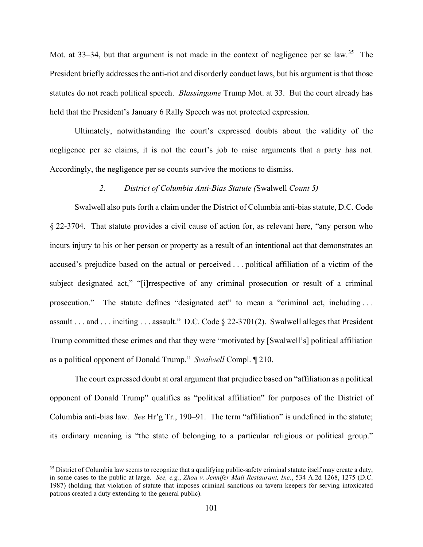Mot. at 33–34, but that argument is not made in the context of negligence per se law.<sup>35</sup> The President briefly addresses the anti-riot and disorderly conduct laws, but his argument is that those statutes do not reach political speech. *Blassingame* Trump Mot. at 33. But the court already has held that the President's January 6 Rally Speech was not protected expression.

Ultimately, notwithstanding the court's expressed doubts about the validity of the negligence per se claims, it is not the court's job to raise arguments that a party has not. Accordingly, the negligence per se counts survive the motions to dismiss.

## *2. District of Columbia Anti-Bias Statute (*Swalwell *Count 5)*

Swalwell also puts forth a claim under the District of Columbia anti-bias statute, D.C. Code § 22-3704. That statute provides a civil cause of action for, as relevant here, "any person who incurs injury to his or her person or property as a result of an intentional act that demonstrates an accused's prejudice based on the actual or perceived . . . political affiliation of a victim of the subject designated act," "[i]rrespective of any criminal prosecution or result of a criminal prosecution." The statute defines "designated act" to mean a "criminal act, including . . . assault . . . and . . . inciting . . . assault." D.C. Code § 22-3701(2). Swalwell alleges that President Trump committed these crimes and that they were "motivated by [Swalwell's] political affiliation as a political opponent of Donald Trump." *Swalwell* Compl. ¶ 210.

The court expressed doubt at oral argument that prejudice based on "affiliation as a political opponent of Donald Trump" qualifies as "political affiliation" for purposes of the District of Columbia anti-bias law. *See* Hr'g Tr., 190–91. The term "affiliation" is undefined in the statute; its ordinary meaning is "the state of belonging to a particular religious or political group."

<sup>&</sup>lt;sup>35</sup> District of Columbia law seems to recognize that a qualifying public-safety criminal statute itself may create a duty, in some cases to the public at large. *See, e.g.*, *Zhou v. Jennifer Mall Restaurant, Inc.*, 534 A.2d 1268, 1275 (D.C. 1987) (holding that violation of statute that imposes criminal sanctions on tavern keepers for serving intoxicated patrons created a duty extending to the general public).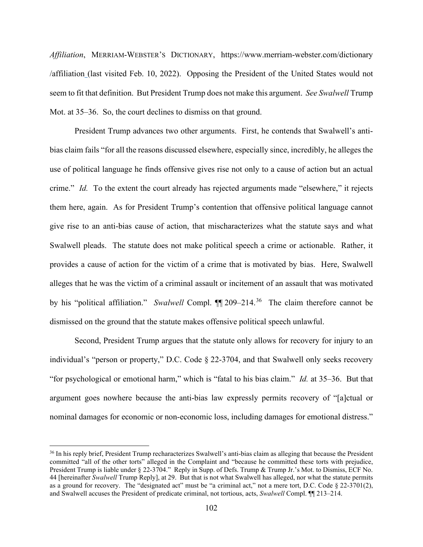*Affiliation*, MERRIAM-WEBSTER'S DICTIONARY, https://www.merriam-webster.com/dictionary /affiliation (last visited Feb. 10, 2022). Opposing the President of the United States would not seem to fit that definition. But President Trump does not make this argument. *See Swalwell* Trump Mot. at 35–36. So, the court declines to dismiss on that ground.

President Trump advances two other arguments. First, he contends that Swalwell's antibias claim fails "for all the reasons discussed elsewhere, especially since, incredibly, he alleges the use of political language he finds offensive gives rise not only to a cause of action but an actual crime." *Id.* To the extent the court already has rejected arguments made "elsewhere," it rejects them here, again. As for President Trump's contention that offensive political language cannot give rise to an anti-bias cause of action, that mischaracterizes what the statute says and what Swalwell pleads. The statute does not make political speech a crime or actionable. Rather, it provides a cause of action for the victim of a crime that is motivated by bias. Here, Swalwell alleges that he was the victim of a criminal assault or incitement of an assault that was motivated by his "political affiliation." *Swalwell* Compl. ¶¶ 209–214.36 The claim therefore cannot be dismissed on the ground that the statute makes offensive political speech unlawful.

Second, President Trump argues that the statute only allows for recovery for injury to an individual's "person or property," D.C. Code § 22-3704, and that Swalwell only seeks recovery "for psychological or emotional harm," which is "fatal to his bias claim." *Id.* at 35–36. But that argument goes nowhere because the anti-bias law expressly permits recovery of "[a]ctual or nominal damages for economic or non-economic loss, including damages for emotional distress."

<sup>&</sup>lt;sup>36</sup> In his reply brief, President Trump recharacterizes Swalwell's anti-bias claim as alleging that because the President committed "all of the other torts" alleged in the Complaint and "because he committed these torts with prejudice, President Trump is liable under § 22-3704." Reply in Supp. of Defs. Trump & Trump Jr.'s Mot. to Dismiss, ECF No. 44 [hereinafter *Swalwell* Trump Reply], at 29. But that is not what Swalwell has alleged, nor what the statute permits as a ground for recovery. The "designated act" must be "a criminal act," not a mere tort, D.C. Code § 22-3701(2), and Swalwell accuses the President of predicate criminal, not tortious, acts, *Swalwell* Compl. ¶¶ 213–214.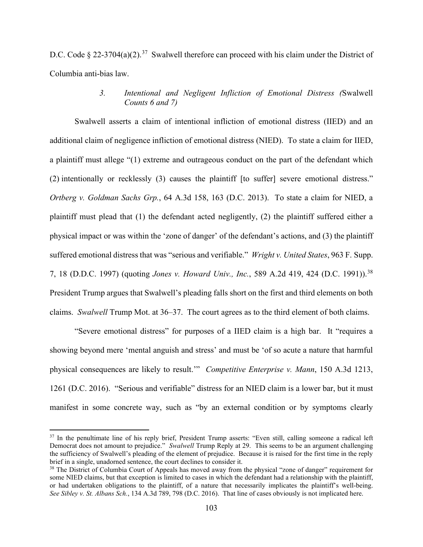D.C. Code § 22-3704(a)(2).<sup>37</sup> Swalwell therefore can proceed with his claim under the District of Columbia anti-bias law.

# *3. Intentional and Negligent Infliction of Emotional Distress (*Swalwell *Counts 6 and 7)*

Swalwell asserts a claim of intentional infliction of emotional distress (IIED) and an additional claim of negligence infliction of emotional distress (NIED). To state a claim for IIED, a plaintiff must allege "(1) extreme and outrageous conduct on the part of the defendant which (2) intentionally or recklessly (3) causes the plaintiff [to suffer] severe emotional distress." *Ortberg v. Goldman Sachs Grp.*, 64 A.3d 158, 163 (D.C. 2013). To state a claim for NIED, a plaintiff must plead that (1) the defendant acted negligently, (2) the plaintiff suffered either a physical impact or was within the 'zone of danger' of the defendant's actions, and (3) the plaintiff suffered emotional distress that was "serious and verifiable." *Wright v. United States*, 963 F. Supp. 7, 18 (D.D.C. 1997) (quoting *Jones v. Howard Univ., Inc.*, 589 A.2d 419, 424 (D.C. 1991)).38 President Trump argues that Swalwell's pleading falls short on the first and third elements on both

claims. *Swalwell* Trump Mot. at 36–37. The court agrees as to the third element of both claims.

"Severe emotional distress" for purposes of a IIED claim is a high bar. It "requires a showing beyond mere 'mental anguish and stress' and must be 'of so acute a nature that harmful physical consequences are likely to result.'" *Competitive Enterprise v. Mann*, 150 A.3d 1213, 1261 (D.C. 2016). "Serious and verifiable" distress for an NIED claim is a lower bar, but it must manifest in some concrete way, such as "by an external condition or by symptoms clearly

<sup>&</sup>lt;sup>37</sup> In the penultimate line of his reply brief, President Trump asserts: "Even still, calling someone a radical left Democrat does not amount to prejudice." *Swalwell* Trump Reply at 29. This seems to be an argument challenging the sufficiency of Swalwell's pleading of the element of prejudice. Because it is raised for the first time in the reply brief in a single, unadorned sentence, the court declines to consider it.

<sup>&</sup>lt;sup>38</sup> The District of Columbia Court of Appeals has moved away from the physical "zone of danger" requirement for some NIED claims, but that exception is limited to cases in which the defendant had a relationship with the plaintiff, or had undertaken obligations to the plaintiff, of a nature that necessarily implicates the plaintiff's well-being. *See Sibley v. St. Albans Sch.*, 134 A.3d 789, 798 (D.C. 2016). That line of cases obviously is not implicated here.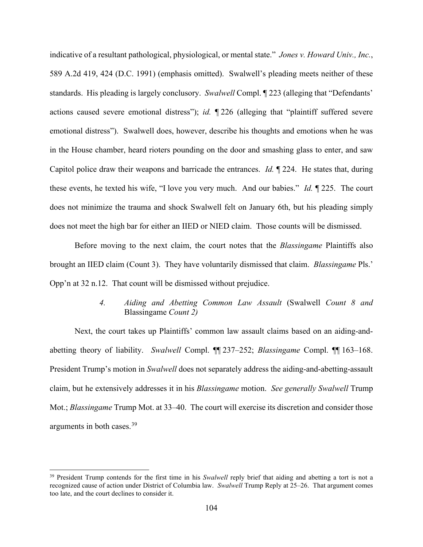indicative of a resultant pathological, physiological, or mental state." *Jones v. Howard Univ., Inc.*, 589 A.2d 419, 424 (D.C. 1991) (emphasis omitted). Swalwell's pleading meets neither of these standards. His pleading is largely conclusory. *Swalwell* Compl. ¶ 223 (alleging that "Defendants' actions caused severe emotional distress"); *id.* ¶ 226 (alleging that "plaintiff suffered severe emotional distress"). Swalwell does, however, describe his thoughts and emotions when he was in the House chamber, heard rioters pounding on the door and smashing glass to enter, and saw Capitol police draw their weapons and barricade the entrances. *Id.* ¶ 224. He states that, during these events, he texted his wife, "I love you very much. And our babies." *Id.* ¶ 225. The court does not minimize the trauma and shock Swalwell felt on January 6th, but his pleading simply does not meet the high bar for either an IIED or NIED claim. Those counts will be dismissed.

Before moving to the next claim, the court notes that the *Blassingame* Plaintiffs also brought an IIED claim (Count 3). They have voluntarily dismissed that claim. *Blassingame* Pls.' Opp'n at 32 n.12. That count will be dismissed without prejudice.

# *4. Aiding and Abetting Common Law Assault* (Swalwell *Count 8 and*  Blassingame *Count 2)*

Next, the court takes up Plaintiffs' common law assault claims based on an aiding-andabetting theory of liability. *Swalwell* Compl. ¶¶ 237–252; *Blassingame* Compl. ¶¶ 163–168. President Trump's motion in *Swalwell* does not separately address the aiding-and-abetting-assault claim, but he extensively addresses it in his *Blassingame* motion. *See generally Swalwell* Trump Mot.; *Blassingame* Trump Mot. at 33–40. The court will exercise its discretion and consider those arguments in both cases.39

<sup>39</sup> President Trump contends for the first time in his *Swalwell* reply brief that aiding and abetting a tort is not a recognized cause of action under District of Columbia law. *Swalwell* Trump Reply at 25–26. That argument comes too late, and the court declines to consider it.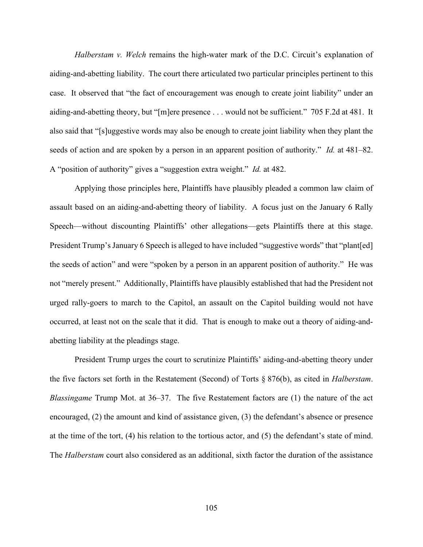*Halberstam v. Welch* remains the high-water mark of the D.C. Circuit's explanation of aiding-and-abetting liability. The court there articulated two particular principles pertinent to this case. It observed that "the fact of encouragement was enough to create joint liability" under an aiding-and-abetting theory, but "[m]ere presence . . . would not be sufficient." 705 F.2d at 481. It also said that "[s]uggestive words may also be enough to create joint liability when they plant the seeds of action and are spoken by a person in an apparent position of authority." *Id.* at 481–82. A "position of authority" gives a "suggestion extra weight." *Id.* at 482.

Applying those principles here, Plaintiffs have plausibly pleaded a common law claim of assault based on an aiding-and-abetting theory of liability. A focus just on the January 6 Rally Speech—without discounting Plaintiffs' other allegations—gets Plaintiffs there at this stage. President Trump's January 6 Speech is alleged to have included "suggestive words" that "plant[ed] the seeds of action" and were "spoken by a person in an apparent position of authority." He was not "merely present." Additionally, Plaintiffs have plausibly established that had the President not urged rally-goers to march to the Capitol, an assault on the Capitol building would not have occurred, at least not on the scale that it did. That is enough to make out a theory of aiding-andabetting liability at the pleadings stage.

President Trump urges the court to scrutinize Plaintiffs' aiding-and-abetting theory under the five factors set forth in the Restatement (Second) of Torts § 876(b), as cited in *Halberstam*. *Blassingame* Trump Mot. at 36–37. The five Restatement factors are (1) the nature of the act encouraged, (2) the amount and kind of assistance given, (3) the defendant's absence or presence at the time of the tort, (4) his relation to the tortious actor, and (5) the defendant's state of mind. The *Halberstam* court also considered as an additional, sixth factor the duration of the assistance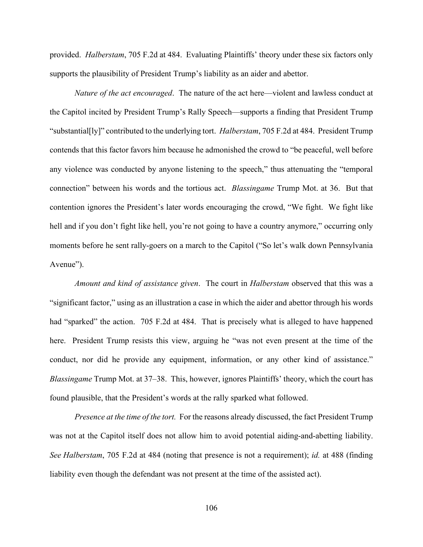provided. *Halberstam*, 705 F.2d at 484.Evaluating Plaintiffs' theory under these six factors only supports the plausibility of President Trump's liability as an aider and abettor.

*Nature of the act encouraged*. The nature of the act here—violent and lawless conduct at the Capitol incited by President Trump's Rally Speech—supports a finding that President Trump "substantial[ly]" contributed to the underlying tort. *Halberstam*, 705 F.2d at 484. President Trump contends that this factor favors him because he admonished the crowd to "be peaceful, well before any violence was conducted by anyone listening to the speech," thus attenuating the "temporal connection" between his words and the tortious act. *Blassingame* Trump Mot. at 36. But that contention ignores the President's later words encouraging the crowd, "We fight. We fight like hell and if you don't fight like hell, you're not going to have a country anymore," occurring only moments before he sent rally-goers on a march to the Capitol ("So let's walk down Pennsylvania Avenue").

*Amount and kind of assistance given*. The court in *Halberstam* observed that this was a "significant factor," using as an illustration a case in which the aider and abettor through his words had "sparked" the action. 705 F.2d at 484. That is precisely what is alleged to have happened here. President Trump resists this view, arguing he "was not even present at the time of the conduct, nor did he provide any equipment, information, or any other kind of assistance." *Blassingame* Trump Mot. at 37–38. This, however, ignores Plaintiffs' theory, which the court has found plausible, that the President's words at the rally sparked what followed.

*Presence at the time of the tort.* For the reasons already discussed, the fact President Trump was not at the Capitol itself does not allow him to avoid potential aiding-and-abetting liability. *See Halberstam*, 705 F.2d at 484 (noting that presence is not a requirement); *id.* at 488 (finding liability even though the defendant was not present at the time of the assisted act).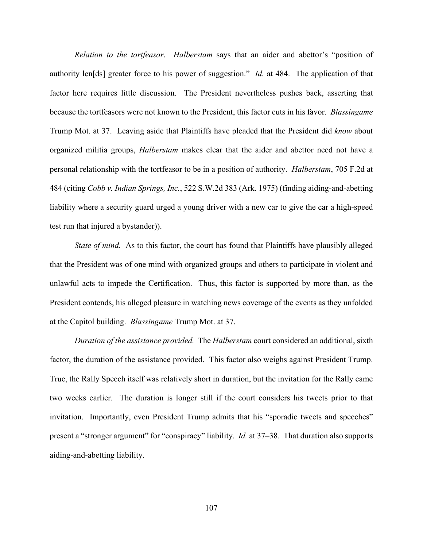*Relation to the tortfeasor*. *Halberstam* says that an aider and abettor's "position of authority len[ds] greater force to his power of suggestion." *Id.* at 484.The application of that factor here requires little discussion. The President nevertheless pushes back, asserting that because the tortfeasors were not known to the President, this factor cuts in his favor. *Blassingame*  Trump Mot. at 37. Leaving aside that Plaintiffs have pleaded that the President did *know* about organized militia groups, *Halberstam* makes clear that the aider and abettor need not have a personal relationship with the tortfeasor to be in a position of authority. *Halberstam*, 705 F.2d at 484 (citing *Cobb v. Indian Springs, Inc.*, 522 S.W.2d 383 (Ark. 1975) (finding aiding-and-abetting liability where a security guard urged a young driver with a new car to give the car a high-speed test run that injured a bystander)).

*State of mind.* As to this factor, the court has found that Plaintiffs have plausibly alleged that the President was of one mind with organized groups and others to participate in violent and unlawful acts to impede the Certification. Thus, this factor is supported by more than, as the President contends, his alleged pleasure in watching news coverage of the events as they unfolded at the Capitol building. *Blassingame* Trump Mot. at 37.

*Duration of the assistance provided.* The *Halberstam* court considered an additional, sixth factor, the duration of the assistance provided. This factor also weighs against President Trump. True, the Rally Speech itself was relatively short in duration, but the invitation for the Rally came two weeks earlier. The duration is longer still if the court considers his tweets prior to that invitation. Importantly, even President Trump admits that his "sporadic tweets and speeches" present a "stronger argument" for "conspiracy" liability. *Id.* at 37–38. That duration also supports aiding-and-abetting liability.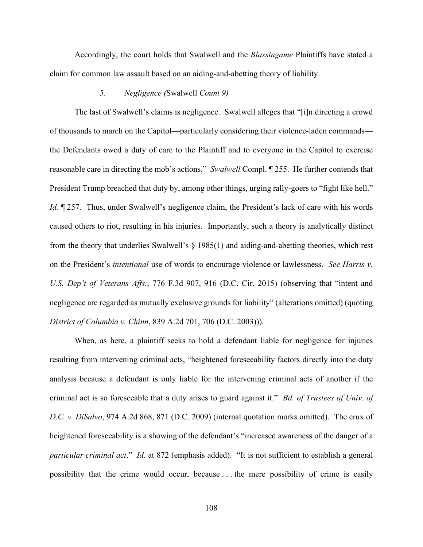Accordingly, the court holds that Swalwell and the *Blassingame* Plaintiffs have stated a claim for common law assault based on an aiding-and-abetting theory of liability.

### *5. Negligence (*Swalwell *Count 9)*

The last of Swalwell's claims is negligence. Swalwell alleges that "[i]n directing a crowd of thousands to march on the Capitol—particularly considering their violence-laden commands the Defendants owed a duty of care to the Plaintiff and to everyone in the Capitol to exercise reasonable care in directing the mob's actions." *Swalwell* Compl. ¶ 255. He further contends that President Trump breached that duty by, among other things, urging rally-goers to "fight like hell." *Id.*  $\sqrt{257}$ . Thus, under Swalwell's negligence claim, the President's lack of care with his words caused others to riot, resulting in his injuries. Importantly, such a theory is analytically distinct from the theory that underlies Swalwell's § 1985(1) and aiding-and-abetting theories, which rest on the President's *intentional* use of words to encourage violence or lawlessness. *See Harris v. U.S. Dep't of Veterans Affs.*, 776 F.3d 907, 916 (D.C. Cir. 2015) (observing that "intent and negligence are regarded as mutually exclusive grounds for liability" (alterations omitted) (quoting *District of Columbia v. Chinn*, 839 A.2d 701, 706 (D.C. 2003))).

When, as here, a plaintiff seeks to hold a defendant liable for negligence for injuries resulting from intervening criminal acts, "heightened foreseeability factors directly into the duty analysis because a defendant is only liable for the intervening criminal acts of another if the criminal act is so foreseeable that a duty arises to guard against it." *Bd. of Trustees of Univ. of D.C. v. DiSalvo*, 974 A.2d 868, 871 (D.C. 2009) (internal quotation marks omitted). The crux of heightened foreseeability is a showing of the defendant's "increased awareness of the danger of a *particular criminal act*." *Id.* at 872 (emphasis added). "It is not sufficient to establish a general possibility that the crime would occur, because . . . the mere possibility of crime is easily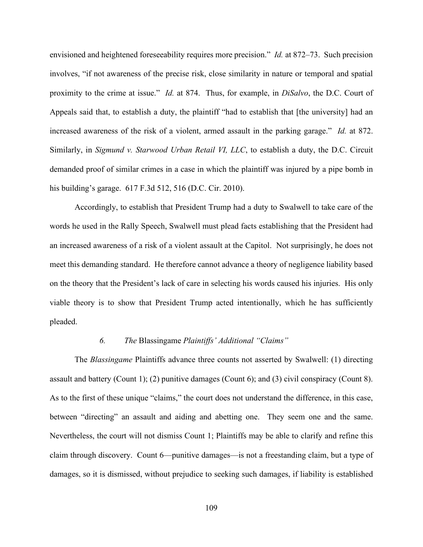envisioned and heightened foreseeability requires more precision." *Id.* at 872–73.Such precision involves, "if not awareness of the precise risk, close similarity in nature or temporal and spatial proximity to the crime at issue." *Id.* at 874. Thus, for example, in *DiSalvo*, the D.C. Court of Appeals said that, to establish a duty, the plaintiff "had to establish that [the university] had an increased awareness of the risk of a violent, armed assault in the parking garage." *Id.* at 872. Similarly, in *Sigmund v. Starwood Urban Retail VI, LLC*, to establish a duty, the D.C. Circuit demanded proof of similar crimes in a case in which the plaintiff was injured by a pipe bomb in his building's garage. 617 F.3d 512, 516 (D.C. Cir. 2010).

 Accordingly, to establish that President Trump had a duty to Swalwell to take care of the words he used in the Rally Speech, Swalwell must plead facts establishing that the President had an increased awareness of a risk of a violent assault at the Capitol. Not surprisingly, he does not meet this demanding standard. He therefore cannot advance a theory of negligence liability based on the theory that the President's lack of care in selecting his words caused his injuries. His only viable theory is to show that President Trump acted intentionally, which he has sufficiently pleaded.

## *6. The* Blassingame *Plaintiffs' Additional "Claims"*

The *Blassingame* Plaintiffs advance three counts not asserted by Swalwell: (1) directing assault and battery (Count 1); (2) punitive damages (Count 6); and (3) civil conspiracy (Count 8). As to the first of these unique "claims," the court does not understand the difference, in this case, between "directing" an assault and aiding and abetting one. They seem one and the same. Nevertheless, the court will not dismiss Count 1; Plaintiffs may be able to clarify and refine this claim through discovery. Count 6—punitive damages—is not a freestanding claim, but a type of damages, so it is dismissed, without prejudice to seeking such damages, if liability is established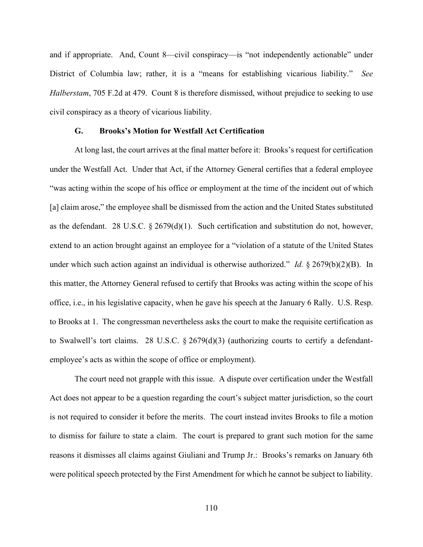and if appropriate. And, Count 8—civil conspiracy—is "not independently actionable" under District of Columbia law; rather, it is a "means for establishing vicarious liability." *See Halberstam*, 705 F.2d at 479. Count 8 is therefore dismissed, without prejudice to seeking to use civil conspiracy as a theory of vicarious liability.

## **G. Brooks's Motion for Westfall Act Certification**

At long last, the court arrives at the final matter before it: Brooks's request for certification under the Westfall Act. Under that Act, if the Attorney General certifies that a federal employee "was acting within the scope of his office or employment at the time of the incident out of which [a] claim arose," the employee shall be dismissed from the action and the United States substituted as the defendant. 28 U.S.C. § 2679(d)(1). Such certification and substitution do not, however, extend to an action brought against an employee for a "violation of a statute of the United States under which such action against an individual is otherwise authorized." *Id.* § 2679(b)(2)(B). In this matter, the Attorney General refused to certify that Brooks was acting within the scope of his office, i.e., in his legislative capacity, when he gave his speech at the January 6 Rally. U.S. Resp. to Brooks at 1. The congressman nevertheless asks the court to make the requisite certification as to Swalwell's tort claims. 28 U.S.C.  $\S 2679(d)(3)$  (authorizing courts to certify a defendantemployee's acts as within the scope of office or employment).

The court need not grapple with this issue. A dispute over certification under the Westfall Act does not appear to be a question regarding the court's subject matter jurisdiction, so the court is not required to consider it before the merits. The court instead invites Brooks to file a motion to dismiss for failure to state a claim. The court is prepared to grant such motion for the same reasons it dismisses all claims against Giuliani and Trump Jr.: Brooks's remarks on January 6th were political speech protected by the First Amendment for which he cannot be subject to liability.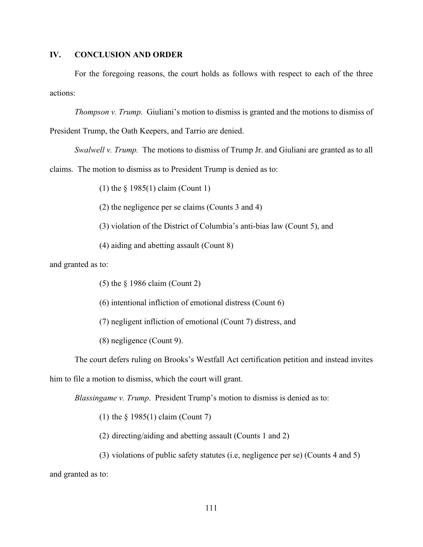## **IV. CONCLUSION AND ORDER**

For the foregoing reasons, the court holds as follows with respect to each of the three actions:

*Thompson v. Trump.* Giuliani's motion to dismiss is granted and the motions to dismiss of President Trump, the Oath Keepers, and Tarrio are denied.

*Swalwell v. Trump.* The motions to dismiss of Trump Jr. and Giuliani are granted as to all claims. The motion to dismiss as to President Trump is denied as to:

(1) the § 1985(1) claim (Count 1)

(2) the negligence per se claims (Counts 3 and 4)

(3) violation of the District of Columbia's anti-bias law (Count 5), and

(4) aiding and abetting assault (Count 8)

and granted as to:

(5) the § 1986 claim (Count 2)

(6) intentional infliction of emotional distress (Count 6)

(7) negligent infliction of emotional (Count 7) distress, and

(8) negligence (Count 9).

The court defers ruling on Brooks's Westfall Act certification petition and instead invites

him to file a motion to dismiss, which the court will grant.

*Blassingame v. Trump*. President Trump's motion to dismiss is denied as to:

(1) the § 1985(1) claim (Count 7)

(2) directing/aiding and abetting assault (Counts 1 and 2)

(3) violations of public safety statutes (i.e, negligence per se) (Counts 4 and 5)

and granted as to: